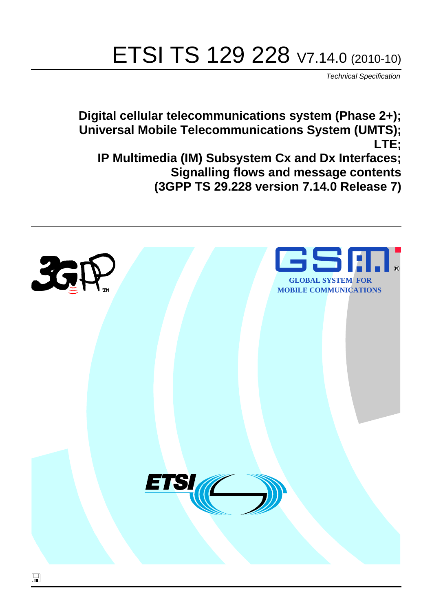# ETSI TS 129 228 V7.14.0 (2010-10)

*Technical Specification*

**Digital cellular telecommunications system (Phase 2+); Universal Mobile Telecommunications System (UMTS); LTE; IP Multimedia (IM) Subsystem Cx and Dx Interfaces; Signalling flows and message contents (3GPP TS 29.228 version 7.14.0 Release 7)**

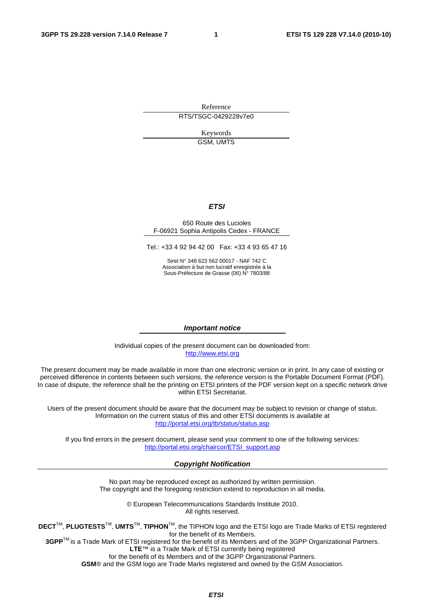Reference RTS/TSGC-0429228v7e0

> Keywords GSM, UMTS

#### *ETSI*

#### 650 Route des Lucioles F-06921 Sophia Antipolis Cedex - FRANCE

Tel.: +33 4 92 94 42 00 Fax: +33 4 93 65 47 16

Siret N° 348 623 562 00017 - NAF 742 C Association à but non lucratif enregistrée à la Sous-Préfecture de Grasse (06) N° 7803/88

#### *Important notice*

Individual copies of the present document can be downloaded from: [http://www.etsi.org](http://www.etsi.org/)

The present document may be made available in more than one electronic version or in print. In any case of existing or perceived difference in contents between such versions, the reference version is the Portable Document Format (PDF). In case of dispute, the reference shall be the printing on ETSI printers of the PDF version kept on a specific network drive within ETSI Secretariat.

Users of the present document should be aware that the document may be subject to revision or change of status. Information on the current status of this and other ETSI documents is available at <http://portal.etsi.org/tb/status/status.asp>

If you find errors in the present document, please send your comment to one of the following services: [http://portal.etsi.org/chaircor/ETSI\\_support.asp](http://portal.etsi.org/chaircor/ETSI_support.asp)

#### *Copyright Notification*

No part may be reproduced except as authorized by written permission. The copyright and the foregoing restriction extend to reproduction in all media.

> © European Telecommunications Standards Institute 2010. All rights reserved.

**DECT**TM, **PLUGTESTS**TM, **UMTS**TM, **TIPHON**TM, the TIPHON logo and the ETSI logo are Trade Marks of ETSI registered for the benefit of its Members.

**3GPP**TM is a Trade Mark of ETSI registered for the benefit of its Members and of the 3GPP Organizational Partners. **LTE**™ is a Trade Mark of ETSI currently being registered

for the benefit of its Members and of the 3GPP Organizational Partners.

**GSM**® and the GSM logo are Trade Marks registered and owned by the GSM Association.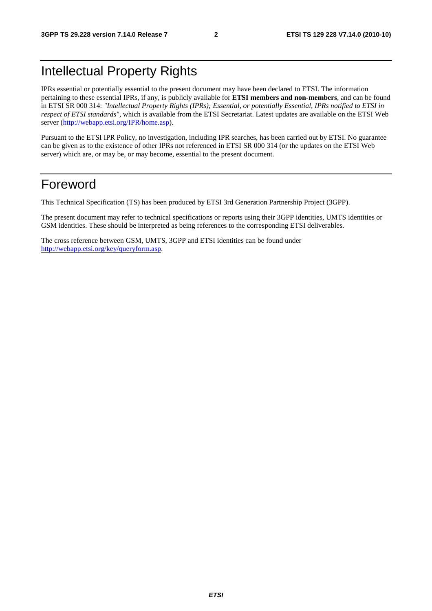## Intellectual Property Rights

IPRs essential or potentially essential to the present document may have been declared to ETSI. The information pertaining to these essential IPRs, if any, is publicly available for **ETSI members and non-members**, and can be found in ETSI SR 000 314: *"Intellectual Property Rights (IPRs); Essential, or potentially Essential, IPRs notified to ETSI in respect of ETSI standards"*, which is available from the ETSI Secretariat. Latest updates are available on the ETSI Web server [\(http://webapp.etsi.org/IPR/home.asp](http://webapp.etsi.org/IPR/home.asp)).

Pursuant to the ETSI IPR Policy, no investigation, including IPR searches, has been carried out by ETSI. No guarantee can be given as to the existence of other IPRs not referenced in ETSI SR 000 314 (or the updates on the ETSI Web server) which are, or may be, or may become, essential to the present document.

### Foreword

This Technical Specification (TS) has been produced by ETSI 3rd Generation Partnership Project (3GPP).

The present document may refer to technical specifications or reports using their 3GPP identities, UMTS identities or GSM identities. These should be interpreted as being references to the corresponding ETSI deliverables.

The cross reference between GSM, UMTS, 3GPP and ETSI identities can be found under <http://webapp.etsi.org/key/queryform.asp>.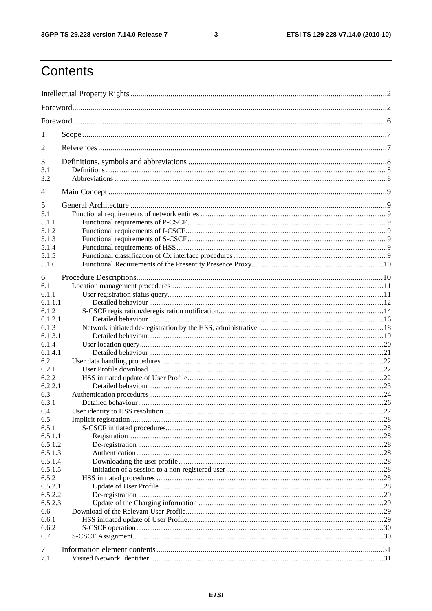$\mathbf{3}$ 

## Contents

| 1       |  |     |  |  |  |  |  |
|---------|--|-----|--|--|--|--|--|
| 2       |  |     |  |  |  |  |  |
| 3       |  |     |  |  |  |  |  |
| 3.1     |  |     |  |  |  |  |  |
| 3.2     |  |     |  |  |  |  |  |
| 4       |  |     |  |  |  |  |  |
|         |  |     |  |  |  |  |  |
| 5       |  |     |  |  |  |  |  |
| 5.1     |  |     |  |  |  |  |  |
| 5.1.1   |  |     |  |  |  |  |  |
| 5.1.2   |  |     |  |  |  |  |  |
| 5.1.3   |  |     |  |  |  |  |  |
| 5.1.4   |  |     |  |  |  |  |  |
| 5.1.5   |  |     |  |  |  |  |  |
| 5.1.6   |  |     |  |  |  |  |  |
| 6       |  |     |  |  |  |  |  |
| 6.1     |  |     |  |  |  |  |  |
| 6.1.1   |  |     |  |  |  |  |  |
| 6.1.1.1 |  |     |  |  |  |  |  |
| 6.1.2   |  |     |  |  |  |  |  |
| 6.1.2.1 |  |     |  |  |  |  |  |
| 6.1.3   |  |     |  |  |  |  |  |
| 6.1.3.1 |  |     |  |  |  |  |  |
| 6.1.4   |  |     |  |  |  |  |  |
| 6.1.4.1 |  |     |  |  |  |  |  |
| 6.2     |  |     |  |  |  |  |  |
| 6.2.1   |  |     |  |  |  |  |  |
| 6.2.2   |  |     |  |  |  |  |  |
| 6.2.2.1 |  |     |  |  |  |  |  |
| 6.3     |  |     |  |  |  |  |  |
| 6.3.1   |  |     |  |  |  |  |  |
| 6.4     |  | .27 |  |  |  |  |  |
| 6.5     |  |     |  |  |  |  |  |
| 6.5.1   |  |     |  |  |  |  |  |
| 6.5.1.1 |  |     |  |  |  |  |  |
| 6.5.1.2 |  |     |  |  |  |  |  |
| 6.5.1.3 |  |     |  |  |  |  |  |
| 6.5.1.4 |  |     |  |  |  |  |  |
| 6.5.1.5 |  |     |  |  |  |  |  |
| 6.5.2   |  |     |  |  |  |  |  |
| 6.5.2.1 |  |     |  |  |  |  |  |
| 6.5.2.2 |  |     |  |  |  |  |  |
| 6.5.2.3 |  |     |  |  |  |  |  |
| 6.6     |  |     |  |  |  |  |  |
| 6.6.1   |  |     |  |  |  |  |  |
| 6.6.2   |  |     |  |  |  |  |  |
| 6.7     |  |     |  |  |  |  |  |
| 7       |  |     |  |  |  |  |  |
| 7.1     |  |     |  |  |  |  |  |
|         |  |     |  |  |  |  |  |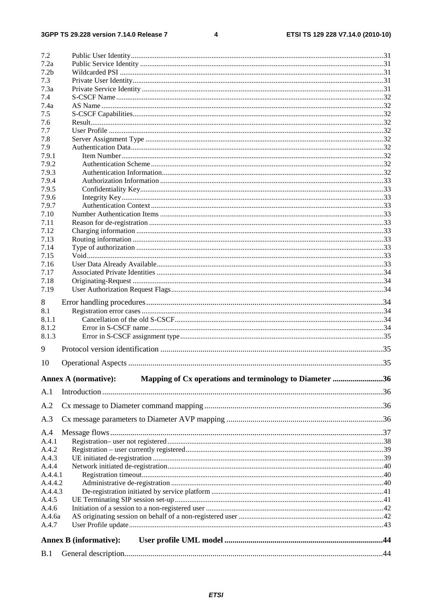#### $\overline{\mathbf{4}}$

| 7.2              |                                                                                        |  |
|------------------|----------------------------------------------------------------------------------------|--|
| 7.2a             |                                                                                        |  |
| 7.2 <sub>b</sub> |                                                                                        |  |
| 7.3              |                                                                                        |  |
| 7.3a             |                                                                                        |  |
| 7.4              |                                                                                        |  |
| 7.4a             |                                                                                        |  |
| 7.5              |                                                                                        |  |
| 7.6              |                                                                                        |  |
| 7.7              |                                                                                        |  |
| 7.8              |                                                                                        |  |
| 7.9              |                                                                                        |  |
| 7.9.1            |                                                                                        |  |
| 7.9.2            |                                                                                        |  |
| 7.9.3            |                                                                                        |  |
| 7.9.4            |                                                                                        |  |
| 7.9.5            |                                                                                        |  |
| 7.9.6            |                                                                                        |  |
| 7.9.7            |                                                                                        |  |
| 7.10             |                                                                                        |  |
| 7.11             |                                                                                        |  |
| 7.12             |                                                                                        |  |
| 7.13             |                                                                                        |  |
| 7.14<br>7.15     |                                                                                        |  |
| 7.16             |                                                                                        |  |
| 7.17             |                                                                                        |  |
| 7.18             |                                                                                        |  |
| 7.19             |                                                                                        |  |
|                  |                                                                                        |  |
| 8                |                                                                                        |  |
| 8.1              |                                                                                        |  |
| 8.1.1            |                                                                                        |  |
| 8.1.2            |                                                                                        |  |
| 8.1.3            |                                                                                        |  |
| 9                |                                                                                        |  |
| 10               |                                                                                        |  |
|                  |                                                                                        |  |
|                  | Mapping of Cx operations and terminology to Diameter 36<br><b>Annex A (normative):</b> |  |
| A.1              |                                                                                        |  |
|                  |                                                                                        |  |
| A.2              |                                                                                        |  |
| A.3              |                                                                                        |  |
| A.4              |                                                                                        |  |
| A.4.1            |                                                                                        |  |
| A.4.2            |                                                                                        |  |
| A.4.3            |                                                                                        |  |
| A.4.4            |                                                                                        |  |
| A.4.4.1          |                                                                                        |  |
| A.4.4.2          |                                                                                        |  |
| A.4.4.3          |                                                                                        |  |
| A.4.5            |                                                                                        |  |
| A.4.6            |                                                                                        |  |
| A.4.6a           |                                                                                        |  |
| A.4.7            |                                                                                        |  |
|                  |                                                                                        |  |
|                  | <b>Annex B</b> (informative):                                                          |  |
| B.1              |                                                                                        |  |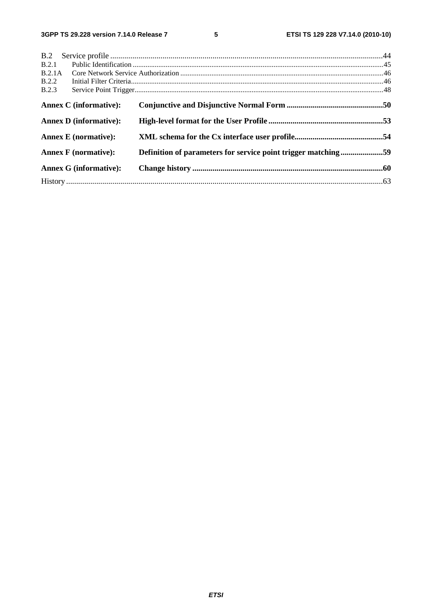$5\phantom{a}$ 

| B.2    |                               |                                                               |  |
|--------|-------------------------------|---------------------------------------------------------------|--|
| B.2.1  |                               |                                                               |  |
| B.2.1A |                               |                                                               |  |
| B.2.2  |                               |                                                               |  |
| B.2.3  |                               |                                                               |  |
|        | <b>Annex C</b> (informative): |                                                               |  |
|        | <b>Annex D</b> (informative): |                                                               |  |
|        | <b>Annex E</b> (normative):   |                                                               |  |
|        | <b>Annex F</b> (normative):   | Definition of parameters for service point trigger matching59 |  |
|        | <b>Annex G (informative):</b> |                                                               |  |
|        |                               |                                                               |  |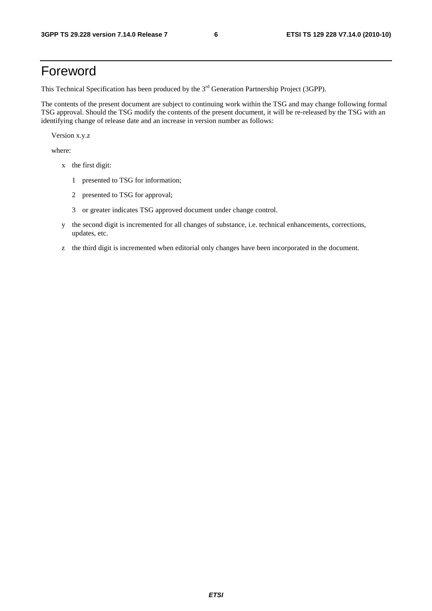## Foreword

This Technical Specification has been produced by the 3<sup>rd</sup> Generation Partnership Project (3GPP).

The contents of the present document are subject to continuing work within the TSG and may change following formal TSG approval. Should the TSG modify the contents of the present document, it will be re-released by the TSG with an identifying change of release date and an increase in version number as follows:

Version x.y.z

where:

- x the first digit:
	- 1 presented to TSG for information;
	- 2 presented to TSG for approval;
	- 3 or greater indicates TSG approved document under change control.
- y the second digit is incremented for all changes of substance, i.e. technical enhancements, corrections, updates, etc.
- z the third digit is incremented when editorial only changes have been incorporated in the document.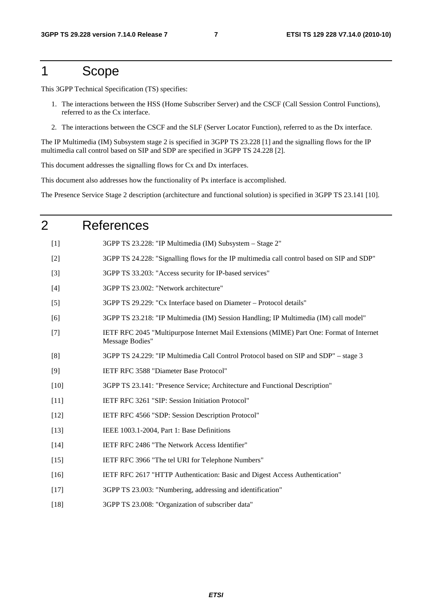### 1 Scope

This 3GPP Technical Specification (TS) specifies:

- 1. The interactions between the HSS (Home Subscriber Server) and the CSCF (Call Session Control Functions), referred to as the Cx interface.
- 2. The interactions between the CSCF and the SLF (Server Locator Function), referred to as the Dx interface.

The IP Multimedia (IM) Subsystem stage 2 is specified in 3GPP TS 23.228 [1] and the signalling flows for the IP multimedia call control based on SIP and SDP are specified in 3GPP TS 24.228 [2].

This document addresses the signalling flows for Cx and Dx interfaces.

This document also addresses how the functionality of Px interface is accomplished.

The Presence Service Stage 2 description (architecture and functional solution) is specified in 3GPP TS 23.141 [10].

#### 2 References

- [1] 3GPP TS 23.228: "IP Multimedia (IM) Subsystem Stage 2"
- [2] 3GPP TS 24.228: "Signalling flows for the IP multimedia call control based on SIP and SDP"
- [3] 3GPP TS 33.203: "Access security for IP-based services"
- [4] 3GPP TS 23.002: "Network architecture"
- [5] 3GPP TS 29.229: "Cx Interface based on Diameter Protocol details"
- [6] 3GPP TS 23.218: "IP Multimedia (IM) Session Handling; IP Multimedia (IM) call model"
- [7] IETF RFC 2045 "Multipurpose Internet Mail Extensions (MIME) Part One: Format of Internet Message Bodies"
- [8] 3GPP TS 24.229: "IP Multimedia Call Control Protocol based on SIP and SDP" stage 3
- [9] IETF RFC 3588 "Diameter Base Protocol"
- [10] 3GPP TS 23.141: "Presence Service; Architecture and Functional Description"
- [11] IETF RFC 3261 "SIP: Session Initiation Protocol"
- [12] IETF RFC 4566 "SDP: Session Description Protocol"
- [13] IEEE 1003.1-2004, Part 1: Base Definitions
- [14] IETF RFC 2486 "The Network Access Identifier"
- [15] IETF RFC 3966 "The tel URI for Telephone Numbers"
- [16] IETF RFC 2617 "HTTP Authentication: Basic and Digest Access Authentication"
- [17] 3GPP TS 23.003: "Numbering, addressing and identification"
- [18] 3GPP TS 23.008: "Organization of subscriber data"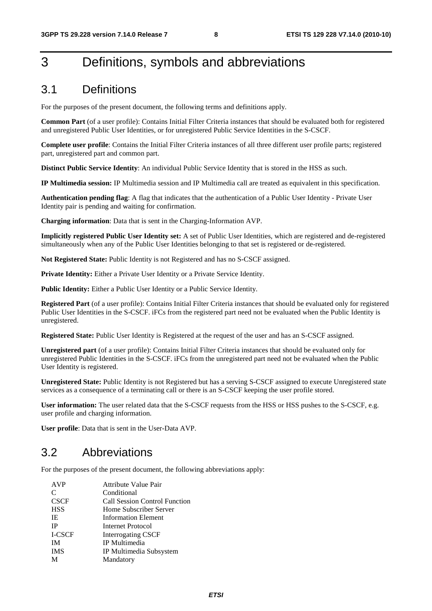## 3 Definitions, symbols and abbreviations

### 3.1 Definitions

For the purposes of the present document, the following terms and definitions apply.

**Common Part** (of a user profile): Contains Initial Filter Criteria instances that should be evaluated both for registered and unregistered Public User Identities, or for unregistered Public Service Identities in the S-CSCF.

**Complete user profile**: Contains the Initial Filter Criteria instances of all three different user profile parts; registered part, unregistered part and common part.

**Distinct Public Service Identity**: An individual Public Service Identity that is stored in the HSS as such.

**IP Multimedia session:** IP Multimedia session and IP Multimedia call are treated as equivalent in this specification.

**Authentication pending flag**: A flag that indicates that the authentication of a Public User Identity - Private User Identity pair is pending and waiting for confirmation.

**Charging information**: Data that is sent in the Charging-Information AVP.

**Implicitly registered Public User Identity set:** A set of Public User Identities, which are registered and de-registered simultaneously when any of the Public User Identities belonging to that set is registered or de-registered.

**Not Registered State:** Public Identity is not Registered and has no S-CSCF assigned.

Private Identity: Either a Private User Identity or a Private Service Identity.

Public Identity: Either a Public User Identity or a Public Service Identity.

**Registered Part** (of a user profile): Contains Initial Filter Criteria instances that should be evaluated only for registered Public User Identities in the S-CSCF. iFCs from the registered part need not be evaluated when the Public Identity is unregistered.

**Registered State:** Public User Identity is Registered at the request of the user and has an S-CSCF assigned.

**Unregistered part** (of a user profile): Contains Initial Filter Criteria instances that should be evaluated only for unregistered Public Identities in the S-CSCF. iFCs from the unregistered part need not be evaluated when the Public User Identity is registered.

**Unregistered State:** Public Identity is not Registered but has a serving S-CSCF assigned to execute Unregistered state services as a consequence of a terminating call or there is an S-CSCF keeping the user profile stored.

**User information:** The user related data that the S-CSCF requests from the HSS or HSS pushes to the S-CSCF, e.g. user profile and charging information.

**User profile**: Data that is sent in the User-Data AVP.

### 3.2 Abbreviations

For the purposes of the present document, the following abbreviations apply:

| <b>AVP</b>  | Attribute Value Pair                 |
|-------------|--------------------------------------|
| C           | Conditional                          |
| <b>CSCF</b> | <b>Call Session Control Function</b> |
| <b>HSS</b>  | Home Subscriber Server               |
| IE          | <b>Information Element</b>           |
| <b>IP</b>   | Internet Protocol                    |
| I-CSCF      | <b>Interrogating CSCF</b>            |
| <b>IM</b>   | IP Multimedia                        |
| <b>IMS</b>  | IP Multimedia Subsystem              |
| M           | Mandatory                            |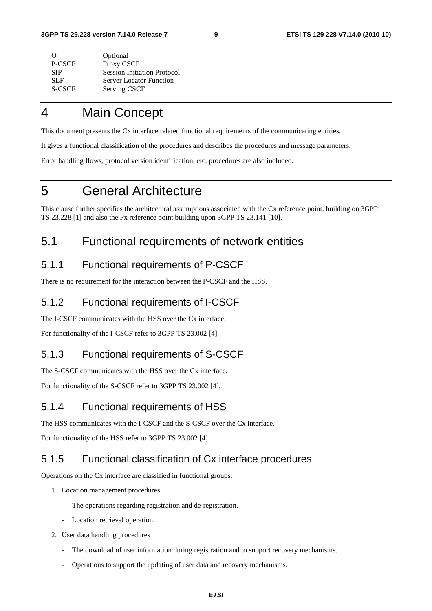| <b>Session Initiation Protocol</b> |
|------------------------------------|
|                                    |
|                                    |
|                                    |

## 4 Main Concept

This document presents the Cx interface related functional requirements of the communicating entities.

It gives a functional classification of the procedures and describes the procedures and message parameters.

Error handling flows, protocol version identification, etc. procedures are also included.

## 5 General Architecture

This clause further specifies the architectural assumptions associated with the Cx reference point, building on 3GPP TS 23.228 [1] and also the Px reference point building upon 3GPP TS 23.141 [10].

### 5.1 Functional requirements of network entities

### 5.1.1 Functional requirements of P-CSCF

There is no requirement for the interaction between the P-CSCF and the HSS.

### 5.1.2 Functional requirements of I-CSCF

The I-CSCF communicates with the HSS over the Cx interface.

For functionality of the I-CSCF refer to 3GPP TS 23.002 [4].

### 5.1.3 Functional requirements of S-CSCF

The S-CSCF communicates with the HSS over the Cx interface.

For functionality of the S-CSCF refer to 3GPP TS 23.002 [4].

### 5.1.4 Functional requirements of HSS

The HSS communicates with the I-CSCF and the S-CSCF over the Cx interface.

For functionality of the HSS refer to 3GPP TS 23.002 [4].

#### 5.1.5 Functional classification of Cx interface procedures

Operations on the Cx interface are classified in functional groups:

- 1. Location management procedures
	- The operations regarding registration and de-registration.
	- Location retrieval operation.
- 2. User data handling procedures
	- The download of user information during registration and to support recovery mechanisms.
	- Operations to support the updating of user data and recovery mechanisms.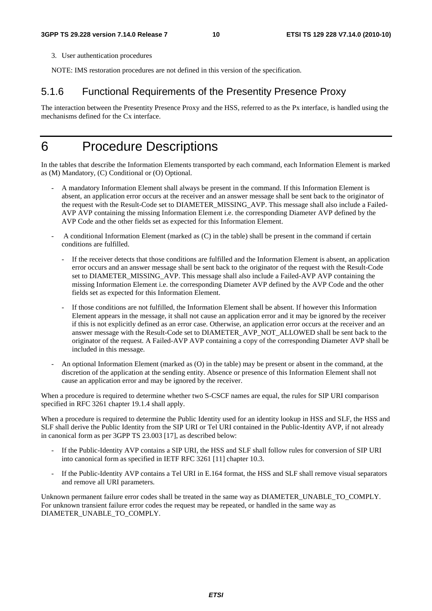3. User authentication procedures

NOTE: IMS restoration procedures are not defined in this version of the specification.

#### 5.1.6 Functional Requirements of the Presentity Presence Proxy

The interaction between the Presentity Presence Proxy and the HSS, referred to as the Px interface, is handled using the mechanisms defined for the Cx interface.

## 6 Procedure Descriptions

In the tables that describe the Information Elements transported by each command, each Information Element is marked as (M) Mandatory, (C) Conditional or (O) Optional.

- A mandatory Information Element shall always be present in the command. If this Information Element is absent, an application error occurs at the receiver and an answer message shall be sent back to the originator of the request with the Result-Code set to DIAMETER\_MISSING\_AVP. This message shall also include a Failed-AVP AVP containing the missing Information Element i.e. the corresponding Diameter AVP defined by the AVP Code and the other fields set as expected for this Information Element.
- A conditional Information Element (marked as (C) in the table) shall be present in the command if certain conditions are fulfilled.
	- If the receiver detects that those conditions are fulfilled and the Information Element is absent, an application error occurs and an answer message shall be sent back to the originator of the request with the Result-Code set to DIAMETER\_MISSING\_AVP. This message shall also include a Failed-AVP AVP containing the missing Information Element i.e. the corresponding Diameter AVP defined by the AVP Code and the other fields set as expected for this Information Element.
	- If those conditions are not fulfilled, the Information Element shall be absent. If however this Information Element appears in the message, it shall not cause an application error and it may be ignored by the receiver if this is not explicitly defined as an error case. Otherwise, an application error occurs at the receiver and an answer message with the Result-Code set to DIAMETER\_AVP\_NOT\_ALLOWED shall be sent back to the originator of the request. A Failed-AVP AVP containing a copy of the corresponding Diameter AVP shall be included in this message.
- An optional Information Element (marked as (O) in the table) may be present or absent in the command, at the discretion of the application at the sending entity. Absence or presence of this Information Element shall not cause an application error and may be ignored by the receiver.

When a procedure is required to determine whether two S-CSCF names are equal, the rules for SIP URI comparison specified in RFC 3261 chapter 19.1.4 shall apply.

When a procedure is required to determine the Public Identity used for an identity lookup in HSS and SLF, the HSS and SLF shall derive the Public Identity from the SIP URI or Tel URI contained in the Public-Identity AVP, if not already in canonical form as per 3GPP TS 23.003 [17], as described below:

- If the Public-Identity AVP contains a SIP URI, the HSS and SLF shall follow rules for conversion of SIP URI into canonical form as specified in IETF RFC 3261 [11] chapter 10.3.
- If the Public-Identity AVP contains a Tel URI in E.164 format, the HSS and SLF shall remove visual separators and remove all URI parameters.

Unknown permanent failure error codes shall be treated in the same way as DIAMETER\_UNABLE\_TO\_COMPLY. For unknown transient failure error codes the request may be repeated, or handled in the same way as DIAMETER\_UNABLE\_TO\_COMPLY.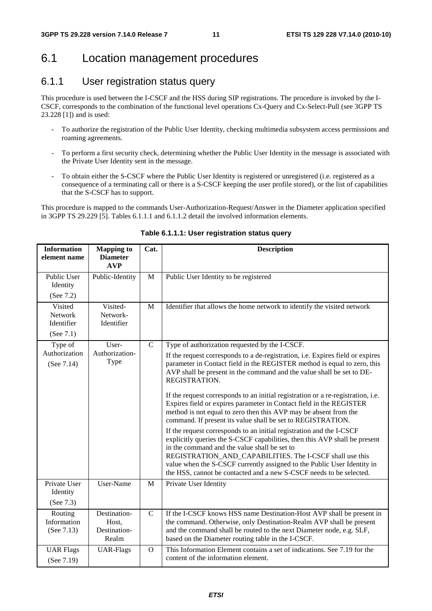## 6.1 Location management procedures

### 6.1.1 User registration status query

This procedure is used between the I-CSCF and the HSS during SIP registrations. The procedure is invoked by the I-CSCF, corresponds to the combination of the functional level operations Cx-Query and Cx-Select-Pull (see 3GPP TS 23.228 [1]) and is used:

- To authorize the registration of the Public User Identity, checking multimedia subsystem access permissions and roaming agreements.
- To perform a first security check, determining whether the Public User Identity in the message is associated with the Private User Identity sent in the message.
- To obtain either the S-CSCF where the Public User Identity is registered or unregistered (i.e. registered as a consequence of a terminating call or there is a S-CSCF keeping the user profile stored), or the list of capabilities that the S-CSCF has to support.

This procedure is mapped to the commands User-Authorization-Request/Answer in the Diameter application specified in 3GPP TS 29.229 [5]. Tables 6.1.1.1 and 6.1.1.2 detail the involved information elements.

| <b>Information</b><br>element name            | <b>Mapping to</b><br><b>Diameter</b><br><b>AVP</b> | Cat.           | <b>Description</b>                                                                                                                                                                                                                                                                                                                                                                                                                                                                                                                                                                                                                                                                                                                                                                                                                                                                                                                                                                                                       |
|-----------------------------------------------|----------------------------------------------------|----------------|--------------------------------------------------------------------------------------------------------------------------------------------------------------------------------------------------------------------------------------------------------------------------------------------------------------------------------------------------------------------------------------------------------------------------------------------------------------------------------------------------------------------------------------------------------------------------------------------------------------------------------------------------------------------------------------------------------------------------------------------------------------------------------------------------------------------------------------------------------------------------------------------------------------------------------------------------------------------------------------------------------------------------|
| <b>Public User</b><br>Identity<br>(See 7.2)   | Public-Identity                                    | $\mathbf{M}$   | Public User Identity to be registered                                                                                                                                                                                                                                                                                                                                                                                                                                                                                                                                                                                                                                                                                                                                                                                                                                                                                                                                                                                    |
| Visited<br>Network<br>Identifier<br>(See 7.1) | Visited-<br>Network-<br>Identifier                 | $\mathbf{M}$   | Identifier that allows the home network to identify the visited network                                                                                                                                                                                                                                                                                                                                                                                                                                                                                                                                                                                                                                                                                                                                                                                                                                                                                                                                                  |
| Type of<br>Authorization<br>(See 7.14)        | User-<br>Authorization-<br>Type                    | $\mathbf C$    | Type of authorization requested by the I-CSCF.<br>If the request corresponds to a de-registration, i.e. Expires field or expires<br>parameter in Contact field in the REGISTER method is equal to zero, this<br>AVP shall be present in the command and the value shall be set to DE-<br>REGISTRATION.<br>If the request corresponds to an initial registration or a re-registration, i.e.<br>Expires field or expires parameter in Contact field in the REGISTER<br>method is not equal to zero then this AVP may be absent from the<br>command. If present its value shall be set to REGISTRATION.<br>If the request corresponds to an initial registration and the I-CSCF<br>explicitly queries the S-CSCF capabilities, then this AVP shall be present<br>in the command and the value shall be set to<br>REGISTRATION_AND_CAPABILITIES. The I-CSCF shall use this<br>value when the S-CSCF currently assigned to the Public User Identity in<br>the HSS, cannot be contacted and a new S-CSCF needs to be selected. |
| Private User<br>Identity<br>(See 7.3)         | User-Name                                          | $\mathbf{M}$   | Private User Identity                                                                                                                                                                                                                                                                                                                                                                                                                                                                                                                                                                                                                                                                                                                                                                                                                                                                                                                                                                                                    |
| Routing<br>Information<br>(See $7.13$ )       | Destination-<br>Host.<br>Destination-<br>Realm     | $\mathbf C$    | If the I-CSCF knows HSS name Destination-Host AVP shall be present in<br>the command. Otherwise, only Destination-Realm AVP shall be present<br>and the command shall be routed to the next Diameter node, e.g. SLF,<br>based on the Diameter routing table in the I-CSCF.                                                                                                                                                                                                                                                                                                                                                                                                                                                                                                                                                                                                                                                                                                                                               |
| <b>UAR Flags</b><br>(See 7.19)                | <b>UAR-Flags</b>                                   | $\overline{O}$ | This Information Element contains a set of indications. See 7.19 for the<br>content of the information element.                                                                                                                                                                                                                                                                                                                                                                                                                                                                                                                                                                                                                                                                                                                                                                                                                                                                                                          |

#### **Table 6.1.1.1: User registration status query**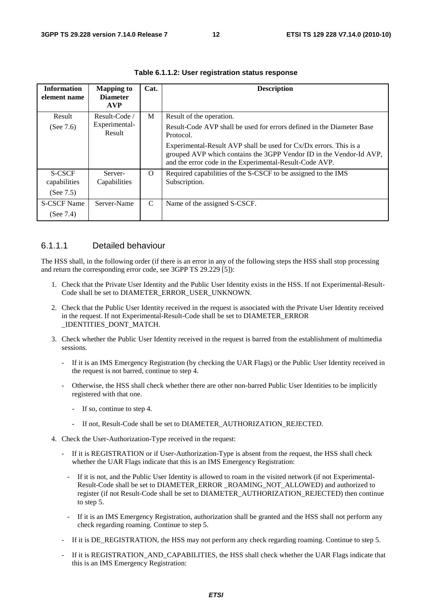| <b>Information</b><br>element name | <b>Mapping to</b><br><b>Diameter</b><br><b>AVP</b> | Cat.     | <b>Description</b>                                                                                                                                                                                    |
|------------------------------------|----------------------------------------------------|----------|-------------------------------------------------------------------------------------------------------------------------------------------------------------------------------------------------------|
| Result                             | Result-Code                                        | M        | Result of the operation.                                                                                                                                                                              |
| (See $7.6$ )                       | Experimental-<br>Result                            |          | Result-Code AVP shall be used for errors defined in the Diameter Base<br>Protocol.                                                                                                                    |
|                                    |                                                    |          | Experimental-Result AVP shall be used for $Cx/Dx$ errors. This is a<br>grouped AVP which contains the 3GPP Vendor ID in the Vendor-Id AVP,<br>and the error code in the Experimental-Result-Code AVP. |
| <b>S-CSCF</b><br>capabilities      | Server-<br>Capabilities                            | $\Omega$ | Required capabilities of the S-CSCF to be assigned to the IMS<br>Subscription.                                                                                                                        |
| (See $7.5$ )                       |                                                    |          |                                                                                                                                                                                                       |
| <b>S-CSCF Name</b>                 | Server-Name                                        | C        | Name of the assigned S-CSCF.                                                                                                                                                                          |
| (See $7.4$ )                       |                                                    |          |                                                                                                                                                                                                       |

**Table 6.1.1.2: User registration status response** 

#### 6.1.1.1 Detailed behaviour

The HSS shall, in the following order (if there is an error in any of the following steps the HSS shall stop processing and return the corresponding error code, see 3GPP TS 29.229 [5]):

- 1. Check that the Private User Identity and the Public User Identity exists in the HSS. If not Experimental-Result-Code shall be set to DIAMETER\_ERROR\_USER\_UNKNOWN.
- 2. Check that the Public User Identity received in the request is associated with the Private User Identity received in the request. If not Experimental-Result-Code shall be set to DIAMETER\_ERROR \_IDENTITIES\_DONT\_MATCH.
- 3. Check whether the Public User Identity received in the request is barred from the establishment of multimedia sessions.
	- If it is an IMS Emergency Registration (by checking the UAR Flags) or the Public User Identity received in the request is not barred, continue to step 4.
	- Otherwise, the HSS shall check whether there are other non-barred Public User Identities to be implicitly registered with that one.
		- If so, continue to step 4.
		- If not, Result-Code shall be set to DIAMETER\_AUTHORIZATION\_REJECTED.
- 4. Check the User-Authorization-Type received in the request:
	- If it is REGISTRATION or if User-Authorization-Type is absent from the request, the HSS shall check whether the UAR Flags indicate that this is an IMS Emergency Registration:
		- If it is not, and the Public User Identity is allowed to roam in the visited network (if not Experimental-Result-Code shall be set to DIAMETER\_ERROR \_ROAMING\_NOT\_ALLOWED) and authorized to register (if not Result-Code shall be set to DIAMETER\_AUTHORIZATION\_REJECTED) then continue to step 5.
		- If it is an IMS Emergency Registration, authorization shall be granted and the HSS shall not perform any check regarding roaming. Continue to step 5.
	- If it is DE\_REGISTRATION, the HSS may not perform any check regarding roaming. Continue to step 5.
	- If it is REGISTRATION\_AND\_CAPABILITIES, the HSS shall check whether the UAR Flags indicate that this is an IMS Emergency Registration: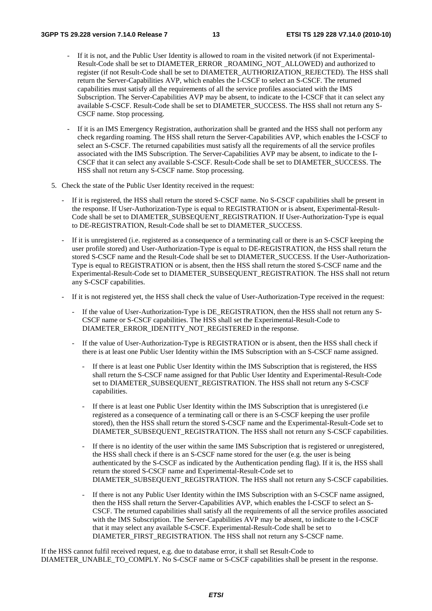- If it is not, and the Public User Identity is allowed to roam in the visited network (if not Experimental-Result-Code shall be set to DIAMETER\_ERROR \_ROAMING\_NOT\_ALLOWED) and authorized to register (if not Result-Code shall be set to DIAMETER\_AUTHORIZATION\_REJECTED). The HSS shall return the Server-Capabilities AVP, which enables the I-CSCF to select an S-CSCF. The returned capabilities must satisfy all the requirements of all the service profiles associated with the IMS Subscription. The Server-Capabilities AVP may be absent, to indicate to the I-CSCF that it can select any available S-CSCF. Result-Code shall be set to DIAMETER\_SUCCESS. The HSS shall not return any S-CSCF name. Stop processing.
- If it is an IMS Emergency Registration, authorization shall be granted and the HSS shall not perform any check regarding roaming. The HSS shall return the Server-Capabilities AVP, which enables the I-CSCF to select an S-CSCF. The returned capabilities must satisfy all the requirements of all the service profiles associated with the IMS Subscription. The Server-Capabilities AVP may be absent, to indicate to the I-CSCF that it can select any available S-CSCF. Result-Code shall be set to DIAMETER\_SUCCESS. The HSS shall not return any S-CSCF name. Stop processing.
- 5. Check the state of the Public User Identity received in the request:
	- If it is registered, the HSS shall return the stored S-CSCF name. No S-CSCF capabilities shall be present in the response. If User-Authorization-Type is equal to REGISTRATION or is absent, Experimental-Result-Code shall be set to DIAMETER\_SUBSEQUENT\_REGISTRATION. If User-Authorization-Type is equal to DE-REGISTRATION, Result-Code shall be set to DIAMETER\_SUCCESS.
	- If it is unregistered (i.e. registered as a consequence of a terminating call or there is an S-CSCF keeping the user profile stored) and User-Authorization-Type is equal to DE-REGISTRATION, the HSS shall return the stored S-CSCF name and the Result-Code shall be set to DIAMETER\_SUCCESS. If the User-Authorization-Type is equal to REGISTRATION or is absent, then the HSS shall return the stored S-CSCF name and the Experimental-Result-Code set to DIAMETER\_SUBSEQUENT\_REGISTRATION. The HSS shall not return any S-CSCF capabilities.
	- If it is not registered yet, the HSS shall check the value of User-Authorization-Type received in the request:
		- If the value of User-Authorization-Type is DE\_REGISTRATION, then the HSS shall not return any S-CSCF name or S-CSCF capabilities. The HSS shall set the Experimental-Result-Code to DIAMETER\_ERROR\_IDENTITY\_NOT\_REGISTERED in the response.
		- If the value of User-Authorization-Type is REGISTRATION or is absent, then the HSS shall check if there is at least one Public User Identity within the IMS Subscription with an S-CSCF name assigned.
			- If there is at least one Public User Identity within the IMS Subscription that is registered, the HSS shall return the S-CSCF name assigned for that Public User Identity and Experimental-Result-Code set to DIAMETER\_SUBSEQUENT\_REGISTRATION. The HSS shall not return any S-CSCF capabilities.
			- If there is at least one Public User Identity within the IMS Subscription that is unregistered (i.e. registered as a consequence of a terminating call or there is an S-CSCF keeping the user profile stored), then the HSS shall return the stored S-CSCF name and the Experimental-Result-Code set to DIAMETER\_SUBSEQUENT\_REGISTRATION. The HSS shall not return any S-CSCF capabilities.
			- If there is no identity of the user within the same IMS Subscription that is registered or unregistered, the HSS shall check if there is an S-CSCF name stored for the user (e.g. the user is being authenticated by the S-CSCF as indicated by the Authentication pending flag). If it is, the HSS shall return the stored S-CSCF name and Experimental-Result-Code set to DIAMETER\_SUBSEQUENT\_REGISTRATION. The HSS shall not return any S-CSCF capabilities.
			- If there is not any Public User Identity within the IMS Subscription with an S-CSCF name assigned, then the HSS shall return the Server-Capabilities AVP, which enables the I-CSCF to select an S-CSCF. The returned capabilities shall satisfy all the requirements of all the service profiles associated with the IMS Subscription. The Server-Capabilities AVP may be absent, to indicate to the I-CSCF that it may select any available S-CSCF. Experimental-Result-Code shall be set to DIAMETER\_FIRST\_REGISTRATION. The HSS shall not return any S-CSCF name.

If the HSS cannot fulfil received request, e.g. due to database error, it shall set Result-Code to DIAMETER\_UNABLE\_TO\_COMPLY. No S-CSCF name or S-CSCF capabilities shall be present in the response.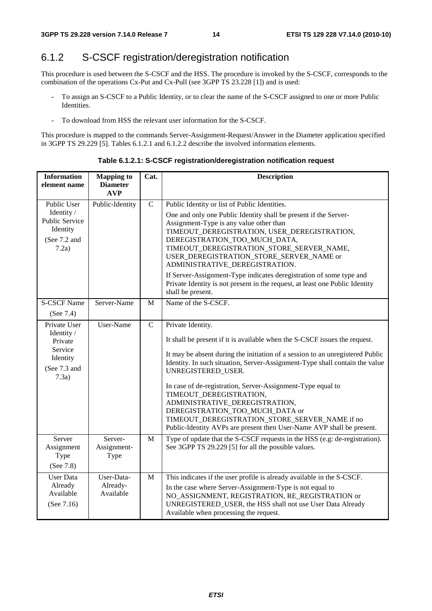### 6.1.2 S-CSCF registration/deregistration notification

This procedure is used between the S-CSCF and the HSS. The procedure is invoked by the S-CSCF, corresponds to the combination of the operations Cx-Put and Cx-Pull (see 3GPP TS 23.228 [1]) and is used:

- To assign an S-CSCF to a Public Identity, or to clear the name of the S-CSCF assigned to one or more Public Identities.
- To download from HSS the relevant user information for the S-CSCF.

This procedure is mapped to the commands Server-Assignment-Request/Answer in the Diameter application specified in 3GPP TS 29.229 [5]. Tables 6.1.2.1 and 6.1.2.2 describe the involved information elements.

| <b>Information</b><br>element name                                                    | <b>Mapping to</b><br><b>Diameter</b><br><b>AVP</b> | Cat.           | <b>Description</b>                                                                                                                                                                                                                                                                                                                                                                                                                                                                                                                                                              |
|---------------------------------------------------------------------------------------|----------------------------------------------------|----------------|---------------------------------------------------------------------------------------------------------------------------------------------------------------------------------------------------------------------------------------------------------------------------------------------------------------------------------------------------------------------------------------------------------------------------------------------------------------------------------------------------------------------------------------------------------------------------------|
| Public User<br>Identity /<br>Public Service<br>Identity<br>(See 7.2 and<br>7.2a)      | Public-Identity                                    | $\mathbf C$    | Public Identity or list of Public Identities.<br>One and only one Public Identity shall be present if the Server-<br>Assignment-Type is any value other than<br>TIMEOUT_DEREGISTRATION, USER_DEREGISTRATION,<br>DEREGISTRATION_TOO_MUCH_DATA,<br>TIMEOUT_DEREGISTRATION_STORE_SERVER_NAME,<br>USER_DEREGISTRATION_STORE_SERVER_NAME or<br>ADMINISTRATIVE_DEREGISTRATION.<br>If Server-Assignment-Type indicates deregistration of some type and<br>Private Identity is not present in the request, at least one Public Identity<br>shall be present.                            |
| <b>S-CSCF Name</b><br>(See 7.4)                                                       | Server-Name                                        | M              | Name of the S-CSCF.                                                                                                                                                                                                                                                                                                                                                                                                                                                                                                                                                             |
| Private User<br>Identity /<br>Private<br>Service<br>Identity<br>(See 7.3 and<br>7.3a) | User-Name                                          | $\overline{C}$ | Private Identity.<br>It shall be present if it is available when the S-CSCF issues the request.<br>It may be absent during the initiation of a session to an unregistered Public<br>Identity. In such situation, Server-Assignment-Type shall contain the value<br>UNREGISTERED USER.<br>In case of de-registration, Server-Assignment-Type equal to<br>TIMEOUT_DEREGISTRATION,<br>ADMINISTRATIVE_DEREGISTRATION,<br>DEREGISTRATION_TOO_MUCH_DATA or<br>TIMEOUT_DEREGISTRATION_STORE_SERVER_NAME if no<br>Public-Identity AVPs are present then User-Name AVP shall be present. |
| Server<br>Assignment<br>Type<br>(See 7.8)                                             | Server-<br>Assignment-<br>Type                     | M              | Type of update that the S-CSCF requests in the HSS (e.g: de-registration).<br>See 3GPP TS 29.229 [5] for all the possible values.                                                                                                                                                                                                                                                                                                                                                                                                                                               |
| <b>User Data</b><br>Already<br>Available<br>(See 7.16)                                | User-Data-<br>Already-<br>Available                | $\mathbf M$    | This indicates if the user profile is already available in the S-CSCF.<br>In the case where Server-Assignment-Type is not equal to<br>NO_ASSIGNMENT, REGISTRATION, RE_REGISTRATION or<br>UNREGISTERED_USER, the HSS shall not use User Data Already<br>Available when processing the request.                                                                                                                                                                                                                                                                                   |

**Table 6.1.2.1: S-CSCF registration/deregistration notification request**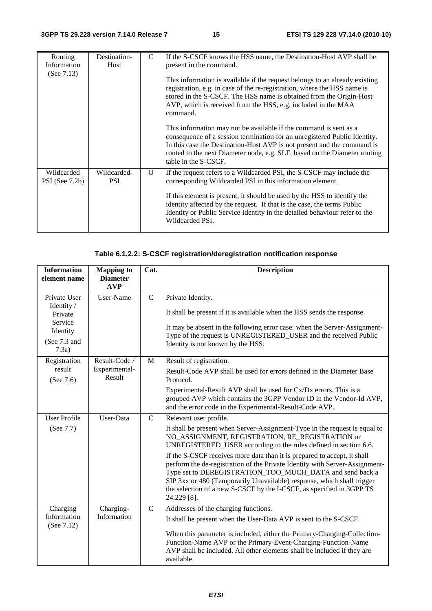| Routing<br>Information         | Destination-<br>Host      | $\mathcal{C}$ | If the S-CSCF knows the HSS name, the Destination-Host AVP shall be<br>present in the command.                                                                                                                                                                                                                                                                          |
|--------------------------------|---------------------------|---------------|-------------------------------------------------------------------------------------------------------------------------------------------------------------------------------------------------------------------------------------------------------------------------------------------------------------------------------------------------------------------------|
| (See $7.13$ )                  |                           |               | This information is available if the request belongs to an already existing<br>registration, e.g. in case of the re-registration, where the HSS name is<br>stored in the S-CSCF. The HSS name is obtained from the Origin-Host<br>AVP, which is received from the HSS, e.g. included in the MAA<br>command.                                                             |
|                                |                           |               | This information may not be available if the command is sent as a<br>consequence of a session termination for an unregistered Public Identity.<br>In this case the Destination-Host AVP is not present and the command is<br>routed to the next Diameter node, e.g. SLF, based on the Diameter routing<br>table in the S-CSCF.                                          |
| Wildcarded<br>$PSI$ (See 7.2b) | Wildcarded-<br><b>PSI</b> | $\Omega$      | If the request refers to a Wildcarded PSI, the S-CSCF may include the<br>corresponding Wildcarded PSI in this information element.<br>If this element is present, it should be used by the HSS to identify the<br>identity affected by the request. If that is the case, the terms Public<br>Identity or Public Service Identity in the detailed behaviour refer to the |
|                                |                           |               | Wildcarded PSI.                                                                                                                                                                                                                                                                                                                                                         |

#### **Table 6.1.2.2: S-CSCF registration/deregistration notification response**

| <b>Information</b><br>element name                                                    | <b>Mapping to</b><br><b>Diameter</b><br>AVP | Cat.          | <b>Description</b>                                                                                                                                                                                                                                                                                                                                                                                                                                                                                                                                                                                                  |
|---------------------------------------------------------------------------------------|---------------------------------------------|---------------|---------------------------------------------------------------------------------------------------------------------------------------------------------------------------------------------------------------------------------------------------------------------------------------------------------------------------------------------------------------------------------------------------------------------------------------------------------------------------------------------------------------------------------------------------------------------------------------------------------------------|
| Private User<br>Identity /<br>Private<br>Service<br>Identity<br>(See 7.3 and<br>7.3a) | User-Name                                   | $\mathbf C$   | Private Identity.<br>It shall be present if it is available when the HSS sends the response.<br>It may be absent in the following error case: when the Server-Assignment-<br>Type of the request is UNREGISTERED_USER and the received Public<br>Identity is not known by the HSS.                                                                                                                                                                                                                                                                                                                                  |
| Registration<br>result<br>(See 7.6)                                                   | Result-Code /<br>Experimental-<br>Result    | M             | Result of registration.<br>Result-Code AVP shall be used for errors defined in the Diameter Base<br>Protocol.<br>Experimental-Result AVP shall be used for Cx/Dx errors. This is a<br>grouped AVP which contains the 3GPP Vendor ID in the Vendor-Id AVP,<br>and the error code in the Experimental-Result-Code AVP.                                                                                                                                                                                                                                                                                                |
| <b>User Profile</b><br>(See 7.7)                                                      | User-Data                                   | $\mathcal{C}$ | Relevant user profile.<br>It shall be present when Server-Assignment-Type in the request is equal to<br>NO_ASSIGNMENT, REGISTRATION, RE_REGISTRATION or<br>UNREGISTERED_USER according to the rules defined in section 6.6.<br>If the S-CSCF receives more data than it is prepared to accept, it shall<br>perform the de-registration of the Private Identity with Server-Assignment-<br>Type set to DEREGISTRATION_TOO_MUCH_DATA and send back a<br>SIP 3xx or 480 (Temporarily Unavailable) response, which shall trigger<br>the selection of a new S-CSCF by the I-CSCF, as specified in 3GPP TS<br>24.229 [8]. |
| Charging<br>Information<br>(See 7.12)                                                 | Charging-<br>Information                    | $\mathcal{C}$ | Addresses of the charging functions.<br>It shall be present when the User-Data AVP is sent to the S-CSCF.<br>When this parameter is included, either the Primary-Charging-Collection-<br>Function-Name AVP or the Primary-Event-Charging-Function-Name<br>AVP shall be included. All other elements shall be included if they are<br>available.                                                                                                                                                                                                                                                                     |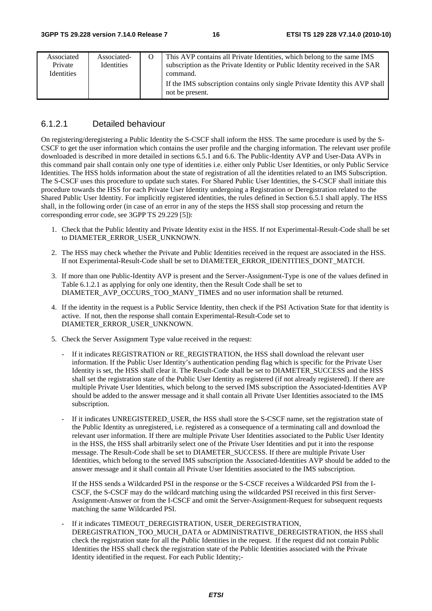| Associated<br>Private<br><b>Identities</b> | Associated-<br><b>Identities</b> | This AVP contains all Private Identities, which belong to the same IMS<br>subscription as the Private Identity or Public Identity received in the SAR<br>command. |
|--------------------------------------------|----------------------------------|-------------------------------------------------------------------------------------------------------------------------------------------------------------------|
|                                            |                                  | If the IMS subscription contains only single Private Identity this AVP shall<br>not be present.                                                                   |

#### 6.1.2.1 Detailed behaviour

On registering/deregistering a Public Identity the S-CSCF shall inform the HSS. The same procedure is used by the S-CSCF to get the user information which contains the user profile and the charging information. The relevant user profile downloaded is described in more detailed in sections 6.5.1 and 6.6. The Public-Identity AVP and User-Data AVPs in this command pair shall contain only one type of identities i.e. either only Public User Identities, or only Public Service Identities. The HSS holds information about the state of registration of all the identities related to an IMS Subscription. The S-CSCF uses this procedure to update such states. For Shared Public User Identities, the S-CSCF shall initiate this procedure towards the HSS for each Private User Identity undergoing a Registration or Deregistration related to the Shared Public User Identity. For implicitly registered identities, the rules defined in Section 6.5.1 shall apply. The HSS shall, in the following order (in case of an error in any of the steps the HSS shall stop processing and return the corresponding error code, see 3GPP TS 29.229 [5]):

- 1. Check that the Public Identity and Private Identity exist in the HSS. If not Experimental-Result-Code shall be set to DIAMETER\_ERROR\_USER\_UNKNOWN.
- 2. The HSS may check whether the Private and Public Identities received in the request are associated in the HSS. If not Experimental-Result-Code shall be set to DIAMETER\_ERROR\_IDENTITIES\_DONT\_MATCH.
- 3. If more than one Public-Identity AVP is present and the Server-Assignment-Type is one of the values defined in Table 6.1.2.1 as applying for only one identity, then the Result Code shall be set to DIAMETER\_AVP\_OCCURS\_TOO\_MANY\_TIMES and no user information shall be returned.
- 4. If the identity in the request is a Public Service Identity, then check if the PSI Activation State for that identity is active. If not, then the response shall contain Experimental-Result-Code set to DIAMETER\_ERROR\_USER\_UNKNOWN.
- 5. Check the Server Assignment Type value received in the request:
	- If it indicates REGISTRATION or RE\_REGISTRATION, the HSS shall download the relevant user information. If the Public User Identity's authentication pending flag which is specific for the Private User Identity is set, the HSS shall clear it. The Result-Code shall be set to DIAMETER\_SUCCESS and the HSS shall set the registration state of the Public User Identity as registered (if not already registered). If there are multiple Private User Identities, which belong to the served IMS subscription the Associated-Identities AVP should be added to the answer message and it shall contain all Private User Identities associated to the IMS subscription.
	- If it indicates UNREGISTERED\_USER, the HSS shall store the S-CSCF name, set the registration state of the Public Identity as unregistered, i.e. registered as a consequence of a terminating call and download the relevant user information. If there are multiple Private User Identities associated to the Public User Identity in the HSS, the HSS shall arbitrarily select one of the Private User Identities and put it into the response message. The Result-Code shall be set to DIAMETER\_SUCCESS. If there are multiple Private User Identities, which belong to the served IMS subscription the Associated-Identities AVP should be added to the answer message and it shall contain all Private User Identities associated to the IMS subscription.

If the HSS sends a Wildcarded PSI in the response or the S-CSCF receives a Wildcarded PSI from the I-CSCF, the S-CSCF may do the wildcard matching using the wildcarded PSI received in this first Server-Assignment-Answer or from the I-CSCF and omit the Server-Assignment-Request for subsequent requests matching the same Wildcarded PSI.

If it indicates TIMEOUT\_DEREGISTRATION, USER\_DEREGISTRATION, DEREGISTRATION\_TOO\_MUCH\_DATA or ADMINISTRATIVE\_DEREGISTRATION, the HSS shall check the registration state for all the Public Identities in the request. If the request did not contain Public Identities the HSS shall check the registration state of the Public Identities associated with the Private Identity identified in the request. For each Public Identity;-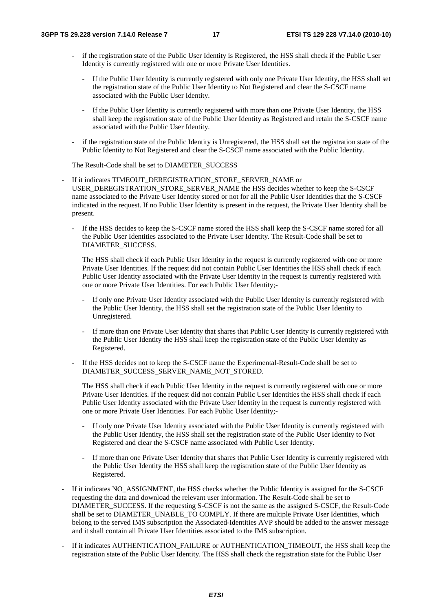- if the registration state of the Public User Identity is Registered, the HSS shall check if the Public User Identity is currently registered with one or more Private User Identities.
	- If the Public User Identity is currently registered with only one Private User Identity, the HSS shall set the registration state of the Public User Identity to Not Registered and clear the S-CSCF name associated with the Public User Identity.
	- If the Public User Identity is currently registered with more than one Private User Identity, the HSS shall keep the registration state of the Public User Identity as Registered and retain the S-CSCF name associated with the Public User Identity.
- if the registration state of the Public Identity is Unregistered, the HSS shall set the registration state of the Public Identity to Not Registered and clear the S-CSCF name associated with the Public Identity.

#### The Result-Code shall be set to DIAMETER\_SUCCESS

- If it indicates TIMEOUT\_DEREGISTRATION\_STORE\_SERVER\_NAME or USER\_DEREGISTRATION\_STORE\_SERVER\_NAME the HSS decides whether to keep the S-CSCF name associated to the Private User Identity stored or not for all the Public User Identities that the S-CSCF indicated in the request. If no Public User Identity is present in the request, the Private User Identity shall be present.
	- If the HSS decides to keep the S-CSCF name stored the HSS shall keep the S-CSCF name stored for all the Public User Identities associated to the Private User Identity. The Result-Code shall be set to DIAMETER\_SUCCESS.

The HSS shall check if each Public User Identity in the request is currently registered with one or more Private User Identities. If the request did not contain Public User Identities the HSS shall check if each Public User Identity associated with the Private User Identity in the request is currently registered with one or more Private User Identities. For each Public User Identity;-

- If only one Private User Identity associated with the Public User Identity is currently registered with the Public User Identity, the HSS shall set the registration state of the Public User Identity to Unregistered.
- If more than one Private User Identity that shares that Public User Identity is currently registered with the Public User Identity the HSS shall keep the registration state of the Public User Identity as Registered.
- If the HSS decides not to keep the S-CSCF name the Experimental-Result-Code shall be set to DIAMETER\_SUCCESS\_SERVER\_NAME\_NOT\_STORED.

The HSS shall check if each Public User Identity in the request is currently registered with one or more Private User Identities. If the request did not contain Public User Identities the HSS shall check if each Public User Identity associated with the Private User Identity in the request is currently registered with one or more Private User Identities. For each Public User Identity;-

- If only one Private User Identity associated with the Public User Identity is currently registered with the Public User Identity, the HSS shall set the registration state of the Public User Identity to Not Registered and clear the S-CSCF name associated with Public User Identity.
- If more than one Private User Identity that shares that Public User Identity is currently registered with the Public User Identity the HSS shall keep the registration state of the Public User Identity as Registered.
- If it indicates NO\_ASSIGNMENT, the HSS checks whether the Public Identity is assigned for the S-CSCF requesting the data and download the relevant user information. The Result-Code shall be set to DIAMETER\_SUCCESS. If the requesting S-CSCF is not the same as the assigned S-CSCF, the Result-Code shall be set to DIAMETER\_UNABLE\_TO COMPLY. If there are multiple Private User Identities, which belong to the served IMS subscription the Associated-Identities AVP should be added to the answer message and it shall contain all Private User Identities associated to the IMS subscription.
- If it indicates AUTHENTICATION\_FAILURE or AUTHENTICATION\_TIMEOUT, the HSS shall keep the registration state of the Public User Identity. The HSS shall check the registration state for the Public User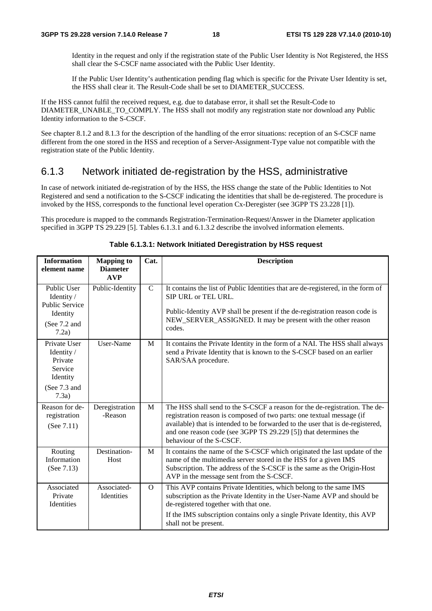Identity in the request and only if the registration state of the Public User Identity is Not Registered, the HSS shall clear the S-CSCF name associated with the Public User Identity.

If the Public User Identity's authentication pending flag which is specific for the Private User Identity is set, the HSS shall clear it. The Result-Code shall be set to DIAMETER\_SUCCESS.

If the HSS cannot fulfil the received request, e.g. due to database error, it shall set the Result-Code to DIAMETER\_UNABLE\_TO\_COMPLY. The HSS shall not modify any registration state nor download any Public Identity information to the S-CSCF.

See chapter 8.1.2 and 8.1.3 for the description of the handling of the error situations: reception of an S-CSCF name different from the one stored in the HSS and reception of a Server-Assignment-Type value not compatible with the registration state of the Public Identity.

#### 6.1.3 Network initiated de-registration by the HSS, administrative

In case of network initiated de-registration of by the HSS, the HSS change the state of the Public Identities to Not Registered and send a notification to the S-CSCF indicating the identities that shall be de-registered. The procedure is invoked by the HSS, corresponds to the functional level operation Cx-Deregister (see 3GPP TS 23.228 [1]).

This procedure is mapped to the commands Registration-Termination-Request/Answer in the Diameter application specified in 3GPP TS 29.229 [5]. Tables 6.1.3.1 and 6.1.3.2 describe the involved information elements.

| <b>Information</b><br>element name                                                      | <b>Mapping to</b><br><b>Diameter</b><br><b>AVP</b> | Cat.          | <b>Description</b>                                                                                                                                                                                                                                                                                                                    |
|-----------------------------------------------------------------------------------------|----------------------------------------------------|---------------|---------------------------------------------------------------------------------------------------------------------------------------------------------------------------------------------------------------------------------------------------------------------------------------------------------------------------------------|
| Public User<br>Identity /<br><b>Public Service</b><br>Identity<br>(See 7.2 and<br>7.2a) | Public-Identity                                    | $\mathcal{C}$ | It contains the list of Public Identities that are de-registered, in the form of<br>SIP URL or TEL URL.<br>Public-Identity AVP shall be present if the de-registration reason code is<br>NEW_SERVER_ASSIGNED. It may be present with the other reason<br>codes.                                                                       |
| Private User<br>Identity /<br>Private<br>Service<br>Identity<br>(See $7.3$ and<br>7.3a) | User-Name                                          | M             | It contains the Private Identity in the form of a NAI. The HSS shall always<br>send a Private Identity that is known to the S-CSCF based on an earlier<br>SAR/SAA procedure.                                                                                                                                                          |
| Reason for de-<br>registration<br>(See $7.11$ )                                         | Deregistration<br>-Reason                          | M             | The HSS shall send to the S-CSCF a reason for the de-registration. The de-<br>registration reason is composed of two parts: one textual message (if<br>available) that is intended to be forwarded to the user that is de-registered,<br>and one reason code (see 3GPP TS 29.229 [5]) that determines the<br>behaviour of the S-CSCF. |
| Routing<br>Information<br>(See $7.13$ )                                                 | Destination-<br>Host                               | M             | It contains the name of the S-CSCF which originated the last update of the<br>name of the multimedia server stored in the HSS for a given IMS<br>Subscription. The address of the S-CSCF is the same as the Origin-Host<br>AVP in the message sent from the S-CSCF.                                                                   |
| Associated<br>Private<br><b>Identities</b>                                              | Associated-<br>Identities                          | $\Omega$      | This AVP contains Private Identities, which belong to the same IMS<br>subscription as the Private Identity in the User-Name AVP and should be<br>de-registered together with that one.<br>If the IMS subscription contains only a single Private Identity, this AVP<br>shall not be present.                                          |

**Table 6.1.3.1: Network Initiated Deregistration by HSS request**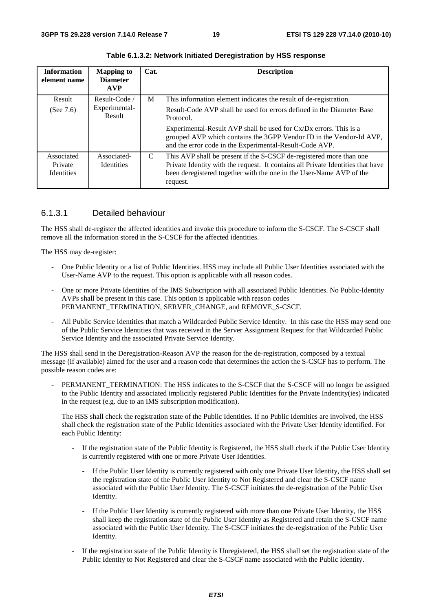| <b>Information</b><br>element name         | <b>Mapping to</b><br><b>Diameter</b><br><b>AVP</b> | Cat.          | <b>Description</b>                                                                                                                                                                                                                                                                                                                                             |
|--------------------------------------------|----------------------------------------------------|---------------|----------------------------------------------------------------------------------------------------------------------------------------------------------------------------------------------------------------------------------------------------------------------------------------------------------------------------------------------------------------|
| Result<br>(See $7.6$ )                     | Result-Code<br>Experimental-<br>Result             | M             | This information element indicates the result of de-registration.<br>Result-Code AVP shall be used for errors defined in the Diameter Base<br>Protocol.<br>Experimental-Result AVP shall be used for Cx/Dx errors. This is a<br>grouped AVP which contains the 3GPP Vendor ID in the Vendor-Id AVP,<br>and the error code in the Experimental-Result-Code AVP. |
| Associated<br>Private<br><b>Identities</b> | Associated-<br><b>Identities</b>                   | $\mathcal{C}$ | This AVP shall be present if the S-CSCF de-registered more than one<br>Private Identity with the request. It contains all Private Identities that have<br>been deregistered together with the one in the User-Name AVP of the<br>request.                                                                                                                      |

**Table 6.1.3.2: Network Initiated Deregistration by HSS response** 

#### 6.1.3.1 Detailed behaviour

The HSS shall de-register the affected identities and invoke this procedure to inform the S-CSCF. The S-CSCF shall remove all the information stored in the S-CSCF for the affected identities.

The HSS may de-register:

- One Public Identity or a list of Public Identities. HSS may include all Public User Identities associated with the User-Name AVP to the request. This option is applicable with all reason codes.
- One or more Private Identities of the IMS Subscription with all associated Public Identities. No Public-Identity AVPs shall be present in this case. This option is applicable with reason codes PERMANENT\_TERMINATION, SERVER\_CHANGE, and REMOVE\_S-CSCF.
- All Public Service Identities that match a Wildcarded Public Service Identity. In this case the HSS may send one of the Public Service Identities that was received in the Server Assignment Request for that Wildcarded Public Service Identity and the associated Private Service Identity.

The HSS shall send in the Deregistration-Reason AVP the reason for the de-registration, composed by a textual message (if available) aimed for the user and a reason code that determines the action the S-CSCF has to perform. The possible reason codes are:

PERMANENT\_TERMINATION: The HSS indicates to the S-CSCF that the S-CSCF will no longer be assigned to the Public Identity and associated implicitly registered Public Identities for the Private Indentity(ies) indicated in the request (e.g. due to an IMS subscription modification).

The HSS shall check the registration state of the Public Identities. If no Public Identities are involved, the HSS shall check the registration state of the Public Identities associated with the Private User Identity identified. For each Public Identity:

- If the registration state of the Public Identity is Registered, the HSS shall check if the Public User Identity is currently registered with one or more Private User Identities.
	- If the Public User Identity is currently registered with only one Private User Identity, the HSS shall set the registration state of the Public User Identity to Not Registered and clear the S-CSCF name associated with the Public User Identity. The S-CSCF initiates the de-registration of the Public User Identity.
	- If the Public User Identity is currently registered with more than one Private User Identity, the HSS shall keep the registration state of the Public User Identity as Registered and retain the S-CSCF name associated with the Public User Identity. The S-CSCF initiates the de-registration of the Public User Identity.
- If the registration state of the Public Identity is Unregistered, the HSS shall set the registration state of the Public Identity to Not Registered and clear the S-CSCF name associated with the Public Identity.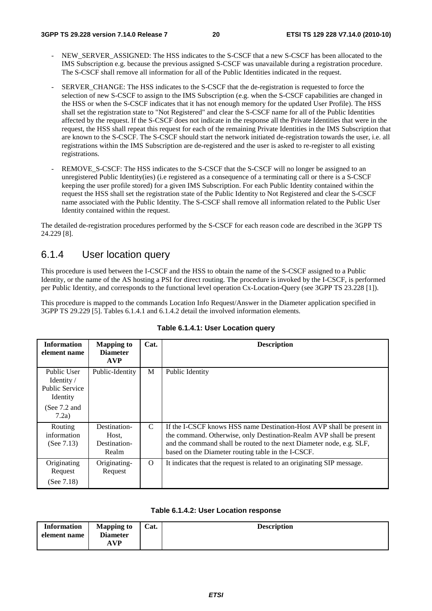- NEW\_SERVER\_ASSIGNED: The HSS indicates to the S-CSCF that a new S-CSCF has been allocated to the IMS Subscription e.g. because the previous assigned S-CSCF was unavailable during a registration procedure. The S-CSCF shall remove all information for all of the Public Identities indicated in the request.
- SERVER CHANGE: The HSS indicates to the S-CSCF that the de-registration is requested to force the selection of new S-CSCF to assign to the IMS Subscription (e.g. when the S-CSCF capabilities are changed in the HSS or when the S-CSCF indicates that it has not enough memory for the updated User Profile). The HSS shall set the registration state to "Not Registered" and clear the S-CSCF name for all of the Public Identities affected by the request. If the S-CSCF does not indicate in the response all the Private Identities that were in the request, the HSS shall repeat this request for each of the remaining Private Identities in the IMS Subscription that are known to the S-CSCF. The S-CSCF should start the network initiated de-registration towards the user, i.e. all registrations within the IMS Subscription are de-registered and the user is asked to re-register to all existing registrations.
- REMOVE S-CSCF: The HSS indicates to the S-CSCF that the S-CSCF will no longer be assigned to an unregistered Public Identity(ies) (i.e registered as a consequence of a terminating call or there is a S-CSCF keeping the user profile stored) for a given IMS Subscription. For each Public Identity contained within the request the HSS shall set the registration state of the Public Identity to Not Registered and clear the S-CSCF name associated with the Public Identity. The S-CSCF shall remove all information related to the Public User Identity contained within the request.

The detailed de-registration procedures performed by the S-CSCF for each reason code are described in the 3GPP TS 24.229 [8].

#### 6.1.4 User location query

This procedure is used between the I-CSCF and the HSS to obtain the name of the S-CSCF assigned to a Public Identity, or the name of the AS hosting a PSI for direct routing. The procedure is invoked by the I-CSCF, is performed per Public Identity, and corresponds to the functional level operation Cx-Location-Query (see 3GPP TS 23.228 [1]).

This procedure is mapped to the commands Location Info Request/Answer in the Diameter application specified in 3GPP TS 29.229 [5]. Tables 6.1.4.1 and 6.1.4.2 detail the involved information elements.

| <b>Information</b><br>element name                             | <b>Mapping to</b><br><b>Diameter</b><br><b>AVP</b> | Cat.     | <b>Description</b>                                                                                                                                                                                                                                                         |
|----------------------------------------------------------------|----------------------------------------------------|----------|----------------------------------------------------------------------------------------------------------------------------------------------------------------------------------------------------------------------------------------------------------------------------|
| Public User<br>Identity /<br><b>Public Service</b><br>Identity | Public-Identity                                    | M        | Public Identity                                                                                                                                                                                                                                                            |
| (See $7.2$ and<br>7.2a)                                        |                                                    |          |                                                                                                                                                                                                                                                                            |
| Routing<br>information<br>(See $7.13$ )                        | Destination-<br>Host,<br>Destination-<br>Realm     | C        | If the I-CSCF knows HSS name Destination-Host AVP shall be present in<br>the command. Otherwise, only Destination-Realm AVP shall be present<br>and the command shall be routed to the next Diameter node, e.g. SLF,<br>based on the Diameter routing table in the I-CSCF. |
| Originating<br>Request<br>(See 7.18)                           | Originating-<br>Request                            | $\Omega$ | It indicates that the request is related to an originating SIP message.                                                                                                                                                                                                    |

#### **Table 6.1.4.1: User Location query**

#### **Table 6.1.4.2: User Location response**

| <b>Information</b> | <b>Mapping to</b> | Cat. | <b>Description</b> |
|--------------------|-------------------|------|--------------------|
| element name       | <b>Diameter</b>   |      |                    |
|                    | <b>AVP</b>        |      |                    |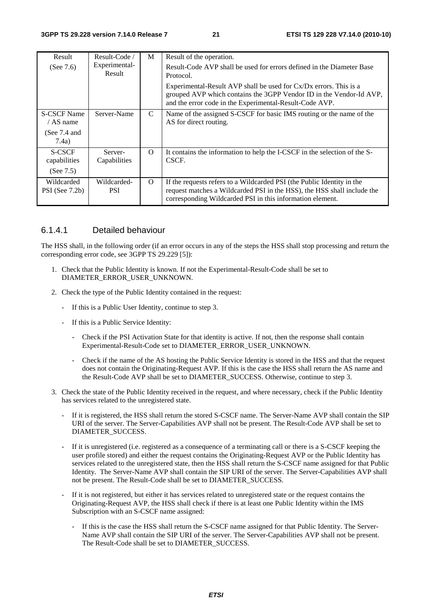| Result                           | Result-Code /             | M        | Result of the operation.                                                                                                                                                                                       |
|----------------------------------|---------------------------|----------|----------------------------------------------------------------------------------------------------------------------------------------------------------------------------------------------------------------|
| (See $7.6$ )                     | Experimental-<br>Result   |          | Result-Code AVP shall be used for errors defined in the Diameter Base<br>Protocol.                                                                                                                             |
|                                  |                           |          | Experimental-Result AVP shall be used for $Cx/Dx$ errors. This is a<br>grouped AVP which contains the 3GPP Vendor ID in the Vendor-Id AVP,<br>and the error code in the Experimental-Result-Code AVP.          |
| <b>S-CSCF Name</b><br>$/AS$ name | Server-Name               | C        | Name of the assigned S-CSCF for basic IMS routing or the name of the<br>AS for direct routing.                                                                                                                 |
| (See $7.4$ and<br>7.4a)          |                           |          |                                                                                                                                                                                                                |
| <b>S-CSCF</b><br>capabilities    | Server-<br>Capabilities   | $\Omega$ | It contains the information to help the I-CSCF in the selection of the S-<br>CSCF.                                                                                                                             |
| (See $7.5$ )                     |                           |          |                                                                                                                                                                                                                |
| Wildcarded<br>$PSI$ (See 7.2b)   | Wildcarded-<br><b>PSI</b> | $\Omega$ | If the requests refers to a Wildcarded PSI (the Public Identity in the<br>request matches a Wildcarded PSI in the HSS), the HSS shall include the<br>corresponding Wildcarded PSI in this information element. |

#### 6.1.4.1 Detailed behaviour

The HSS shall, in the following order (if an error occurs in any of the steps the HSS shall stop processing and return the corresponding error code, see 3GPP TS 29.229 [5]):

- 1. Check that the Public Identity is known. If not the Experimental-Result-Code shall be set to DIAMETER\_ERROR\_USER\_UNKNOWN.
- 2. Check the type of the Public Identity contained in the request:
	- If this is a Public User Identity, continue to step 3.
	- If this is a Public Service Identity:
		- Check if the PSI Activation State for that identity is active. If not, then the response shall contain Experimental-Result-Code set to DIAMETER\_ERROR\_USER\_UNKNOWN.
		- Check if the name of the AS hosting the Public Service Identity is stored in the HSS and that the request does not contain the Originating-Request AVP. If this is the case the HSS shall return the AS name and the Result-Code AVP shall be set to DIAMETER\_SUCCESS. Otherwise, continue to step 3.
- 3. Check the state of the Public Identity received in the request, and where necessary, check if the Public Identity has services related to the unregistered state.
	- If it is registered, the HSS shall return the stored S-CSCF name. The Server-Name AVP shall contain the SIP URI of the server. The Server-Capabilities AVP shall not be present. The Result-Code AVP shall be set to DIAMETER\_SUCCESS.
	- If it is unregistered (i.e. registered as a consequence of a terminating call or there is a S-CSCF keeping the user profile stored) and either the request contains the Originating-Request AVP or the Public Identity has services related to the unregistered state, then the HSS shall return the S-CSCF name assigned for that Public Identity. The Server-Name AVP shall contain the SIP URI of the server. The Server-Capabilities AVP shall not be present. The Result-Code shall be set to DIAMETER\_SUCCESS.
	- If it is not registered, but either it has services related to unregistered state or the request contains the Originating-Request AVP, the HSS shall check if there is at least one Public Identity within the IMS Subscription with an S-CSCF name assigned:
		- If this is the case the HSS shall return the S-CSCF name assigned for that Public Identity. The Server-Name AVP shall contain the SIP URI of the server. The Server-Capabilities AVP shall not be present. The Result-Code shall be set to DIAMETER\_SUCCESS.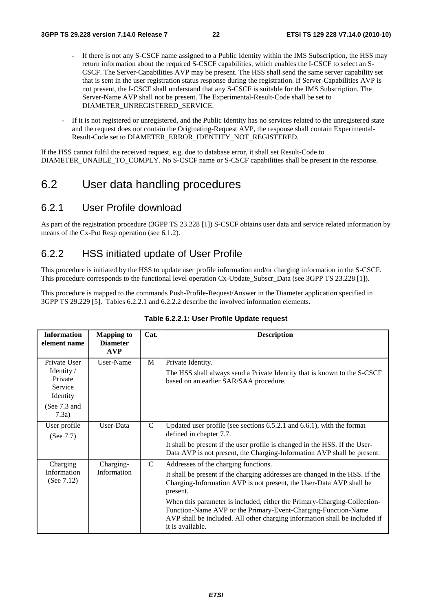- If there is not any S-CSCF name assigned to a Public Identity within the IMS Subscription, the HSS may return information about the required S-CSCF capabilities, which enables the I-CSCF to select an S-CSCF. The Server-Capabilities AVP may be present. The HSS shall send the same server capability set that is sent in the user registration status response during the registration. If Server-Capabilities AVP is not present, the I-CSCF shall understand that any S-CSCF is suitable for the IMS Subscription. The Server-Name AVP shall not be present. The Experimental-Result-Code shall be set to DIAMETER\_UNREGISTERED\_SERVICE.
- If it is not registered or unregistered, and the Public Identity has no services related to the unregistered state and the request does not contain the Originating-Request AVP, the response shall contain Experimental-Result-Code set to DIAMETER\_ERROR\_IDENTITY\_NOT\_REGISTERED.

If the HSS cannot fulfil the received request, e.g. due to database error, it shall set Result-Code to DIAMETER\_UNABLE\_TO\_COMPLY. No S-CSCF name or S-CSCF capabilities shall be present in the response.

### 6.2 User data handling procedures

#### 6.2.1 User Profile download

As part of the registration procedure (3GPP TS 23.228 [1]) S-CSCF obtains user data and service related information by means of the Cx-Put Resp operation (see 6.1.2).

#### 6.2.2 HSS initiated update of User Profile

This procedure is initiated by the HSS to update user profile information and/or charging information in the S-CSCF. This procedure corresponds to the functional level operation Cx-Update\_Subscr\_Data (see 3GPP TS 23.228 [1]).

This procedure is mapped to the commands Push-Profile-Request/Answer in the Diameter application specified in 3GPP TS 29.229 [5]. Tables 6.2.2.1 and 6.2.2.2 describe the involved information elements.

| <b>Information</b><br>element name                                    | <b>Mapping to</b><br><b>Diameter</b> | Cat.          | <b>Description</b>                                                                                                                                                                                                                          |
|-----------------------------------------------------------------------|--------------------------------------|---------------|---------------------------------------------------------------------------------------------------------------------------------------------------------------------------------------------------------------------------------------------|
|                                                                       | <b>AVP</b>                           |               |                                                                                                                                                                                                                                             |
| Private User<br>Identity $\sqrt{ }$<br>Private<br>Service<br>Identity | User-Name                            | M             | Private Identity.<br>The HSS shall always send a Private Identity that is known to the S-CSCF<br>based on an earlier SAR/SAA procedure.                                                                                                     |
| (See $7.3$ and<br>7.3a)                                               |                                      |               |                                                                                                                                                                                                                                             |
| User profile<br>(See $7.7$ )                                          | User-Data                            | $\mathcal{C}$ | Updated user profile (see sections $6.5.2.1$ and $6.6.1$ ), with the format<br>defined in chapter 7.7.                                                                                                                                      |
|                                                                       |                                      |               | It shall be present if the user profile is changed in the HSS. If the User-<br>Data AVP is not present, the Charging-Information AVP shall be present.                                                                                      |
| Charging                                                              | Charging-                            | $\mathcal{C}$ | Addresses of the charging functions.                                                                                                                                                                                                        |
| Information<br>(See $7.12$ )                                          | Information                          |               | It shall be present if the charging addresses are changed in the HSS. If the<br>Charging-Information AVP is not present, the User-Data AVP shall be<br>present.                                                                             |
|                                                                       |                                      |               | When this parameter is included, either the Primary-Charging-Collection-<br>Function-Name AVP or the Primary-Event-Charging-Function-Name<br>AVP shall be included. All other charging information shall be included if<br>it is available. |

#### **Table 6.2.2.1: User Profile Update request**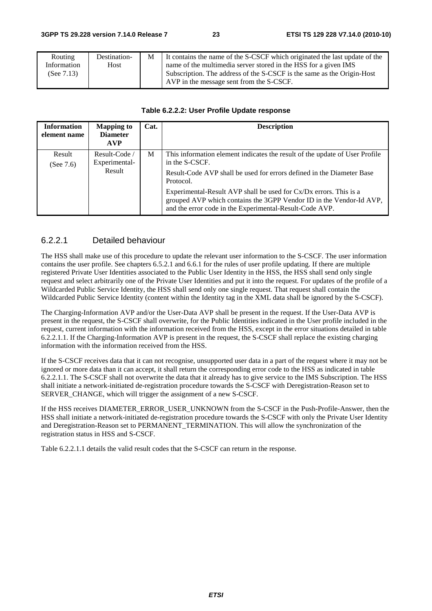| Routing     | Destination- | М | It contains the name of the S-CSCF which originated the last update of the |
|-------------|--------------|---|----------------------------------------------------------------------------|
| Information | Host         |   | name of the multimedia server stored in the HSS for a given IMS            |
| (See 7.13)  |              |   | Subscription. The address of the S-CSCF is the same as the Origin-Host     |
|             |              |   | AVP in the message sent from the S-CSCF.                                   |

#### **Table 6.2.2.2: User Profile Update response**

| <b>Information</b><br>element name | <b>Mapping to</b><br><b>Diameter</b><br><b>AVP</b> | Cat. | <b>Description</b>                                                                                                                                                                                  |
|------------------------------------|----------------------------------------------------|------|-----------------------------------------------------------------------------------------------------------------------------------------------------------------------------------------------------|
| Result<br>(See $7.6$ )             | Result-Code /<br>Experimental-                     | M    | This information element indicates the result of the update of User Profile<br>in the S-CSCF.                                                                                                       |
|                                    | Result                                             |      | Result-Code AVP shall be used for errors defined in the Diameter Base<br>Protocol.                                                                                                                  |
|                                    |                                                    |      | Experimental-Result AVP shall be used for Cx/Dx errors. This is a<br>grouped AVP which contains the 3GPP Vendor ID in the Vendor-Id AVP,<br>and the error code in the Experimental-Result-Code AVP. |

#### 6.2.2.1 Detailed behaviour

The HSS shall make use of this procedure to update the relevant user information to the S-CSCF. The user information contains the user profile. See chapters 6.5.2.1 and 6.6.1 for the rules of user profile updating. If there are multiple registered Private User Identities associated to the Public User Identity in the HSS, the HSS shall send only single request and select arbitrarily one of the Private User Identities and put it into the request. For updates of the profile of a Wildcarded Public Service Identity, the HSS shall send only one single request. That request shall contain the Wildcarded Public Service Identity (content within the Identity tag in the XML data shall be ignored by the S-CSCF).

The Charging-Information AVP and/or the User-Data AVP shall be present in the request. If the User-Data AVP is present in the request, the S-CSCF shall overwrite, for the Public Identities indicated in the User profile included in the request, current information with the information received from the HSS, except in the error situations detailed in table 6.2.2.1.1. If the Charging-Information AVP is present in the request, the S-CSCF shall replace the existing charging information with the information received from the HSS.

If the S-CSCF receives data that it can not recognise, unsupported user data in a part of the request where it may not be ignored or more data than it can accept, it shall return the corresponding error code to the HSS as indicated in table 6.2.2.1.1. The S-CSCF shall not overwrite the data that it already has to give service to the IMS Subscription. The HSS shall initiate a network-initiated de-registration procedure towards the S-CSCF with Deregistration-Reason set to SERVER\_CHANGE, which will trigger the assignment of a new S-CSCF.

If the HSS receives DIAMETER\_ERROR\_USER\_UNKNOWN from the S-CSCF in the Push-Profile-Answer, then the HSS shall initiate a network-initiated de-registration procedure towards the S-CSCF with only the Private User Identity and Deregistration-Reason set to PERMANENT\_TERMINATION. This will allow the synchronization of the registration status in HSS and S-CSCF.

Table 6.2.2.1.1 details the valid result codes that the S-CSCF can return in the response.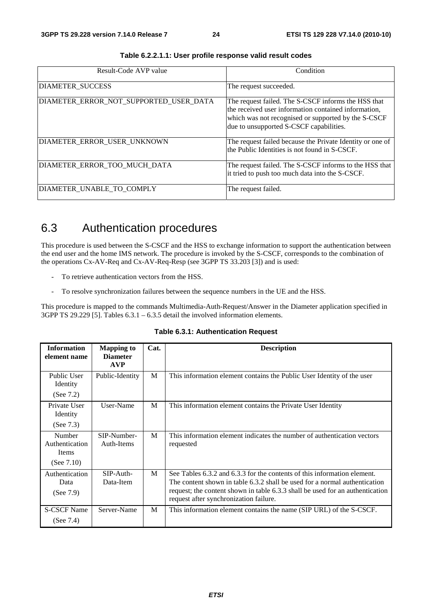| Result-Code AVP value                  | Condition                                                                                                                                                                                                     |
|----------------------------------------|---------------------------------------------------------------------------------------------------------------------------------------------------------------------------------------------------------------|
| DIAMETER_SUCCESS                       | The request succeeded.                                                                                                                                                                                        |
| DIAMETER_ERROR_NOT_SUPPORTED_USER_DATA | The request failed. The S-CSCF informs the HSS that<br>the received user information contained information,<br>which was not recognised or supported by the S-CSCF<br>due to unsupported S-CSCF capabilities. |
| DIAMETER ERROR USER UNKNOWN            | The request failed because the Private Identity or one of<br>the Public Identities is not found in S-CSCF.                                                                                                    |
| DIAMETER ERROR TOO MUCH DATA           | The request failed. The S-CSCF informs to the HSS that<br>it tried to push too much data into the S-CSCF.                                                                                                     |
| DIAMETER UNABLE TO COMPLY              | The request failed.                                                                                                                                                                                           |

**Table 6.2.2.1.1: User profile response valid result codes** 

## 6.3 Authentication procedures

This procedure is used between the S-CSCF and the HSS to exchange information to support the authentication between the end user and the home IMS network. The procedure is invoked by the S-CSCF, corresponds to the combination of the operations Cx-AV-Req and Cx-AV-Req-Resp (see 3GPP TS 33.203 [3]) and is used:

- To retrieve authentication vectors from the HSS.
- To resolve synchronization failures between the sequence numbers in the UE and the HSS.

This procedure is mapped to the commands Multimedia-Auth-Request/Answer in the Diameter application specified in 3GPP TS 29.229 [5]. Tables  $6.3.1 - 6.3.5$  detail the involved information elements.

| Table 6.3.1: Authentication Request |  |
|-------------------------------------|--|
|-------------------------------------|--|

| <b>Information</b><br>element name                        | <b>Mapping to</b><br><b>Diameter</b><br><b>AVP</b> | Cat. | <b>Description</b>                                                                                                                                                                                                                                                                |
|-----------------------------------------------------------|----------------------------------------------------|------|-----------------------------------------------------------------------------------------------------------------------------------------------------------------------------------------------------------------------------------------------------------------------------------|
| Public User<br>Identity<br>(See $7.2$ )                   | Public-Identity                                    | M    | This information element contains the Public User Identity of the user                                                                                                                                                                                                            |
| Private User<br>Identity<br>(See $7.3$ )                  | User-Name                                          | M    | This information element contains the Private User Identity                                                                                                                                                                                                                       |
| Number<br>Authentication<br><b>Items</b><br>(See $7.10$ ) | SIP-Number-<br>Auth-Items                          | M    | This information element indicates the number of authentication vectors<br>requested                                                                                                                                                                                              |
| Authentication<br>Data<br>(See $7.9$ )                    | $SIP$ -Auth-<br>Data-Item                          | M    | See Tables 6.3.2 and 6.3.3 for the contents of this information element.<br>The content shown in table 6.3.2 shall be used for a normal authentication<br>request; the content shown in table 6.3.3 shall be used for an authentication<br>request after synchronization failure. |
| <b>S-CSCF Name</b><br>(See $7.4$ )                        | Server-Name                                        | M    | This information element contains the name (SIP URL) of the S-CSCF.                                                                                                                                                                                                               |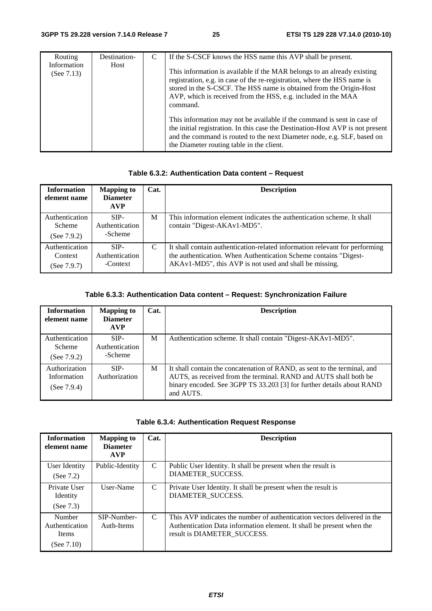| Routing                              | Destination- | C                                                                                                                                                                                                                                                                                           | If the S-CSCF knows the HSS name this AVP shall be present.                                                                                                                                                                                                                       |
|--------------------------------------|--------------|---------------------------------------------------------------------------------------------------------------------------------------------------------------------------------------------------------------------------------------------------------------------------------------------|-----------------------------------------------------------------------------------------------------------------------------------------------------------------------------------------------------------------------------------------------------------------------------------|
| Information<br>Host<br>(See $7.13$ ) |              | This information is available if the MAR belongs to an already existing<br>registration, e.g. in case of the re-registration, where the HSS name is<br>stored in the S-CSCF. The HSS name is obtained from the Origin-Host<br>AVP, which is received from the HSS, e.g. included in the MAA |                                                                                                                                                                                                                                                                                   |
|                                      |              |                                                                                                                                                                                                                                                                                             | command.                                                                                                                                                                                                                                                                          |
|                                      |              |                                                                                                                                                                                                                                                                                             | This information may not be available if the command is sent in case of<br>the initial registration. In this case the Destination-Host AVP is not present<br>and the command is routed to the next Diameter node, e.g. SLF, based on<br>the Diameter routing table in the client. |

#### **Table 6.3.2: Authentication Data content – Request**

| <b>Information</b><br>element name          | <b>Mapping to</b><br><b>Diameter</b><br><b>AVP</b> | Cat. | <b>Description</b>                                                                                                                                                                                        |
|---------------------------------------------|----------------------------------------------------|------|-----------------------------------------------------------------------------------------------------------------------------------------------------------------------------------------------------------|
| Authentication<br>Scheme<br>(See $7.9.2$ )  | SIP-<br>Authentication<br>-Scheme                  | M    | This information element indicates the authentication scheme. It shall<br>contain "Digest-AKAv1-MD5".                                                                                                     |
| Authentication<br>Context<br>(See $7.9.7$ ) | $SIP-$<br>Authentication<br>-Context               | C    | It shall contain authentication-related information relevant for performing<br>the authentication. When Authentication Scheme contains "Digest-<br>AKAv1-MD5", this AVP is not used and shall be missing. |

#### **Table 6.3.3: Authentication Data content – Request: Synchronization Failure**

| <b>Information</b><br>element name             | <b>Mapping to</b><br><b>Diameter</b><br><b>AVP</b> | Cat. | <b>Description</b>                                                                                                                                                                                                                 |
|------------------------------------------------|----------------------------------------------------|------|------------------------------------------------------------------------------------------------------------------------------------------------------------------------------------------------------------------------------------|
| Authentication<br>Scheme<br>(See $7.9.2$ )     | SIP-<br>Authentication<br>-Scheme                  | M    | Authentication scheme. It shall contain "Digest-AKAv1-MD5".                                                                                                                                                                        |
| Authorization<br>Information<br>(See $7.9.4$ ) | $SIP-$<br>Authorization                            | M    | It shall contain the concatenation of RAND, as sent to the terminal, and<br>AUTS, as received from the terminal. RAND and AUTS shall both be<br>binary encoded. See 3GPP TS 33.203 [3] for further details about RAND<br>and AUTS. |

| <b>Information</b><br>element name                     | <b>Mapping to</b><br><b>Diameter</b><br><b>AVP</b> | Cat.          | <b>Description</b>                                                                                                                                                               |
|--------------------------------------------------------|----------------------------------------------------|---------------|----------------------------------------------------------------------------------------------------------------------------------------------------------------------------------|
| User Identity<br>(See $7.2$ )                          | Public-Identity                                    | $\mathcal{C}$ | Public User Identity. It shall be present when the result is<br>DIAMETER SUCCESS.                                                                                                |
| Private User<br>Identity<br>(See $7.3$ )               | User-Name                                          | C             | Private User Identity. It shall be present when the result is<br>DIAMETER SUCCESS.                                                                                               |
| Number<br>Authentication<br><b>Items</b><br>(See 7.10) | SIP-Number-<br>Auth-Items                          | $\mathcal{C}$ | This AVP indicates the number of authentication vectors delivered in the<br>Authentication Data information element. It shall be present when the<br>result is DIAMETER SUCCESS. |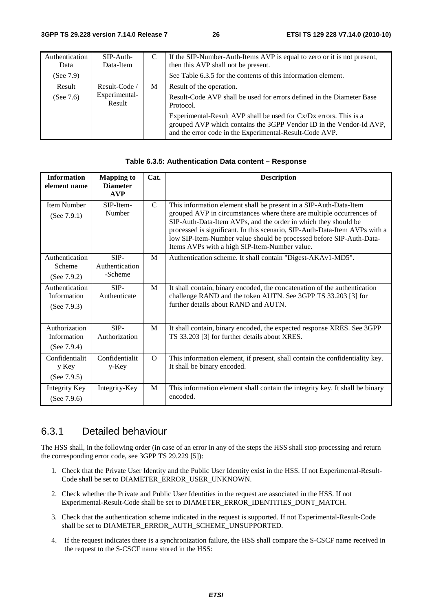| Authentication<br>Data | $SIP-Auth-$<br>Data-Item | C | If the SIP-Number-Auth-Items AVP is equal to zero or it is not present,<br>then this AVP shall not be present.                                                                                      |
|------------------------|--------------------------|---|-----------------------------------------------------------------------------------------------------------------------------------------------------------------------------------------------------|
| (See $7.9$ )           |                          |   | See Table 6.3.5 for the contents of this information element.                                                                                                                                       |
| Result                 | Result-Code /            | M | Result of the operation.                                                                                                                                                                            |
| (See $7.6$ )           | Experimental-<br>Result  |   | Result-Code AVP shall be used for errors defined in the Diameter Base<br>Protocol.                                                                                                                  |
|                        |                          |   | Experimental-Result AVP shall be used for Cx/Dx errors. This is a<br>grouped AVP which contains the 3GPP Vendor ID in the Vendor-Id AVP,<br>and the error code in the Experimental-Result-Code AVP. |

#### **Table 6.3.5: Authentication Data content – Response**

| <b>Information</b><br>element name              | <b>Mapping to</b><br><b>Diameter</b><br>AVP | Cat.          | <b>Description</b>                                                                                                                                                                                                                                                                                                                                                                                                |
|-------------------------------------------------|---------------------------------------------|---------------|-------------------------------------------------------------------------------------------------------------------------------------------------------------------------------------------------------------------------------------------------------------------------------------------------------------------------------------------------------------------------------------------------------------------|
| <b>Item Number</b><br>(See 7.9.1)               | SIP-Item-<br>Number                         | $\mathcal{C}$ | This information element shall be present in a SIP-Auth-Data-Item<br>grouped AVP in circumstances where there are multiple occurrences of<br>SIP-Auth-Data-Item AVPs, and the order in which they should be<br>processed is significant. In this scenario, SIP-Auth-Data-Item AVPs with a<br>low SIP-Item-Number value should be processed before SIP-Auth-Data-<br>Items AVPs with a high SIP-Item-Number value. |
| Authentication<br>Scheme<br>(See $7.9.2$ )      | $SIP-$<br>Authentication<br>-Scheme         | M             | Authentication scheme. It shall contain "Digest-AKAv1-MD5".                                                                                                                                                                                                                                                                                                                                                       |
| Authentication<br>Information<br>(See $7.9.3$ ) | SIP-<br>Authenticate                        | M             | It shall contain, binary encoded, the concatenation of the authentication<br>challenge RAND and the token AUTN. See 3GPP TS 33.203 [3] for<br>further details about RAND and AUTN.                                                                                                                                                                                                                                |
| Authorization<br>Information<br>(See $7.9.4$ )  | $SIP-$<br>Authorization                     | M             | It shall contain, binary encoded, the expected response XRES. See 3GPP<br>TS 33.203 [3] for further details about XRES.                                                                                                                                                                                                                                                                                           |
| Confidentialit<br>y Key<br>(See $7.9.5$ )       | Confidentialit<br>y-Key                     | $\Omega$      | This information element, if present, shall contain the confidentiality key.<br>It shall be binary encoded.                                                                                                                                                                                                                                                                                                       |
| Integrity Key<br>(See $7.9.6$ )                 | Integrity-Key                               | M             | This information element shall contain the integrity key. It shall be binary<br>encoded.                                                                                                                                                                                                                                                                                                                          |

#### 6.3.1 Detailed behaviour

The HSS shall, in the following order (in case of an error in any of the steps the HSS shall stop processing and return the corresponding error code, see 3GPP TS 29.229 [5]):

- 1. Check that the Private User Identity and the Public User Identity exist in the HSS. If not Experimental-Result-Code shall be set to DIAMETER\_ERROR\_USER\_UNKNOWN.
- 2. Check whether the Private and Public User Identities in the request are associated in the HSS. If not Experimental-Result-Code shall be set to DIAMETER\_ERROR\_IDENTITIES\_DONT\_MATCH.
- 3. Check that the authentication scheme indicated in the request is supported. If not Experimental-Result-Code shall be set to DIAMETER\_ERROR\_AUTH\_SCHEME\_UNSUPPORTED.
- 4. If the request indicates there is a synchronization failure, the HSS shall compare the S-CSCF name received in the request to the S-CSCF name stored in the HSS: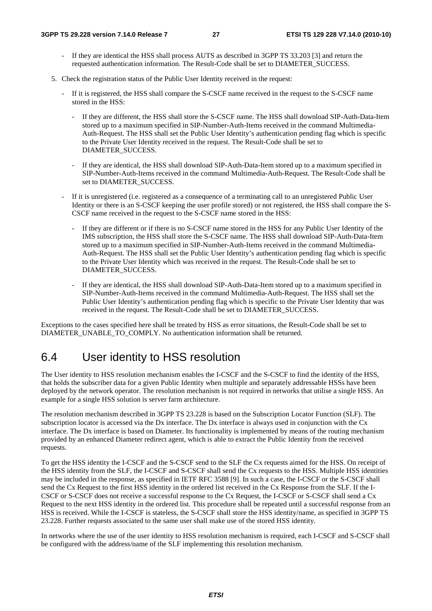- If they are identical the HSS shall process AUTS as described in 3GPP TS 33.203 [3] and return the requested authentication information. The Result-Code shall be set to DIAMETER\_SUCCESS.
- 5. Check the registration status of the Public User Identity received in the request:
	- If it is registered, the HSS shall compare the S-CSCF name received in the request to the S-CSCF name stored in the HSS:
		- If they are different, the HSS shall store the S-CSCF name. The HSS shall download SIP-Auth-Data-Item stored up to a maximum specified in SIP-Number-Auth-Items received in the command Multimedia-Auth-Request. The HSS shall set the Public User Identity's authentication pending flag which is specific to the Private User Identity received in the request. The Result-Code shall be set to DIAMETER\_SUCCESS.
		- If they are identical, the HSS shall download SIP-Auth-Data-Item stored up to a maximum specified in SIP-Number-Auth-Items received in the command Multimedia-Auth-Request. The Result-Code shall be set to DIAMETER\_SUCCESS.
	- If it is unregistered (i.e. registered as a consequence of a terminating call to an unregistered Public User Identity or there is an S-CSCF keeping the user profile stored) or not registered, the HSS shall compare the S-CSCF name received in the request to the S-CSCF name stored in the HSS:
		- If they are different or if there is no S-CSCF name stored in the HSS for any Public User Identity of the IMS subscription, the HSS shall store the S-CSCF name. The HSS shall download SIP-Auth-Data-Item stored up to a maximum specified in SIP-Number-Auth-Items received in the command Multimedia-Auth-Request. The HSS shall set the Public User Identity's authentication pending flag which is specific to the Private User Identity which was received in the request. The Result-Code shall be set to DIAMETER\_SUCCESS.
		- If they are identical, the HSS shall download SIP-Auth-Data-Item stored up to a maximum specified in SIP-Number-Auth-Items received in the command Multimedia-Auth-Request. The HSS shall set the Public User Identity's authentication pending flag which is specific to the Private User Identity that was received in the request. The Result-Code shall be set to DIAMETER\_SUCCESS.

Exceptions to the cases specified here shall be treated by HSS as error situations, the Result-Code shall be set to DIAMETER\_UNABLE\_TO\_COMPLY. No authentication information shall be returned.

### 6.4 User identity to HSS resolution

The User identity to HSS resolution mechanism enables the I-CSCF and the S-CSCF to find the identity of the HSS, that holds the subscriber data for a given Public Identity when multiple and separately addressable HSSs have been deployed by the network operator. The resolution mechanism is not required in networks that utilise a single HSS. An example for a single HSS solution is server farm architecture.

The resolution mechanism described in 3GPP TS 23.228 is based on the Subscription Locator Function (SLF). The subscription locator is accessed via the Dx interface. The Dx interface is always used in conjunction with the Cx interface. The Dx interface is based on Diameter. Its functionality is implemented by means of the routing mechanism provided by an enhanced Diameter redirect agent, which is able to extract the Public Identity from the received requests.

To get the HSS identity the I-CSCF and the S-CSCF send to the SLF the Cx requests aimed for the HSS. On receipt of the HSS identity from the SLF, the I-CSCF and S-CSCF shall send the Cx requests to the HSS. Multiple HSS identities may be included in the response, as specified in IETF RFC 3588 [9]. In such a case, the I-CSCF or the S-CSCF shall send the Cx Request to the first HSS identity in the ordered list received in the Cx Response from the SLF. If the I-CSCF or S-CSCF does not receive a successful response to the Cx Request, the I-CSCF or S-CSCF shall send a Cx Request to the next HSS identity in the ordered list. This procedure shall be repeated until a successful response from an HSS is received. While the I-CSCF is stateless, the S-CSCF shall store the HSS identity/name, as specified in 3GPP TS 23.228. Further requests associated to the same user shall make use of the stored HSS identity.

In networks where the use of the user identity to HSS resolution mechanism is required, each I-CSCF and S-CSCF shall be configured with the address/name of the SLF implementing this resolution mechanism.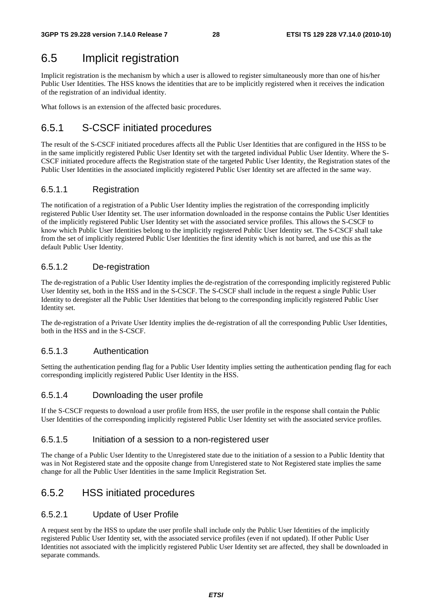## 6.5 Implicit registration

Implicit registration is the mechanism by which a user is allowed to register simultaneously more than one of his/her Public User Identities. The HSS knows the identities that are to be implicitly registered when it receives the indication of the registration of an individual identity.

What follows is an extension of the affected basic procedures.

### 6.5.1 S-CSCF initiated procedures

The result of the S-CSCF initiated procedures affects all the Public User Identities that are configured in the HSS to be in the same implicitly registered Public User Identity set with the targeted individual Public User Identity. Where the S-CSCF initiated procedure affects the Registration state of the targeted Public User Identity, the Registration states of the Public User Identities in the associated implicitly registered Public User Identity set are affected in the same way.

#### 6.5.1.1 Registration

The notification of a registration of a Public User Identity implies the registration of the corresponding implicitly registered Public User Identity set. The user information downloaded in the response contains the Public User Identities of the implicitly registered Public User Identity set with the associated service profiles. This allows the S-CSCF to know which Public User Identities belong to the implicitly registered Public User Identity set. The S-CSCF shall take from the set of implicitly registered Public User Identities the first identity which is not barred, and use this as the default Public User Identity.

#### 6.5.1.2 De-registration

The de-registration of a Public User Identity implies the de-registration of the corresponding implicitly registered Public User Identity set, both in the HSS and in the S-CSCF. The S-CSCF shall include in the request a single Public User Identity to deregister all the Public User Identities that belong to the corresponding implicitly registered Public User Identity set.

The de-registration of a Private User Identity implies the de-registration of all the corresponding Public User Identities, both in the HSS and in the S-CSCF.

#### 6.5.1.3 Authentication

Setting the authentication pending flag for a Public User Identity implies setting the authentication pending flag for each corresponding implicitly registered Public User Identity in the HSS.

#### 6.5.1.4 Downloading the user profile

If the S-CSCF requests to download a user profile from HSS, the user profile in the response shall contain the Public User Identities of the corresponding implicitly registered Public User Identity set with the associated service profiles.

#### 6.5.1.5 Initiation of a session to a non-registered user

The change of a Public User Identity to the Unregistered state due to the initiation of a session to a Public Identity that was in Not Registered state and the opposite change from Unregistered state to Not Registered state implies the same change for all the Public User Identities in the same Implicit Registration Set.

### 6.5.2 HSS initiated procedures

#### 6.5.2.1 Update of User Profile

A request sent by the HSS to update the user profile shall include only the Public User Identities of the implicitly registered Public User Identity set, with the associated service profiles (even if not updated). If other Public User Identities not associated with the implicitly registered Public User Identity set are affected, they shall be downloaded in separate commands.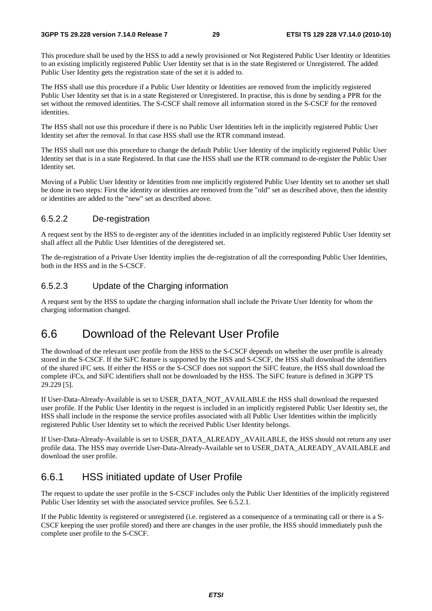This procedure shall be used by the HSS to add a newly provisioned or Not Registered Public User Identity or Identities to an existing implicitly registered Public User Identity set that is in the state Registered or Unregistered. The added Public User Identity gets the registration state of the set it is added to.

The HSS shall use this procedure if a Public User Identity or Identities are removed from the implicitly registered Public User Identity set that is in a state Registered or Unregistered. In practise, this is done by sending a PPR for the set without the removed identities. The S-CSCF shall remove all information stored in the S-CSCF for the removed identities.

The HSS shall not use this procedure if there is no Public User Identities left in the implicitly registered Public User Identity set after the removal. In that case HSS shall use the RTR command instead.

The HSS shall not use this procedure to change the default Public User Identity of the implicitly registered Public User Identity set that is in a state Registered. In that case the HSS shall use the RTR command to de-register the Public User Identity set.

Moving of a Public User Identity or Identities from one implicitly registered Public User Identity set to another set shall be done in two steps: First the identity or identities are removed from the "old" set as described above, then the identity or identities are added to the "new" set as described above.

#### 6.5.2.2 De-registration

A request sent by the HSS to de-register any of the identities included in an implicitly registered Public User Identity set shall affect all the Public User Identities of the deregistered set.

The de-registration of a Private User Identity implies the de-registration of all the corresponding Public User Identities, both in the HSS and in the S-CSCF.

#### 6.5.2.3 Update of the Charging information

A request sent by the HSS to update the charging information shall include the Private User Identity for whom the charging information changed.

### 6.6 Download of the Relevant User Profile

The download of the relevant user profile from the HSS to the S-CSCF depends on whether the user profile is already stored in the S-CSCF. If the SiFC feature is supported by the HSS and S-CSCF, the HSS shall download the identifiers of the shared iFC sets. If either the HSS or the S-CSCF does not support the SiFC feature, the HSS shall download the complete iFCs, and SiFC identifiers shall not be downloaded by the HSS. The SiFC feature is defined in 3GPP TS 29.229 [5].

If User-Data-Already-Available is set to USER\_DATA\_NOT\_AVAILABLE the HSS shall download the requested user profile. If the Public User Identity in the request is included in an implicitly registered Public User Identity set, the HSS shall include in the response the service profiles associated with all Public User Identities within the implicitly registered Public User Identity set to which the received Public User Identity belongs.

If User-Data-Already-Available is set to USER\_DATA\_ALREADY\_AVAILABLE, the HSS should not return any user profile data. The HSS may override User-Data-Already-Available set to USER\_DATA\_ALREADY\_AVAILABLE and download the user profile.

### 6.6.1 HSS initiated update of User Profile

The request to update the user profile in the S-CSCF includes only the Public User Identities of the implicitly registered Public User Identity set with the associated service profiles. See 6.5.2.1.

If the Public Identity is registered or unregistered (i.e. registered as a consequence of a terminating call or there is a S-CSCF keeping the user profile stored) and there are changes in the user profile, the HSS should immediately push the complete user profile to the S-CSCF.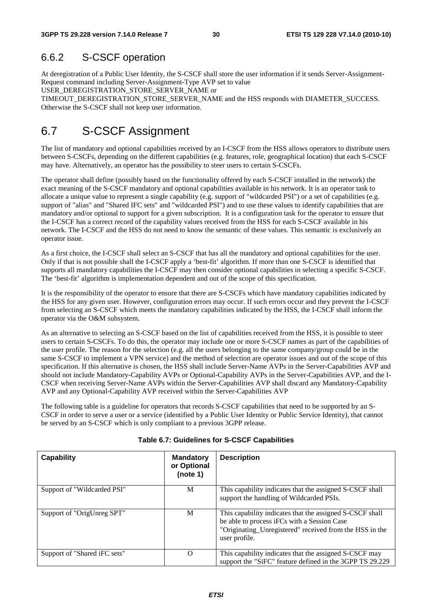### 6.6.2 S-CSCF operation

At deregistration of a Public User Identity, the S-CSCF shall store the user information if it sends Server-Assignment-Request command including Server-Assignment-Type AVP set to value

USER\_DEREGISTRATION\_STORE\_SERVER\_NAME or

TIMEOUT\_DEREGISTRATION\_STORE\_SERVER\_NAME and the HSS responds with DIAMETER\_SUCCESS. Otherwise the S-CSCF shall not keep user information.

## 6.7 S-CSCF Assignment

The list of mandatory and optional capabilities received by an I-CSCF from the HSS allows operators to distribute users between S-CSCFs, depending on the different capabilities (e.g. features, role, geographical location) that each S-CSCF may have. Alternatively, an operator has the possibility to steer users to certain S-CSCFs.

The operator shall define (possibly based on the functionality offered by each S-CSCF installed in the network) the exact meaning of the S-CSCF mandatory and optional capabilities available in his network. It is an operator task to allocate a unique value to represent a single capability (e.g. support of "wildcarded PSI") or a set of capabilities (e.g. support of "alias" and "Shared IFC sets" and "wildcarded PSI") and to use these values to identify capabilities that are mandatory and/or optional to support for a given subscription. It is a configuration task for the operator to ensure that the I-CSCF has a correct record of the capability values received from the HSS for each S-CSCF available in his network. The I-CSCF and the HSS do not need to know the semantic of these values. This semantic is exclusively an operator issue.

As a first choice, the I-CSCF shall select an S-CSCF that has all the mandatory and optional capabilities for the user. Only if that is not possible shall the I-CSCF apply a 'best-fit' algorithm. If more than one S-CSCF is identified that supports all mandatory capabilities the I-CSCF may then consider optional capabilities in selecting a specific S-CSCF. The 'best-fit' algorithm is implementation dependent and out of the scope of this specification.

It is the responsibility of the operator to ensure that there are S-CSCFs which have mandatory capabilities indicated by the HSS for any given user. However, configuration errors may occur. If such errors occur and they prevent the I-CSCF from selecting an S-CSCF which meets the mandatory capabilities indicated by the HSS, the I-CSCF shall inform the operator via the O&M subsystem.

As an alternative to selecting an S-CSCF based on the list of capabilities received from the HSS, it is possible to steer users to certain S-CSCFs. To do this, the operator may include one or more S-CSCF names as part of the capabilities of the user profile. The reason for the selection (e.g. all the users belonging to the same company/group could be in the same S-CSCF to implement a VPN service) and the method of selection are operator issues and out of the scope of this specification. If this alternative is chosen, the HSS shall include Server-Name AVPs in the Server-Capabilities AVP and should not include Mandatory-Capability AVPs or Optional-Capability AVPs in the Server-Capabilities AVP, and the I-CSCF when receiving Server-Name AVPs within the Server-Capabilities AVP shall discard any Mandatory-Capability AVP and any Optional-Capability AVP received within the Server-Capabilities AVP

The following table is a guideline for operators that records S-CSCF capabilities that need to be supported by an S-CSCF in order to serve a user or a service (identified by a Public User Identity or Public Service Identity), that cannot be served by an S-CSCF which is only compliant to a previous 3GPP release.

| Capability                   | <b>Mandatory</b><br>or Optional<br>(note 1) | <b>Description</b>                                                                                                                                                                  |
|------------------------------|---------------------------------------------|-------------------------------------------------------------------------------------------------------------------------------------------------------------------------------------|
| Support of "Wildcarded PSI"  | M                                           | This capability indicates that the assigned S-CSCF shall<br>support the handling of Wildcarded PSIs.                                                                                |
| Support of "OrigUnreg SPT"   | М                                           | This capability indicates that the assigned S-CSCF shall<br>be able to process iFCs with a Session Case<br>"Originating_Unregistered" received from the HSS in the<br>user profile. |
| Support of "Shared iFC sets" | $\Omega$                                    | This capability indicates that the assigned S-CSCF may<br>support the "SiFC" feature defined in the 3GPP TS 29.229                                                                  |

#### **Table 6.7: Guidelines for S-CSCF Capabilities**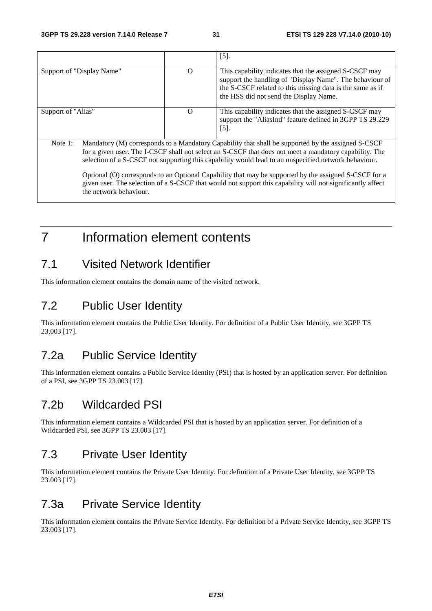|                           |                                                                                                                                                                                                              | $[5]$ .                                                                                                                                                                                                                   |  |  |
|---------------------------|--------------------------------------------------------------------------------------------------------------------------------------------------------------------------------------------------------------|---------------------------------------------------------------------------------------------------------------------------------------------------------------------------------------------------------------------------|--|--|
| Support of "Display Name" | O                                                                                                                                                                                                            | This capability indicates that the assigned S-CSCF may<br>support the handling of "Display Name". The behaviour of<br>the S-CSCF related to this missing data is the same as if<br>the HSS did not send the Display Name. |  |  |
| Support of "Alias"        | Ω                                                                                                                                                                                                            | This capability indicates that the assigned S-CSCF may<br>support the "AliasInd" feature defined in 3GPP TS 29.229<br>$[5]$ .                                                                                             |  |  |
| Note $1$ :                | Mandatory (M) corresponds to a Mandatory Capability that shall be supported by the assigned S-CSCF<br>for a given user. The I-CSCF shall not select an S-CSCF that does not meet a mandatory capability. The |                                                                                                                                                                                                                           |  |  |

 Optional (O) corresponds to an Optional Capability that may be supported by the assigned S-CSCF for a given user. The selection of a S-CSCF that would not support this capability will not significantly affect the network behaviour.

selection of a S-CSCF not supporting this capability would lead to an unspecified network behaviour.

7 Information element contents

### 7.1 Visited Network Identifier

This information element contains the domain name of the visited network.

### 7.2 Public User Identity

This information element contains the Public User Identity. For definition of a Public User Identity, see 3GPP TS 23.003 [17].

### 7.2a Public Service Identity

This information element contains a Public Service Identity (PSI) that is hosted by an application server. For definition of a PSI, see 3GPP TS 23.003 [17].

### 7.2b Wildcarded PSI

This information element contains a Wildcarded PSI that is hosted by an application server. For definition of a Wildcarded PSI, see 3GPP TS 23.003 [17].

## 7.3 Private User Identity

This information element contains the Private User Identity. For definition of a Private User Identity, see 3GPP TS 23.003 [17].

### 7.3a Private Service Identity

This information element contains the Private Service Identity. For definition of a Private Service Identity, see 3GPP TS 23.003 [17].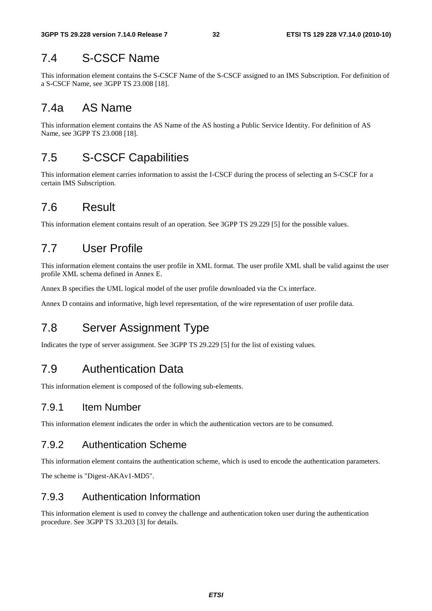### 7.4 S-CSCF Name

This information element contains the S-CSCF Name of the S-CSCF assigned to an IMS Subscription. For definition of a S-CSCF Name, see 3GPP TS 23.008 [18].

### 7.4a AS Name

This information element contains the AS Name of the AS hosting a Public Service Identity. For definition of AS Name, see 3GPP TS 23.008 [18].

### 7.5 S-CSCF Capabilities

This information element carries information to assist the I-CSCF during the process of selecting an S-CSCF for a certain IMS Subscription.

### 7.6 Result

This information element contains result of an operation. See 3GPP TS 29.229 [5] for the possible values.

### 7.7 User Profile

This information element contains the user profile in XML format. The user profile XML shall be valid against the user profile XML schema defined in Annex E.

Annex B specifies the UML logical model of the user profile downloaded via the Cx interface.

Annex D contains and informative, high level representation, of the wire representation of user profile data.

## 7.8 Server Assignment Type

Indicates the type of server assignment. See 3GPP TS 29.229 [5] for the list of existing values.

### 7.9 Authentication Data

This information element is composed of the following sub-elements.

#### 7.9.1 Item Number

This information element indicates the order in which the authentication vectors are to be consumed.

#### 7.9.2 Authentication Scheme

This information element contains the authentication scheme, which is used to encode the authentication parameters.

The scheme is "Digest-AKAv1-MD5".

#### 7.9.3 Authentication Information

This information element is used to convey the challenge and authentication token user during the authentication procedure. See 3GPP TS 33.203 [3] for details.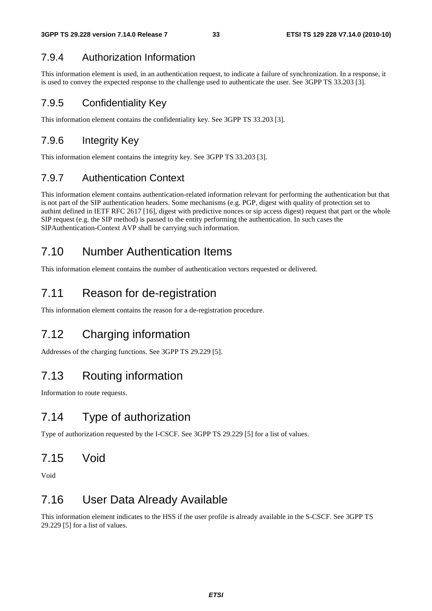#### 7.9.4 Authorization Information

This information element is used, in an authentication request, to indicate a failure of synchronization. In a response, it is used to convey the expected response to the challenge used to authenticate the user. See 3GPP TS 33.203 [3].

#### 7.9.5 Confidentiality Key

This information element contains the confidentiality key. See 3GPP TS 33.203 [3].

#### 7.9.6 Integrity Key

This information element contains the integrity key. See 3GPP TS 33.203 [3].

#### 7.9.7 Authentication Context

This information element contains authentication-related information relevant for performing the authentication but that is not part of the SIP authentication headers. Some mechanisms (e.g. PGP, digest with quality of protection set to authint defined in IETF RFC 2617 [16], digest with predictive nonces or sip access digest) request that part or the whole SIP request (e.g. the SIP method) is passed to the entity performing the authentication. In such cases the SIPAuthentication-Context AVP shall be carrying such information.

### 7.10 Number Authentication Items

This information element contains the number of authentication vectors requested or delivered.

### 7.11 Reason for de-registration

This information element contains the reason for a de-registration procedure.

## 7.12 Charging information

Addresses of the charging functions. See 3GPP TS 29.229 [5].

### 7.13 Routing information

Information to route requests.

### 7.14 Type of authorization

Type of authorization requested by the I-CSCF. See 3GPP TS 29.229 [5] for a list of values.

### 7.15 Void

Void

### 7.16 User Data Already Available

This information element indicates to the HSS if the user profile is already available in the S-CSCF. See 3GPP TS 29.229 [5] for a list of values.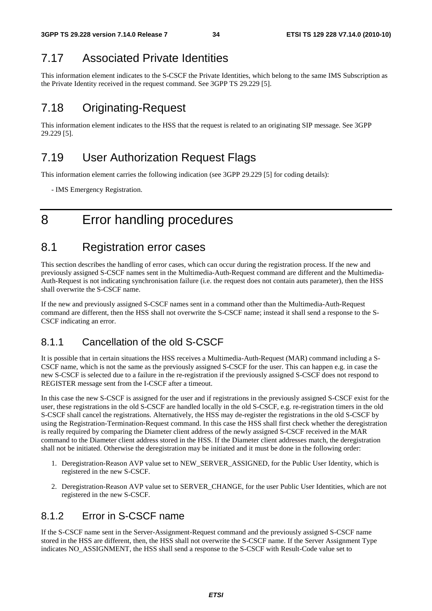## 7.17 Associated Private Identities

This information element indicates to the S-CSCF the Private Identities, which belong to the same IMS Subscription as the Private Identity received in the request command. See 3GPP TS 29.229 [5].

## 7.18 Originating-Request

This information element indicates to the HSS that the request is related to an originating SIP message. See 3GPP 29.229 [5].

### 7.19 User Authorization Request Flags

This information element carries the following indication (see 3GPP 29.229 [5] for coding details):

- IMS Emergency Registration.
- 8 Error handling procedures

### 8.1 Registration error cases

This section describes the handling of error cases, which can occur during the registration process. If the new and previously assigned S-CSCF names sent in the Multimedia-Auth-Request command are different and the Multimedia-Auth-Request is not indicating synchronisation failure (i.e. the request does not contain auts parameter), then the HSS shall overwrite the S-CSCF name.

If the new and previously assigned S-CSCF names sent in a command other than the Multimedia-Auth-Request command are different, then the HSS shall not overwrite the S-CSCF name; instead it shall send a response to the S-CSCF indicating an error.

### 8.1.1 Cancellation of the old S-CSCF

It is possible that in certain situations the HSS receives a Multimedia-Auth-Request (MAR) command including a S-CSCF name, which is not the same as the previously assigned S-CSCF for the user. This can happen e.g. in case the new S-CSCF is selected due to a failure in the re-registration if the previously assigned S-CSCF does not respond to REGISTER message sent from the I-CSCF after a timeout.

In this case the new S-CSCF is assigned for the user and if registrations in the previously assigned S-CSCF exist for the user, these registrations in the old S-CSCF are handled locally in the old S-CSCF, e.g. re-registration timers in the old S-CSCF shall cancel the registrations. Alternatively, the HSS may de-register the registrations in the old S-CSCF by using the Registration-Termination-Request command. In this case the HSS shall first check whether the deregistration is really required by comparing the Diameter client address of the newly assigned S-CSCF received in the MAR command to the Diameter client address stored in the HSS. If the Diameter client addresses match, the deregistration shall not be initiated. Otherwise the deregistration may be initiated and it must be done in the following order:

- 1. Deregistration-Reason AVP value set to NEW\_SERVER\_ASSIGNED, for the Public User Identity, which is registered in the new S-CSCF.
- 2. Deregistration-Reason AVP value set to SERVER\_CHANGE, for the user Public User Identities, which are not registered in the new S-CSCF.

#### 8.1.2 Error in S-CSCF name

If the S-CSCF name sent in the Server-Assignment-Request command and the previously assigned S-CSCF name stored in the HSS are different, then, the HSS shall not overwrite the S-CSCF name. If the Server Assignment Type indicates NO\_ASSIGNMENT, the HSS shall send a response to the S-CSCF with Result-Code value set to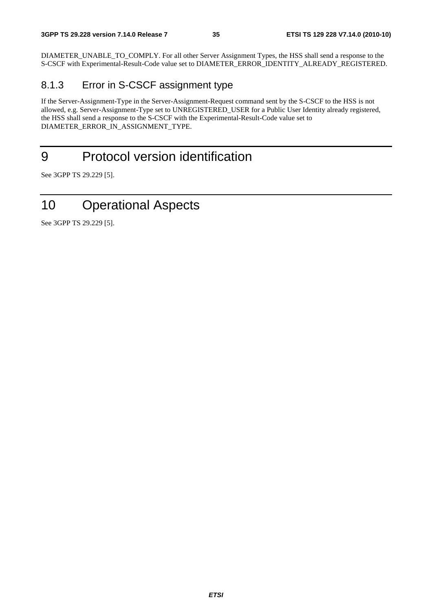DIAMETER\_UNABLE\_TO\_COMPLY. For all other Server Assignment Types, the HSS shall send a response to the S-CSCF with Experimental-Result-Code value set to DIAMETER\_ERROR\_IDENTITY\_ALREADY\_REGISTERED.

### 8.1.3 Error in S-CSCF assignment type

If the Server-Assignment-Type in the Server-Assignment-Request command sent by the S-CSCF to the HSS is not allowed, e.g. Server-Assignment-Type set to UNREGISTERED\_USER for a Public User Identity already registered, the HSS shall send a response to the S-CSCF with the Experimental-Result-Code value set to DIAMETER\_ERROR\_IN\_ASSIGNMENT\_TYPE.

## 9 Protocol version identification

See 3GPP TS 29.229 [5].

## 10 Operational Aspects

See 3GPP TS 29.229 [5].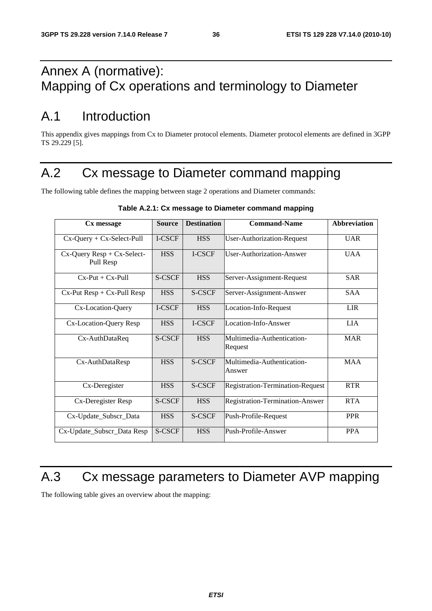## Annex A (normative): Mapping of Cx operations and terminology to Diameter

## A.1 Introduction

This appendix gives mappings from Cx to Diameter protocol elements. Diameter protocol elements are defined in 3GPP TS 29.229 [5].

## A.2 Cx message to Diameter command mapping

The following table defines the mapping between stage 2 operations and Diameter commands:

| Cx message                                    | <b>Source</b> | <b>Destination</b> | <b>Command-Name</b>                     | <b>Abbreviation</b> |
|-----------------------------------------------|---------------|--------------------|-----------------------------------------|---------------------|
| $Cx$ -Query + $Cx$ -Select-Pull               | I-CSCF        | <b>HSS</b>         | <b>User-Authorization-Request</b>       | <b>UAR</b>          |
| $Cx$ -Query Resp + $Cx$ -Select-<br>Pull Resp | <b>HSS</b>    | I-CSCF             | User-Authorization-Answer               | <b>UAA</b>          |
| $Cx-Put + Cx-Pull$                            | S-CSCF        | <b>HSS</b>         | Server-Assignment-Request               | <b>SAR</b>          |
| $Cx-Put Resp + Cx-Pull Resp$                  | <b>HSS</b>    | S-CSCF             | Server-Assignment-Answer                | SAA                 |
| Cx-Location-Query                             | I-CSCF        | <b>HSS</b>         | Location-Info-Request                   | <b>LIR</b>          |
| Cx-Location-Query Resp                        | <b>HSS</b>    | I-CSCF             | Location-Info-Answer                    | <b>LIA</b>          |
| Cx-AuthDataReq                                | S-CSCF        | <b>HSS</b>         | Multimedia-Authentication-<br>Request   | <b>MAR</b>          |
| Cx-AuthDataResp                               | <b>HSS</b>    | S-CSCF             | Multimedia-Authentication-<br>Answer    | <b>MAA</b>          |
| Cx-Deregister                                 | <b>HSS</b>    | S-CSCF             | <b>Registration-Termination-Request</b> | <b>RTR</b>          |
| Cx-Deregister Resp                            | S-CSCF        | <b>HSS</b>         | Registration-Termination-Answer         | <b>RTA</b>          |
| Cx-Update_Subscr_Data                         | <b>HSS</b>    | S-CSCF             | Push-Profile-Request                    | <b>PPR</b>          |
| Cx-Update_Subscr_Data Resp                    | S-CSCF        | <b>HSS</b>         | Push-Profile-Answer                     | <b>PPA</b>          |

#### **Table A.2.1: Cx message to Diameter command mapping**

## A.3 Cx message parameters to Diameter AVP mapping

The following table gives an overview about the mapping: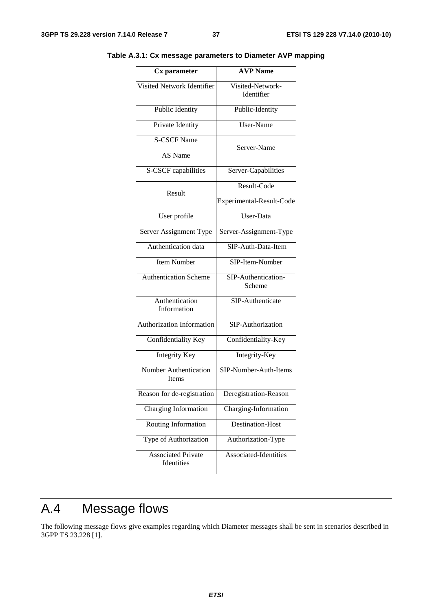| Cx parameter                            | <b>AVP</b> Name                |
|-----------------------------------------|--------------------------------|
| <b>Visited Network Identifier</b>       | Visited-Network-<br>Identifier |
| Public Identity                         | Public-Identity                |
| Private Identity                        | User-Name                      |
| <b>S-CSCF Name</b>                      | Server-Name                    |
| AS Name                                 |                                |
| S-CSCF capabilities                     | Server-Capabilities            |
| Result                                  | Result-Code                    |
|                                         | Experimental-Result-Code       |
| User profile                            | $\overline{\text{User-Data}}$  |
| Server Assignment Type                  | Server-Assignment-Type         |
| Authentication data                     | SIP-Auth-Data-Item             |
| <b>Item Number</b>                      | SIP-Item-Number                |
| <b>Authentication Scheme</b>            | SIP-Authentication-<br>Scheme  |
| Authentication<br>Information           | SIP-Authenticate               |
| <b>Authorization Information</b>        | SIP-Authorization              |
| Confidentiality Key                     | Confidentiality-Key            |
| <b>Integrity Key</b>                    | Integrity-Key                  |
| <b>Number Authentication</b><br>Items   | SIP-Number-Auth-Items          |
| Reason for de-registration              | Deregistration-Reason          |
| Charging Information                    | Charging-Information           |
| Routing Information                     | <b>Destination-Host</b>        |
| Type of Authorization                   | Authorization-Type             |
| <b>Associated Private</b><br>Identities | Associated-Identities          |

**Table A.3.1: Cx message parameters to Diameter AVP mapping** 

## A.4 Message flows

The following message flows give examples regarding which Diameter messages shall be sent in scenarios described in 3GPP TS 23.228 [1].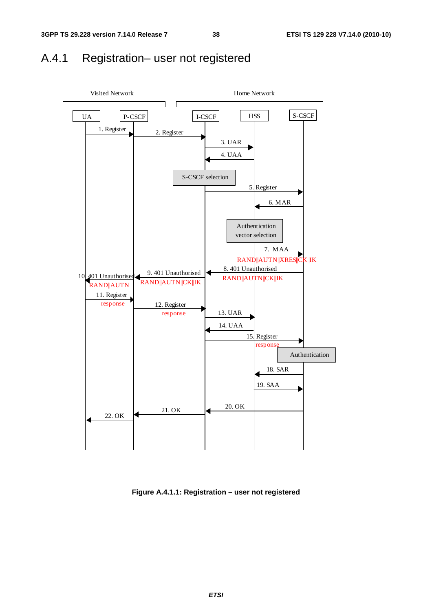### A.4.1 Registration– user not registered



**Figure A.4.1.1: Registration – user not registered**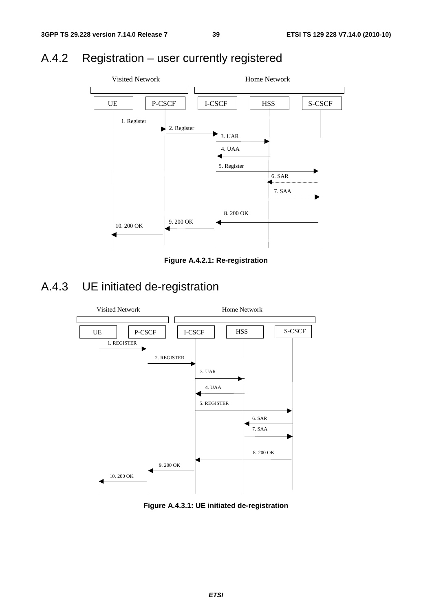## A.4.2 Registration – user currently registered



**Figure A.4.2.1: Re-registration** 

## A.4.3 UE initiated de-registration



**Figure A.4.3.1: UE initiated de-registration**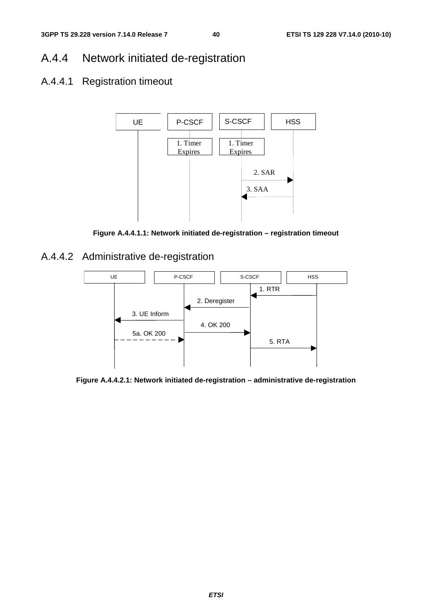## A.4.4 Network initiated de-registration

### A.4.4.1 Registration timeout



**Figure A.4.4.1.1: Network initiated de-registration – registration timeout** 

A.4.4.2 Administrative de-registration



**Figure A.4.4.2.1: Network initiated de-registration – administrative de-registration**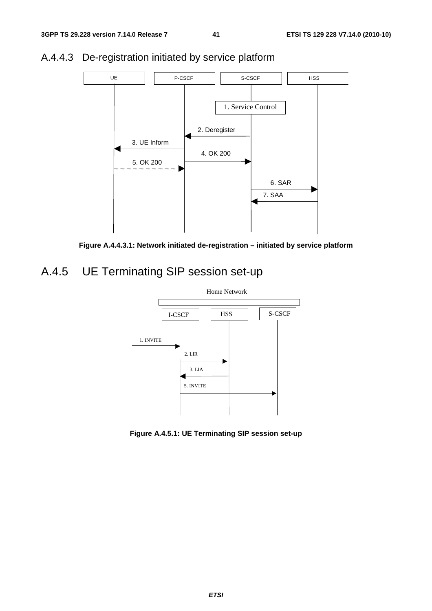

### A.4.4.3 De-registration initiated by service platform



## A.4.5 UE Terminating SIP session set-up



**Figure A.4.5.1: UE Terminating SIP session set-up**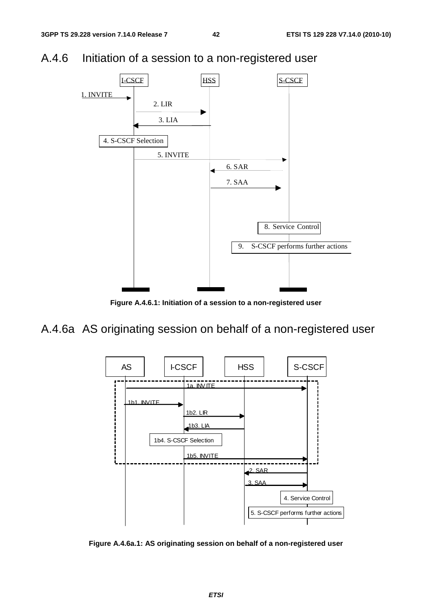



**Figure A.4.6.1: Initiation of a session to a non-registered user** 

A.4.6a AS originating session on behalf of a non-registered user



**Figure A.4.6a.1: AS originating session on behalf of a non-registered user**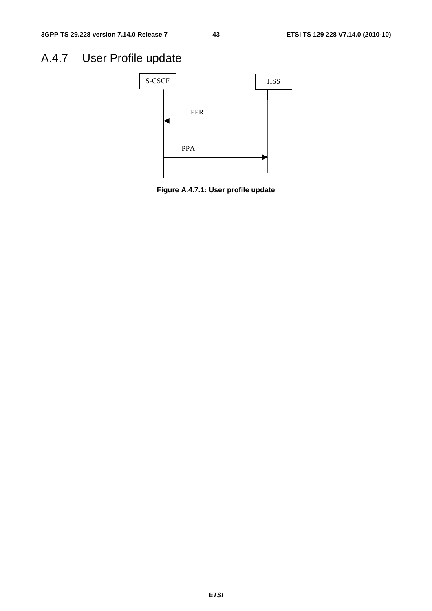## A.4.7 User Profile update



**Figure A.4.7.1: User profile update**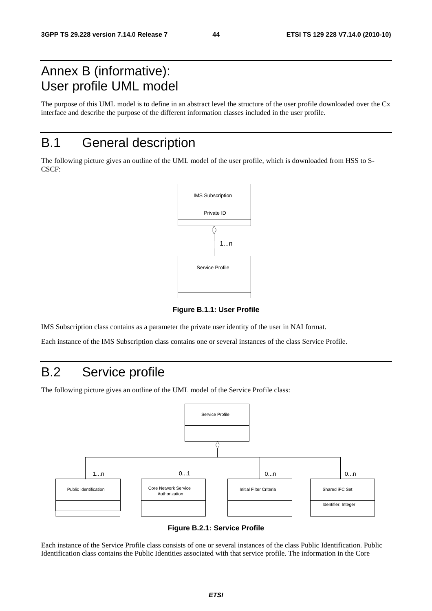## Annex B (informative): User profile UML model

The purpose of this UML model is to define in an abstract level the structure of the user profile downloaded over the Cx interface and describe the purpose of the different information classes included in the user profile.

## B.1 General description

The following picture gives an outline of the UML model of the user profile, which is downloaded from HSS to S-CSCF:



**Figure B.1.1: User Profile** 

IMS Subscription class contains as a parameter the private user identity of the user in NAI format.

Each instance of the IMS Subscription class contains one or several instances of the class Service Profile.

## B.2 Service profile

The following picture gives an outline of the UML model of the Service Profile class:



**Figure B.2.1: Service Profile** 

Each instance of the Service Profile class consists of one or several instances of the class Public Identification. Public Identification class contains the Public Identities associated with that service profile. The information in the Core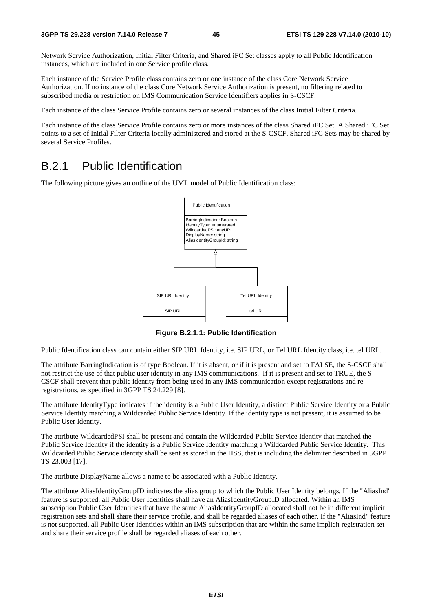Network Service Authorization, Initial Filter Criteria, and Shared iFC Set classes apply to all Public Identification instances, which are included in one Service profile class.

Each instance of the Service Profile class contains zero or one instance of the class Core Network Service Authorization. If no instance of the class Core Network Service Authorization is present, no filtering related to subscribed media or restriction on IMS Communication Service Identifiers applies in S-CSCF.

Each instance of the class Service Profile contains zero or several instances of the class Initial Filter Criteria.

Each instance of the class Service Profile contains zero or more instances of the class Shared iFC Set. A Shared iFC Set points to a set of Initial Filter Criteria locally administered and stored at the S-CSCF. Shared iFC Sets may be shared by several Service Profiles.

### B.2.1 Public Identification

The following picture gives an outline of the UML model of Public Identification class:



**Figure B.2.1.1: Public Identification** 

Public Identification class can contain either SIP URL Identity, i.e. SIP URL, or Tel URL Identity class, i.e. tel URL.

The attribute BarringIndication is of type Boolean. If it is absent, or if it is present and set to FALSE, the S-CSCF shall not restrict the use of that public user identity in any IMS communications. If it is present and set to TRUE, the S-CSCF shall prevent that public identity from being used in any IMS communication except registrations and reregistrations, as specified in 3GPP TS 24.229 [8].

The attribute IdentityType indicates if the identity is a Public User Identity, a distinct Public Service Identity or a Public Service Identity matching a Wildcarded Public Service Identity. If the identity type is not present, it is assumed to be Public User Identity.

The attribute WildcardedPSI shall be present and contain the Wildcarded Public Service Identity that matched the Public Service Identity if the identity is a Public Service Identity matching a Wildcarded Public Service Identity. This Wildcarded Public Service identity shall be sent as stored in the HSS, that is including the delimiter described in 3GPP TS 23.003 [17].

The attribute DisplayName allows a name to be associated with a Public Identity.

The attribute AliasIdentityGroupID indicates the alias group to which the Public User Identity belongs. If the "AliasInd" feature is supported, all Public User Identities shall have an AliasIdentityGroupID allocated. Within an IMS subscription Public User Identities that have the same AliasIdentityGroupID allocated shall not be in different implicit registration sets and shall share their service profile, and shall be regarded aliases of each other. If the "AliasInd" feature is not supported, all Public User Identities within an IMS subscription that are within the same implicit registration set and share their service profile shall be regarded aliases of each other.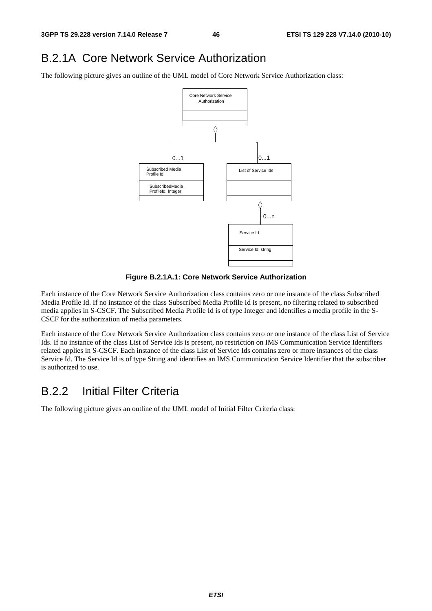## B.2.1A Core Network Service Authorization

The following picture gives an outline of the UML model of Core Network Service Authorization class:



**Figure B.2.1A.1: Core Network Service Authorization** 

Each instance of the Core Network Service Authorization class contains zero or one instance of the class Subscribed Media Profile Id. If no instance of the class Subscribed Media Profile Id is present, no filtering related to subscribed media applies in S-CSCF. The Subscribed Media Profile Id is of type Integer and identifies a media profile in the S-CSCF for the authorization of media parameters.

Each instance of the Core Network Service Authorization class contains zero or one instance of the class List of Service Ids. If no instance of the class List of Service Ids is present, no restriction on IMS Communication Service Identifiers related applies in S-CSCF. Each instance of the class List of Service Ids contains zero or more instances of the class Service Id. The Service Id is of type String and identifies an IMS Communication Service Identifier that the subscriber is authorized to use.

### B.2.2 Initial Filter Criteria

The following picture gives an outline of the UML model of Initial Filter Criteria class: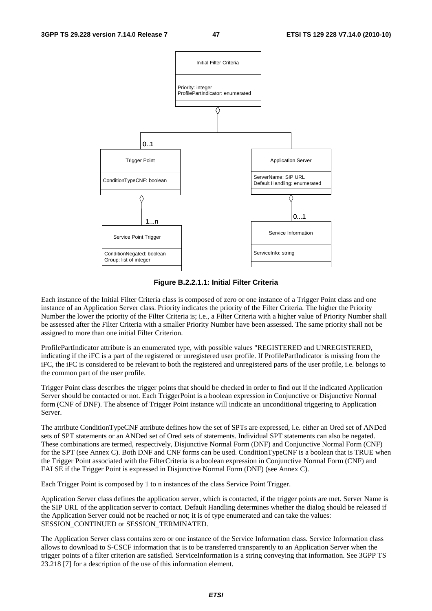

**Figure B.2.2.1.1: Initial Filter Criteria** 

Each instance of the Initial Filter Criteria class is composed of zero or one instance of a Trigger Point class and one instance of an Application Server class. Priority indicates the priority of the Filter Criteria. The higher the Priority Number the lower the priority of the Filter Criteria is; i.e., a Filter Criteria with a higher value of Priority Number shall be assessed after the Filter Criteria with a smaller Priority Number have been assessed. The same priority shall not be assigned to more than one initial Filter Criterion.

ProfilePartIndicator attribute is an enumerated type, with possible values "REGISTERED and UNREGISTERED, indicating if the iFC is a part of the registered or unregistered user profile. If ProfilePartIndicator is missing from the iFC, the iFC is considered to be relevant to both the registered and unregistered parts of the user profile, i.e. belongs to the common part of the user profile.

Trigger Point class describes the trigger points that should be checked in order to find out if the indicated Application Server should be contacted or not. Each TriggerPoint is a boolean expression in Conjunctive or Disjunctive Normal form (CNF of DNF). The absence of Trigger Point instance will indicate an unconditional triggering to Application Server.

The attribute ConditionTypeCNF attribute defines how the set of SPTs are expressed, i.e. either an Ored set of ANDed sets of SPT statements or an ANDed set of Ored sets of statements. Individual SPT statements can also be negated. These combinations are termed, respectively, Disjunctive Normal Form (DNF) and Conjunctive Normal Form (CNF) for the SPT (see Annex C). Both DNF and CNF forms can be used. ConditionTypeCNF is a boolean that is TRUE when the Trigger Point associated with the FilterCriteria is a boolean expression in Conjunctive Normal Form (CNF) and FALSE if the Trigger Point is expressed in Disjunctive Normal Form (DNF) (see Annex C).

Each Trigger Point is composed by 1 to n instances of the class Service Point Trigger.

Application Server class defines the application server, which is contacted, if the trigger points are met. Server Name is the SIP URL of the application server to contact. Default Handling determines whether the dialog should be released if the Application Server could not be reached or not; it is of type enumerated and can take the values: SESSION\_CONTINUED or SESSION\_TERMINATED.

The Application Server class contains zero or one instance of the Service Information class. Service Information class allows to download to S-CSCF information that is to be transferred transparently to an Application Server when the trigger points of a filter criterion are satisfied. ServiceInformation is a string conveying that information. See 3GPP TS 23.218 [7] for a description of the use of this information element.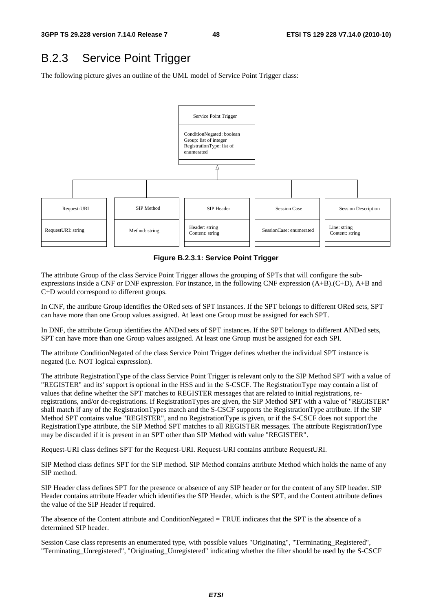## B.2.3 Service Point Trigger

The following picture gives an outline of the UML model of Service Point Trigger class:



**Figure B.2.3.1: Service Point Trigger** 

The attribute Group of the class Service Point Trigger allows the grouping of SPTs that will configure the subexpressions inside a CNF or DNF expression. For instance, in the following CNF expression (A+B).(C+D), A+B and C+D would correspond to different groups.

In CNF, the attribute Group identifies the ORed sets of SPT instances. If the SPT belongs to different ORed sets, SPT can have more than one Group values assigned. At least one Group must be assigned for each SPT.

In DNF, the attribute Group identifies the ANDed sets of SPT instances. If the SPT belongs to different ANDed sets, SPT can have more than one Group values assigned. At least one Group must be assigned for each SPI.

The attribute ConditionNegated of the class Service Point Trigger defines whether the individual SPT instance is negated (i.e. NOT logical expression).

The attribute RegistrationType of the class Service Point Trigger is relevant only to the SIP Method SPT with a value of "REGISTER" and its' support is optional in the HSS and in the S-CSCF. The RegistrationType may contain a list of values that define whether the SPT matches to REGISTER messages that are related to initial registrations, reregistrations, and/or de-registrations. If RegistrationTypes are given, the SIP Method SPT with a value of "REGISTER" shall match if any of the RegistrationTypes match and the S-CSCF supports the RegistrationType attribute. If the SIP Method SPT contains value "REGISTER", and no RegistrationType is given, or if the S-CSCF does not support the RegistrationType attribute, the SIP Method SPT matches to all REGISTER messages. The attribute RegistrationType may be discarded if it is present in an SPT other than SIP Method with value "REGISTER".

Request-URI class defines SPT for the Request-URI. Request-URI contains attribute RequestURI.

SIP Method class defines SPT for the SIP method. SIP Method contains attribute Method which holds the name of any SIP method.

SIP Header class defines SPT for the presence or absence of any SIP header or for the content of any SIP header. SIP Header contains attribute Header which identifies the SIP Header, which is the SPT, and the Content attribute defines the value of the SIP Header if required.

The absence of the Content attribute and ConditionNegated = TRUE indicates that the SPT is the absence of a determined SIP header.

Session Case class represents an enumerated type, with possible values "Originating", "Terminating\_Registered", "Terminating\_Unregistered", "Originating\_Unregistered" indicating whether the filter should be used by the S-CSCF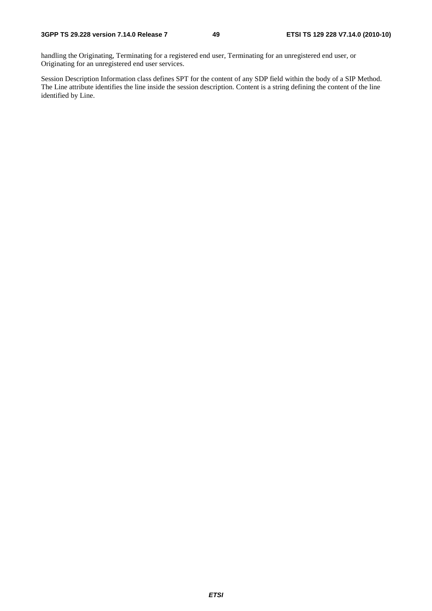handling the Originating, Terminating for a registered end user, Terminating for an unregistered end user, or Originating for an unregistered end user services.

Session Description Information class defines SPT for the content of any SDP field within the body of a SIP Method. The Line attribute identifies the line inside the session description. Content is a string defining the content of the line identified by Line.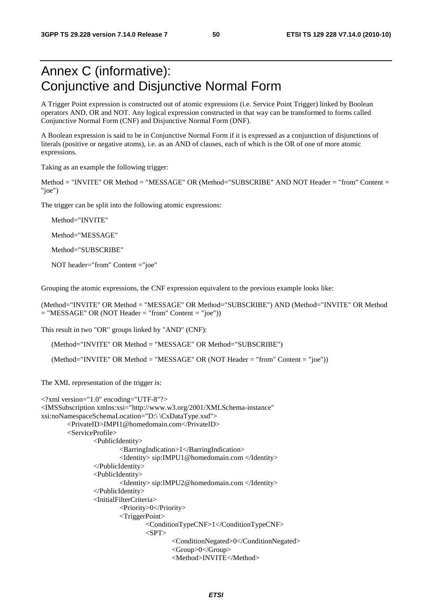## Annex C (informative): Conjunctive and Disjunctive Normal Form

A Trigger Point expression is constructed out of atomic expressions (i.e. Service Point Trigger) linked by Boolean operators AND, OR and NOT. Any logical expression constructed in that way can be transformed to forms called Conjunctive Normal Form (CNF) and Disjunctive Normal Form (DNF).

A Boolean expression is said to be in Conjunctive Normal Form if it is expressed as a conjunction of disjunctions of literals (positive or negative atoms), i.e. as an AND of clauses, each of which is the OR of one of more atomic expressions.

Taking as an example the following trigger:

Method = "INVITE" OR Method = "MESSAGE" OR (Method="SUBSCRIBE" AND NOT Header = "from" Content = "joe")

The trigger can be split into the following atomic expressions:

Method="INVITE"

Method="MESSAGE"

Method="SUBSCRIBE"

NOT header="from" Content ="joe"

Grouping the atomic expressions, the CNF expression equivalent to the previous example looks like:

(Method="INVITE" OR Method = "MESSAGE" OR Method="SUBSCRIBE") AND (Method="INVITE" OR Method  $=$  "MESSAGE" OR (NOT Header  $=$  "from" Content  $=$  "joe"))

This result in two "OR" groups linked by "AND" (CNF):

(Method="INVITE" OR Method = "MESSAGE" OR Method="SUBSCRIBE")

(Method="INVITE" OR Method = "MESSAGE" OR (NOT Header = "from" Content = "joe"))

The XML representation of the trigger is:

```
<?xml version="1.0" encoding="UTF-8"?> 
<IMSSubscription xmlns:xsi="http://www.w3.org/2001/XMLSchema-instance" 
xsi:noNamespaceSchemaLocation="D:\ \CxDataType.xsd"> 
         <PrivateID>IMPI1@homedomain.com</PrivateID> 
         <ServiceProfile> 
                 <PublicIdentity> 
                          <BarringIndication>1</BarringIndication> 
                          <Identity> sip:IMPU1@homedomain.com </Identity> 
                  </PublicIdentity> 
                  <PublicIdentity> 
                          <Identity> sip:IMPU2@homedomain.com </Identity> 
                  </PublicIdentity> 
                  <InitialFilterCriteria> 
                          <Priority>0</Priority> 
                          <TriggerPoint> 
                                  <ConditionTypeCNF>1</ConditionTypeCNF> 
                                 <SPT> <ConditionNegated>0</ConditionNegated> 
                                           <Group>0</Group> 
                                           <Method>INVITE</Method>
```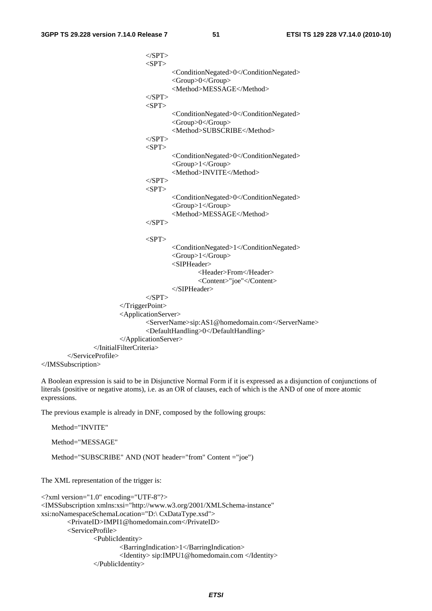$\langle$ SPT $>$ 

 $<$ SPT $>$  <ConditionNegated>0</ConditionNegated> <Group>0</Group> <Method>MESSAGE</Method>  $<$ /SPT>  $<$ SPT $>$  <ConditionNegated>0</ConditionNegated> <Group>0</Group> <Method>SUBSCRIBE</Method>  $<$ /SPT>  $<$ SPT $>$  <ConditionNegated>0</ConditionNegated> <Group>1</Group> <Method>INVITE</Method>  $<$ /SPT>  $<$ SPT $>$  <ConditionNegated>0</ConditionNegated> <Group>1</Group> <Method>MESSAGE</Method>  $<$ /SPT $>$  $<$ SPT $>$  <ConditionNegated>1</ConditionNegated> <Group>1</Group> <SIPHeader> <Header>From</Header> <Content>"joe"</Content> </SIPHeader>  $<$ /SPT> </TriggerPoint> <ApplicationServer> <ServerName>sip:AS1@homedomain.com</ServerName> <DefaultHandling>0</DefaultHandling> </ApplicationServer> </InitialFilterCriteria> </ServiceProfile> </IMSSubscription>

A Boolean expression is said to be in Disjunctive Normal Form if it is expressed as a disjunction of conjunctions of literals (positive or negative atoms), i.e. as an OR of clauses, each of which is the AND of one of more atomic expressions.

The previous example is already in DNF, composed by the following groups:

Method="SUBSCRIBE" AND (NOT header="from" Content ="joe")

Method="INVITE"

Method="MESSAGE"

```
The XML representation of the trigger is: 
<?xml version="1.0" encoding="UTF-8"?> 
<IMSSubscription xmlns:xsi="http://www.w3.org/2001/XMLSchema-instance" 
xsi:noNamespaceSchemaLocation="D:\ CxDataType.xsd"> 
         <PrivateID>IMPI1@homedomain.com</PrivateID> 
         <ServiceProfile> 
                 <PublicIdentity> 
                          <BarringIndication>1</BarringIndication> 
                          <Identity> sip:IMPU1@homedomain.com </Identity> 
                  </PublicIdentity>
```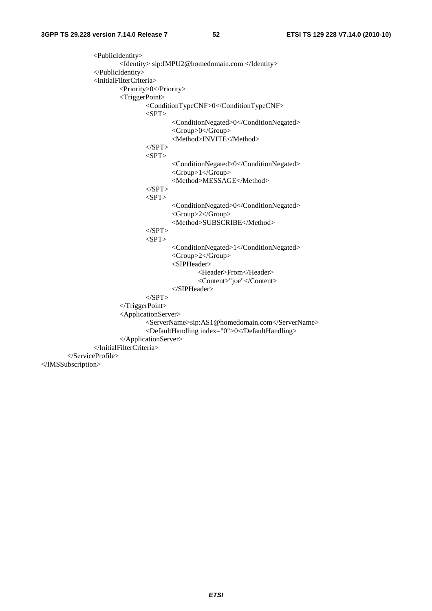<PublicIdentity> <Identity> sip:IMPU2@homedomain.com </Identity> </PublicIdentity> <InitialFilterCriteria> <Priority>0</Priority> <TriggerPoint> <ConditionTypeCNF>0</ConditionTypeCNF>  $<$ SPT $>$  <ConditionNegated>0</ConditionNegated> <Group>0</Group> <Method>INVITE</Method>  $<$ /SPT $>$  $\langle$ SPT $>$  <ConditionNegated>0</ConditionNegated> <Group>1</Group> <Method>MESSAGE</Method>  $<$ /SPT $>$  $<$ SPT $>$  <ConditionNegated>0</ConditionNegated> <Group>2</Group> <Method>SUBSCRIBE</Method>  $<$ /SPT>  $\langle$ SPT $>$  <ConditionNegated>1</ConditionNegated> <Group>2</Group> <SIPHeader> <Header>From</Header> <Content>"joe"</Content> </SIPHeader>  $<$ /SPT> </TriggerPoint> <ApplicationServer> <ServerName>sip:AS1@homedomain.com</ServerName> <DefaultHandling index="0">0</DefaultHandling> </ApplicationServer> </InitialFilterCriteria> </ServiceProfile> </IMSSubscription>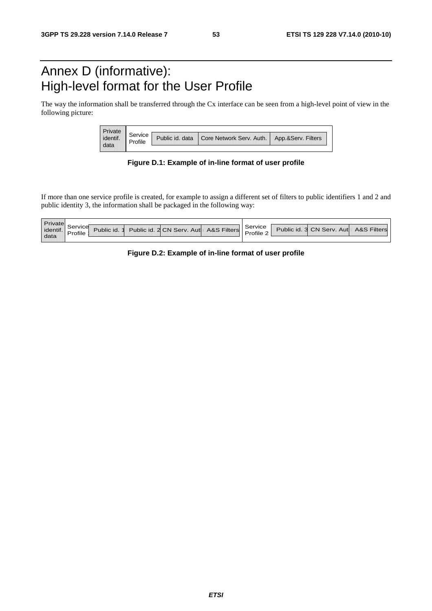## Annex D (informative): High-level format for the User Profile

The way the information shall be transferred through the Cx interface can be seen from a high-level point of view in the following picture:

| Private  |         |                                            |                    |
|----------|---------|--------------------------------------------|--------------------|
| identif. | Service | Public id. data   Core Network Serv. Auth. | App.&Serv. Filters |
|          |         |                                            |                    |

**Figure D.1: Example of in-line format of user profile** 

If more than one service profile is created, for example to assign a different set of filters to public identifiers 1 and 2 and public identity 3, the information shall be packaged in the following way:

| Private  |         |              |                                       |           |                                       |  |
|----------|---------|--------------|---------------------------------------|-----------|---------------------------------------|--|
| identif. | Service | Public id. 1 | Public id. 2 CN Serv. Aut A&S Filters | Service   | Public id. 3 CN Serv. Aut A&S Filters |  |
|          | .       |              |                                       | Profile 2 |                                       |  |
| data     |         |              |                                       |           |                                       |  |

#### **Figure D.2: Example of in-line format of user profile**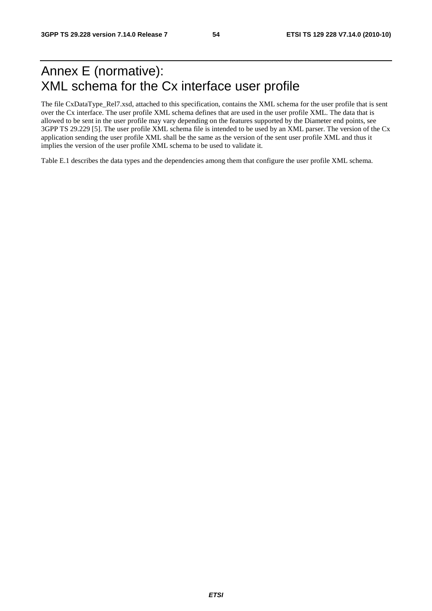## Annex E (normative): XML schema for the Cx interface user profile

The file CxDataType\_Rel7.xsd, attached to this specification, contains the XML schema for the user profile that is sent over the Cx interface. The user profile XML schema defines that are used in the user profile XML. The data that is allowed to be sent in the user profile may vary depending on the features supported by the Diameter end points, see 3GPP TS 29.229 [5]. The user profile XML schema file is intended to be used by an XML parser. The version of the Cx application sending the user profile XML shall be the same as the version of the sent user profile XML and thus it implies the version of the user profile XML schema to be used to validate it.

Table E.1 describes the data types and the dependencies among them that configure the user profile XML schema.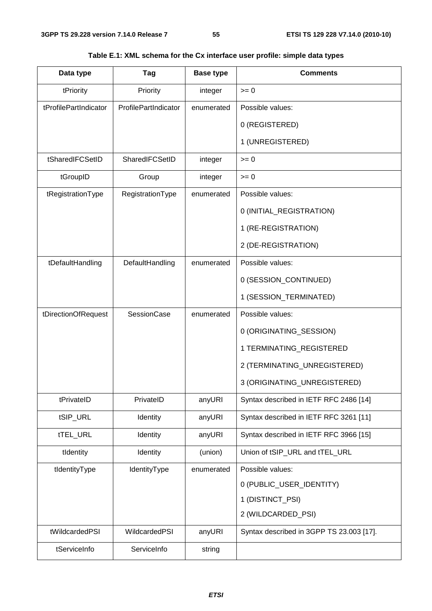| Data type             | Tag                  | <b>Base type</b> | <b>Comments</b>                          |
|-----------------------|----------------------|------------------|------------------------------------------|
| tPriority             | Priority             | integer          | $>= 0$                                   |
| tProfilePartIndicator | ProfilePartIndicator | enumerated       | Possible values:                         |
|                       |                      |                  | 0 (REGISTERED)                           |
|                       |                      |                  | 1 (UNREGISTERED)                         |
| tSharedIFCSetID       | SharedIFCSetID       | integer          | $>= 0$                                   |
| tGroupID              | Group                | integer          | $>= 0$                                   |
| tRegistrationType     | RegistrationType     | enumerated       | Possible values:                         |
|                       |                      |                  | 0 (INITIAL_REGISTRATION)                 |
|                       |                      |                  | 1 (RE-REGISTRATION)                      |
|                       |                      |                  | 2 (DE-REGISTRATION)                      |
| tDefaultHandling      | DefaultHandling      | enumerated       | Possible values:                         |
|                       |                      |                  | 0 (SESSION_CONTINUED)                    |
|                       |                      |                  | 1 (SESSION_TERMINATED)                   |
| tDirectionOfRequest   | <b>SessionCase</b>   | enumerated       | Possible values:                         |
|                       |                      |                  | 0 (ORIGINATING_SESSION)                  |
|                       |                      |                  | 1 TERMINATING_REGISTERED                 |
|                       |                      |                  | 2 (TERMINATING_UNREGISTERED)             |
|                       |                      |                  | 3 (ORIGINATING_UNREGISTERED)             |
| tPrivateID            | PrivateID            | anyURI           | Syntax described in IETF RFC 2486 [14]   |
| tSIP_URL              | Identity             | anyURI           | Syntax described in IETF RFC 3261 [11]   |
| tTEL_URL              | Identity             | anyURI           | Syntax described in IETF RFC 3966 [15]   |
| tIdentity             | Identity             | (union)          | Union of tSIP_URL and tTEL_URL           |
| tIdentityType         | IdentityType         | enumerated       | Possible values:                         |
|                       |                      |                  | 0 (PUBLIC_USER_IDENTITY)                 |
|                       |                      |                  | 1 (DISTINCT_PSI)                         |
|                       |                      |                  | 2 (WILDCARDED_PSI)                       |
| tWildcardedPSI        | WildcardedPSI        | anyURI           | Syntax described in 3GPP TS 23.003 [17]. |
| tServiceInfo          | ServiceInfo          | string           |                                          |

**Table E.1: XML schema for the Cx interface user profile: simple data types**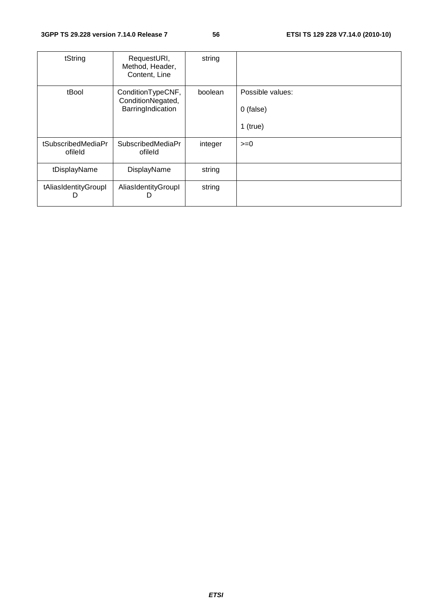| tString                       | RequestURI,<br>Method, Header,<br>Content, Line             | string  |                               |
|-------------------------------|-------------------------------------------------------------|---------|-------------------------------|
| tBool                         | ConditionTypeCNF,<br>ConditionNegated,<br>BarringIndication | boolean | Possible values:<br>0 (false) |
|                               |                                                             |         | $1$ (true)                    |
| tSubscribedMediaPr<br>ofileld | <b>SubscribedMediaPr</b><br>ofileld                         | integer | $>=0$                         |
| tDisplayName                  | DisplayName                                                 | string  |                               |
| tAliasIdentityGroupI<br>D     | AliasIdentityGroupl<br>D                                    | string  |                               |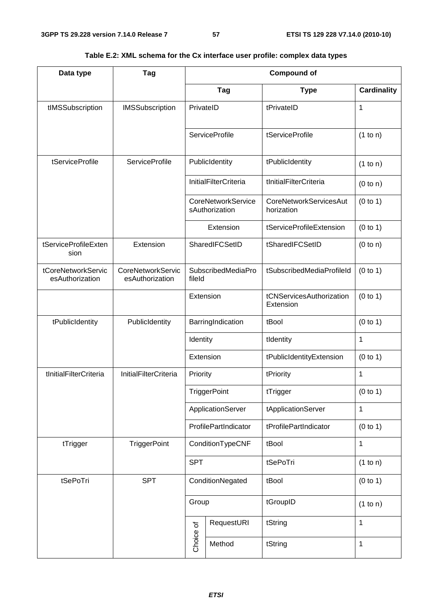| Data type                             | Tag                                         |                              |                                             | <b>Compound of</b>                          |                    |  |  |
|---------------------------------------|---------------------------------------------|------------------------------|---------------------------------------------|---------------------------------------------|--------------------|--|--|
|                                       |                                             |                              | Tag                                         | <b>Type</b>                                 | <b>Cardinality</b> |  |  |
| tIMSSubscription                      | <b>IMSSubscription</b>                      | PrivateID                    |                                             | tPrivateID                                  | $\mathbf{1}$       |  |  |
|                                       |                                             |                              | <b>ServiceProfile</b>                       | tServiceProfile                             | (1 to n)           |  |  |
| tServiceProfile                       | <b>ServiceProfile</b>                       |                              | PublicIdentity                              | tPublicIdentity                             | (1 to n)           |  |  |
|                                       |                                             |                              | <b>InitialFilterCriteria</b>                | tInitialFilterCriteria                      | (0 to n)           |  |  |
|                                       |                                             |                              | <b>CoreNetworkService</b><br>sAuthorization | <b>CoreNetworkServicesAut</b><br>horization | (0 to 1)           |  |  |
|                                       |                                             |                              | Extension                                   | tServiceProfileExtension                    | (0 to 1)           |  |  |
| tServiceProfileExten<br>sion          | Extension                                   |                              | SharedIFCSetID                              | tSharedIFCSetID                             | (0 to n)           |  |  |
| tCoreNetworkServic<br>esAuthorization | <b>CoreNetworkServic</b><br>esAuthorization | SubscribedMediaPro<br>fileld |                                             | tSubscribedMediaProfileId                   | (0 to 1)           |  |  |
|                                       |                                             | Extension                    |                                             | tCNServicesAuthorization<br>Extension       | (0 to 1)           |  |  |
| tPublicIdentity                       | PublicIdentity                              |                              | BarringIndication                           | tBool                                       | (0 to 1)           |  |  |
|                                       |                                             | Identity                     |                                             | tIdentity                                   | $\mathbf 1$        |  |  |
|                                       |                                             | Extension                    |                                             | tPublicIdentityExtension                    | (0 to 1)           |  |  |
| tInitialFilterCriteria                | <b>InitialFilterCriteria</b>                | Priority                     |                                             | tPriority                                   | $\mathbf{1}$       |  |  |
|                                       |                                             |                              | <b>TriggerPoint</b>                         | tTrigger                                    | (0 to 1)           |  |  |
|                                       |                                             |                              | ApplicationServer                           | tApplicationServer                          | $\mathbf{1}$       |  |  |
|                                       |                                             |                              | ProfilePartIndicator                        | tProfilePartIndicator                       | (0 to 1)           |  |  |
| tTrigger                              | <b>TriggerPoint</b>                         |                              | ConditionTypeCNF                            | tBool                                       | $\mathbf{1}$       |  |  |
|                                       |                                             | <b>SPT</b>                   |                                             | tSePoTri                                    | (1 to n)           |  |  |
| tSePoTri                              | <b>SPT</b>                                  |                              | ConditionNegated                            | tBool                                       | (0 to 1)           |  |  |
|                                       |                                             | Group                        |                                             | tGroupID                                    | (1 to n)           |  |  |
|                                       |                                             | Choice of                    | RequestURI                                  | tString                                     | 1                  |  |  |
|                                       |                                             |                              | Method                                      | tString                                     | $\mathbf{1}$       |  |  |

### **Table E.2: XML schema for the Cx interface user profile: complex data types**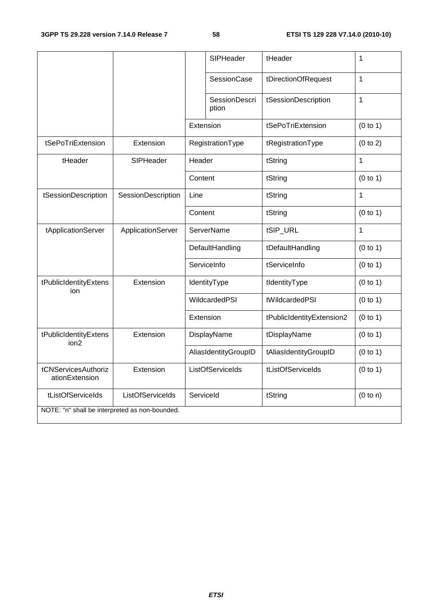|                                                |                    |           | SIPHeader                     | tHeader                   | 1            |
|------------------------------------------------|--------------------|-----------|-------------------------------|---------------------------|--------------|
|                                                |                    |           | <b>SessionCase</b>            | tDirectionOfRequest       | 1            |
|                                                |                    |           | <b>SessionDescri</b><br>ption | tSessionDescription       | 1            |
|                                                |                    |           | Extension                     | tSePoTriExtension         | (0 to 1)     |
| tSePoTriExtension                              | Extension          |           | RegistrationType              | tRegistrationType         | (0 to 2)     |
| tHeader                                        | SIPHeader          | Header    |                               | tString                   | $\mathbf{1}$ |
|                                                |                    | Content   |                               | tString                   | (0 to 1)     |
| tSessionDescription                            | SessionDescription | Line      |                               | tString                   | $\mathbf{1}$ |
|                                                |                    | Content   |                               | tString                   | (0 to 1)     |
| tApplicationServer                             | ApplicationServer  |           | <b>ServerName</b>             | tSIP_URL                  | $\mathbf{1}$ |
|                                                |                    |           | DefaultHandling               | tDefaultHandling          | (0 to 1)     |
|                                                |                    |           | ServiceInfo                   | tServiceInfo              | (0 to 1)     |
| tPublicIdentityExtens<br>ion                   | Extension          |           | IdentityType                  | tIdentityType             | (0 to 1)     |
|                                                |                    |           | WildcardedPSI                 | tWildcardedPSI            | (0 to 1)     |
|                                                |                    |           | Extension                     | tPublicIdentityExtension2 | (0 to 1)     |
| tPublicIdentityExtens<br>ion <sub>2</sub>      | Extension          |           | DisplayName                   | tDisplayName              | (0 to 1)     |
|                                                |                    |           | AliasIdentityGroupID          | tAliasIdentityGroupID     | (0 to 1)     |
| tCNServicesAuthoriz<br>ationExtension          | Extension          |           | ListOfServiceIds              | tListOfServiceIds         | (0 to 1)     |
| tListOfServiceIds                              | ListOfServiceIds   | ServiceId |                               | tString                   | (0 to n)     |
| NOTE: "n" shall be interpreted as non-bounded. |                    |           |                               |                           |              |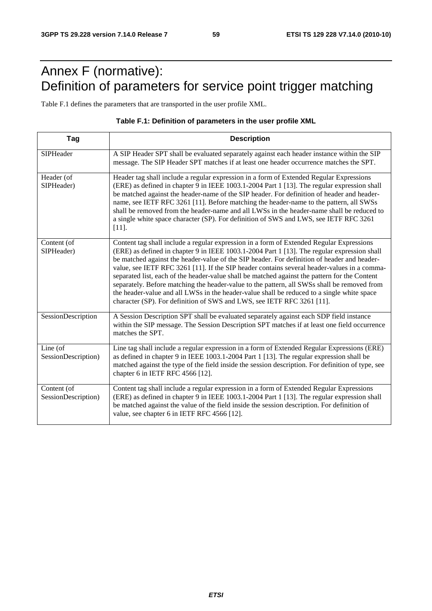## Annex F (normative): Definition of parameters for service point trigger matching

Table F.1 defines the parameters that are transported in the user profile XML.

#### **Table F.1: Definition of parameters in the user profile XML**

| Tag                                | <b>Description</b>                                                                                                                                                                                                                                                                                                                                                                                                                                                                                                                                                                                                                                                                                                                                            |
|------------------------------------|---------------------------------------------------------------------------------------------------------------------------------------------------------------------------------------------------------------------------------------------------------------------------------------------------------------------------------------------------------------------------------------------------------------------------------------------------------------------------------------------------------------------------------------------------------------------------------------------------------------------------------------------------------------------------------------------------------------------------------------------------------------|
| SIPHeader                          | A SIP Header SPT shall be evaluated separately against each header instance within the SIP<br>message. The SIP Header SPT matches if at least one header occurrence matches the SPT.                                                                                                                                                                                                                                                                                                                                                                                                                                                                                                                                                                          |
| Header (of<br>SIPHeader)           | Header tag shall include a regular expression in a form of Extended Regular Expressions<br>(ERE) as defined in chapter 9 in IEEE 1003.1-2004 Part 1 [13]. The regular expression shall<br>be matched against the header-name of the SIP header. For definition of header and header-<br>name, see IETF RFC 3261 [11]. Before matching the header-name to the pattern, all SWSs<br>shall be removed from the header-name and all LWSs in the header-name shall be reduced to<br>a single white space character (SP). For definition of SWS and LWS, see IETF RFC 3261<br>$[11]$ .                                                                                                                                                                              |
| Content (of<br>SIPHeader)          | Content tag shall include a regular expression in a form of Extended Regular Expressions<br>(ERE) as defined in chapter 9 in IEEE 1003.1-2004 Part 1 [13]. The regular expression shall<br>be matched against the header-value of the SIP header. For definition of header and header-<br>value, see IETF RFC 3261 [11]. If the SIP header contains several header-values in a comma-<br>separated list, each of the header-value shall be matched against the pattern for the Content<br>separately. Before matching the header-value to the pattern, all SWSs shall be removed from<br>the header-value and all LWSs in the header-value shall be reduced to a single white space<br>character (SP). For definition of SWS and LWS, see IETF RFC 3261 [11]. |
| SessionDescription                 | A Session Description SPT shall be evaluated separately against each SDP field instance<br>within the SIP message. The Session Description SPT matches if at least one field occurrence<br>matches the SPT.                                                                                                                                                                                                                                                                                                                                                                                                                                                                                                                                                   |
| Line (of<br>SessionDescription)    | Line tag shall include a regular expression in a form of Extended Regular Expressions (ERE)<br>as defined in chapter 9 in IEEE 1003.1-2004 Part 1 [13]. The regular expression shall be<br>matched against the type of the field inside the session description. For definition of type, see<br>chapter 6 in IETF RFC 4566 [12].                                                                                                                                                                                                                                                                                                                                                                                                                              |
| Content (of<br>SessionDescription) | Content tag shall include a regular expression in a form of Extended Regular Expressions<br>(ERE) as defined in chapter 9 in IEEE 1003.1-2004 Part 1 [13]. The regular expression shall<br>be matched against the value of the field inside the session description. For definition of<br>value, see chapter 6 in IETF RFC 4566 [12].                                                                                                                                                                                                                                                                                                                                                                                                                         |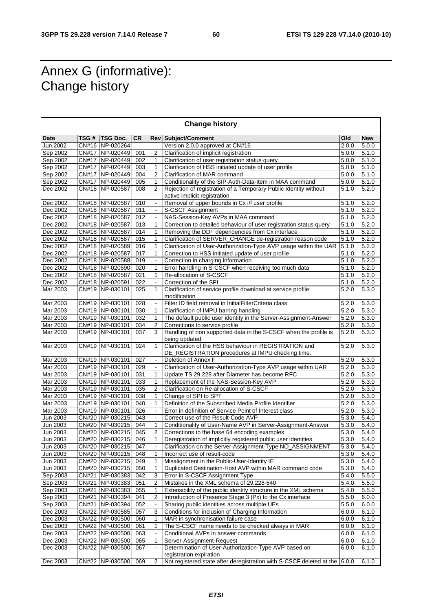## Annex G (informative): Change history

| <b>Change history</b> |       |                   |           |                          |                                                                             |                    |                    |
|-----------------------|-------|-------------------|-----------|--------------------------|-----------------------------------------------------------------------------|--------------------|--------------------|
| <b>Date</b>           | TSG # | <b>TSG Doc.</b>   | <b>CR</b> |                          | <b>Rev Subject/Comment</b>                                                  | Old                | <b>New</b>         |
| Jun 2002              |       | CN#16 NP-020264   |           |                          | Version 2.0.0 approved at CN#16                                             | 2.0.0              | 5.0.0              |
| Sep 2002              |       | CN#17 NP-020449   | 001       | 2                        | Clarification of implicit registration                                      | 5.0.0              | 5.1.0              |
| Sep 2002              |       | CN#17 NP-020449   | 002       | 1                        | Clarification of user registration status query                             | 5.0.0              | 5.1.0              |
| Sep 2002              |       | CN#17 NP-020449   | 003       | 1                        | Clarification of HSS initiated update of user profile                       | 5.0.0              | 5.1.0              |
| Sep 2002              |       | CN#17 NP-020449   | 004       | $\overline{2}$           | Clarification of MAR command                                                | 5.0.0              | 5.1.0              |
| Sep 2002              |       | CN#17 NP-020449   | 005       | 1                        | Conditionality of the SIP-Auth-Data-Item in MAA command                     | 5.0.0              | 5.1.0              |
| Dec 2002              |       | CN#18 NP-020587   | 008       | 2                        | Rejection of registration of a Temporary Public Identity without            | 5.1.0              | 5.2.0              |
|                       |       |                   |           |                          | active implicit registration                                                |                    |                    |
| Dec 2002              |       | CN#18 NP-020587   | 010       | $\blacksquare$           | Removal of upper bounds in Cx i/f user profile                              | 5.1.0              | 5.2.0              |
| Dec 2002              |       | CN#18 NP-020587   | 011       | $\blacksquare$           | S-CSCF Assignment                                                           | 5.1.0              | 5.2.0              |
| Dec 2002              |       | CN#18 NP-020587   | 012       | $\blacksquare$           | NAS-Session-Key AVPs in MAA command                                         | 5.1.0              | 5.2.0              |
| Dec 2002              |       | CN#18 NP-020587   | 013       | 1                        | Correction to detailed behaviour of user registration status query          | 5.1.0              | $\overline{5.2.0}$ |
| Dec 2002              |       | CN#18 NP-020587   | 014       | $\mathbf{1}$             | Removing the DDF dependencies from Cx interface                             | 5.1.0              | 5.2.0              |
| Dec 2002              |       | CN#18 NP-020587   | 015       | 1                        | Clarification of SERVER_CHANGE de-registration reason code                  | 5.1.0              | 5.2.0              |
| Dec 2002              |       | CN#18 NP-020589   | 016       | 1                        | Clarification of User-Authorization-Type AVP usage within the UAR           | 5.1.0              | 5.2.0              |
| Dec 2002              |       | CN#18 NP-020587   | 017       | $\mathbf{1}$             | Correction to HSS initiated update of user profile                          | 5.1.0              | 5.2.0              |
| Dec 2002              |       | CN#18 NP-020588   | 019       | $\blacksquare$           | Correction in charging information                                          | $\overline{5.1.0}$ | 5.2.0              |
| Dec 2002              |       | CN#18 NP-020590   | 020       | 1                        | Error handling in S-CSCF when receiving too much data                       | 5.1.0              | 5.2.0              |
| Dec 2002              |       | CN#18 NP-020587   | 021       | $\mathbf{1}$             | Re-allocation of S-CSCF                                                     | 5.1.0              | 5.2.0              |
| Dec 2002              |       | CN#18 NP-020591   | 022       | $\blacksquare$           | Correction of the SPI                                                       | 5.1.0              | 5.2.0              |
| Mar 2003              |       | CN#19 NP-030101   | 025       | 1                        | Clarification of service profile download at service profile                | 5.2.0              | 5.3.0              |
|                       |       |                   |           |                          | modification                                                                |                    |                    |
| Mar 2003              |       | CN#19 NP-030101   | 028       | $\blacksquare$           | Filter ID field removal in InitialFilterCriteria class                      | 5.2.0              | 5.3.0              |
| Mar 2003              |       | CN#19 NP-030101   | 030       | $\mathbf{1}$             | Clarification of IMPU barring handling                                      | 5.2.0              | 5.3.0              |
| Mar 2003              |       | CN#19 NP-030101   | 032       | $\mathbf{1}$             | The default public user identity in the Server-Assignment-Answer            | 5.2.0              | 5.3.0              |
| Mar 2003              |       | CN#19 NP-030101   | 034       | $\overline{2}$           | Corrections to service profile                                              | 5.2.0              | 5.3.0              |
| Mar 2003              |       | CN#19 NP-030101   | 037       | 3                        | Handling of non supported data in the S-CSCF when the profile is            | 5.2.0              | 5.3.0              |
|                       |       |                   |           |                          | being updated                                                               |                    |                    |
| Mar 2003              |       | CN#19 NP-030101   | 024       | $\mathbf{1}$             | Clarification of the HSS behaviour in REGISTRATION and                      | $\overline{5.2.0}$ | 5.3.0              |
|                       |       |                   |           |                          | DE_REGISTRATION procedures at IMPU checking time.                           |                    |                    |
| Mar 2003              |       | CN#19 NP-030101   | 027       | $\blacksquare$           | Deletion of Annex F                                                         | 5.2.0              | 5.3.0              |
| Mar 2003              |       | CN#19 NP-030101   | 029       | $\blacksquare$           | Clarification of User-Authorization-Type AVP usage within UAR               | 5.2.0              | 5.3.0              |
| Mar 2003              |       | CN#19 NP-030101   | 031       | $\mathbf{1}$             | Update TS 29.228 after Diameter has become RFC                              | 5.2.0              | 5.3.0              |
| Mar 2003              |       | CN#19 NP-030101   | 033       | 1                        | Replacement of the NAS-Session-Key AVP                                      | 5.2.0              | 5.3.0              |
| Mar 2003              |       | CN#19 NP-030101   | 035       | $\overline{2}$           | Clarification on Re-allocation of S-CSCF                                    | 5.2.0              | 5.3.0              |
| Mar 2003              |       | CN#19 NP-030101   | 038       | $\mathbf{1}$             | Change of SPI to SPT                                                        | 5.2.0              | 5.3.0              |
| Mar 2003              |       | CN#19 NP-030101   | 040       | 1                        | Definition of the Subscribed Media Profile Identifier                       | 5.2.0              | 5.3.0              |
| Mar 2003              |       | CN#19 NP-030101   | 026       | $\overline{\phantom{a}}$ | Error in definition of Service Point of Interest class                      | 5.2.0              | 5.3.0              |
| Jun 2003              |       | CN#20 NP-030215   | 043       | $\overline{\phantom{a}}$ | Correct use of the Result-Code AVP                                          | 5.3.0              | 5.4.0              |
| Jun 2003              |       | CN#20 NP-030215   | 044       | 1                        | Conditionality of User-Name AVP in Server-Assignment-Answer                 | 5.3.0              | 5.4.0              |
| Jun 2003              |       | CN#20   NP-030215 | 045       | $\overline{2}$           | Corrections to the base 64 encoding examples                                | 5.3.0              | 5.4.0              |
| Jun 2003              |       | CN#20 NP-030215   | 046       | 1                        | Deregistration of implicitly registered public user identities              | 5.3.0              | 5.4.0              |
|                       |       |                   |           |                          |                                                                             |                    |                    |
| Jun 2003              |       | CN#20 NP-030215   | 047       | $\mathbf{1}$             | Clarification on the Server-Assignment-Type NO_ASSIGNMENT                   | 5.3.0              | 5.4.0              |
| Jun 2003              |       | CN#20   NP-030215 | 048       |                          | Incorrect use of result-code<br>Misalignment in the Public-User-Identity IE | 5.3.0              | 5.4.0              |
| Jun 2003              |       | CN#20   NP-030215 | 049       | 1                        |                                                                             | 5.3.0              | 5.4.0              |
| Jun 2003              |       | CN#20 NP-030215   | 050       | 1                        | Duplicated Destination-Host AVP within MAR command code                     | 5.3.0              | 5.4.0              |
| Sep 2003              |       | CN#21 NP-030383   | 042       | 3                        | Error in S-CSCF Assignment Type                                             | 5.4.0              | 5.5.0              |
| Sep 2003              |       | CN#21 NP-030383   | 051       | 2                        | Mistakes in the XML schema of 29.228-540                                    | 5.4.0              | 5.5.0              |
| Sep 2003              | CN#21 | NP-030383         | 055       | 1                        | Extensibility of the public identity structure in the XML schema            | 5.4.0              | 5.5.0              |
| Sep 2003              |       | CN#21 NP-030394   | 041       | 2                        | Introduction of Presence Stage 3 (Px) to the Cx interface                   | 5.5.0              | 6.0.0              |
| Sep 2003              |       | CN#21 NP-030394   | 052       |                          | Sharing public identities across multiple UEs                               | 5.5.0              | 6.0.0              |
| Dec 2003              |       | CN#22 NP-030585   | 057       | 3                        | Conditions for inclusion of Charging Information                            | 6.0.0              | 6.1.0              |
| Dec 2003              |       | CN#22 NP-030500   | 060       | 1                        | MAR in synchronisation failure case                                         | 6.0.0              | 6.1.0              |
| Dec 2003              |       | CN#22 NP-030500   | 061       | 1                        | The S-CSCF name needs to be checked always in MAR                           | 6.0.0              | 6.1.0              |
| Dec 2003              |       | CN#22 NP-030500   | 063       | $\blacksquare$           | Conditional AVPs in answer commands                                         | 6.0.0              | 6.1.0              |
| Dec 2003              |       | CN#22 NP-030500   | 065       | 1                        | Server-Assignment-Request                                                   | 6.0.0              | 6.1.0              |
| Dec 2003              |       | CN#22 NP-030500   | 067       | ä,                       | Determination of User-Authorization-Type AVP based on                       | 6.0.0              | 6.1.0              |
|                       |       |                   |           |                          | registration expiration                                                     |                    |                    |
| Dec 2003              |       | CN#22 NP-030500   | 069       | 2                        | Not registered state after deregistration with S-CSCF deleted at the 6.0.0  |                    | 6.1.0              |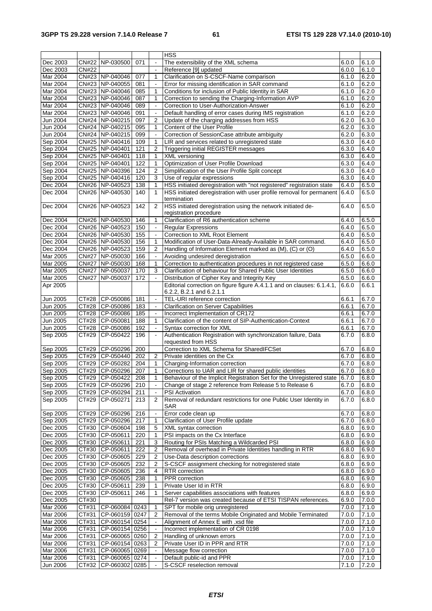|                 |                     |                      |     |                          | <b>HSS</b>                                                                             |       |       |
|-----------------|---------------------|----------------------|-----|--------------------------|----------------------------------------------------------------------------------------|-------|-------|
| Dec 2003        | <b>CN#22</b>        | NP-030500            | 071 | $\overline{\phantom{a}}$ | The extensibility of the XML schema                                                    | 6.0.0 | 6.1.0 |
| Dec 2003        | CN#22               |                      |     | $\blacksquare$           | Reference [9] updated                                                                  | 6.0.0 | 6.1.0 |
| <b>Mar 2004</b> |                     | CN#23 NP-040046      | 077 | 1                        | Clarification on S-CSCF-Name comparison                                                | 6.1.0 | 6.2.0 |
| Mar 2004        |                     | CN#23 NP-040055      | 081 | $\Box$                   | Error for missing identification in SAR command                                        | 6.1.0 | 6.2.0 |
|                 |                     |                      |     |                          |                                                                                        |       |       |
| Mar 2004        |                     | CN#23 NP-040046      | 085 | 1                        | Conditions for inclusion of Public Identity in SAR                                     | 6.1.0 | 6.2.0 |
| Mar 2004        |                     | CN#23 NP-040046      | 087 | 1                        | Correction to sending the Charging-Information AVP                                     | 6.1.0 | 6.2.0 |
| Mar 2004        |                     | CN#23 NP-040046      | 089 | $\Box$                   | Correction to User-Authorization-Answer                                                | 6.1.0 | 6.2.0 |
| Mar 2004        |                     | CN#23 NP-040046      | 091 | $\blacksquare$           | Default handling of error cases during IMS registration                                | 6.1.0 | 6.2.0 |
| Jun 2004        |                     | CN#24 NP-040215      | 097 | $\overline{2}$           | Update of the charging addresses from HSS                                              | 6.2.0 | 6.3.0 |
| Jun 2004        |                     | CN#24 NP-040215      | 095 | $\mathbf{1}$             | Content of the User Profile                                                            | 6.2.0 | 6.3.0 |
| Jun 2004        |                     | CN#24 NP-040215      | 099 | $\blacksquare$           | Correction of SessionCase attribute ambiguity                                          | 6.2.0 | 6.3.0 |
| Sep 2004        |                     | CN#25 NP-040416      | 109 | 1                        | LIR and services related to unregistered state                                         | 6.3.0 | 6.4.0 |
| Sep 2004        |                     | CN#25 NP-040401      | 121 | 2                        | <b>Triggering initial REGISTER messages</b>                                            | 6.3.0 | 6.4.0 |
| Sep 2004        |                     | CN#25 NP-040401      | 118 | 1                        | XML versioning                                                                         | 6.3.0 | 6.4.0 |
|                 |                     |                      |     |                          |                                                                                        |       |       |
| Sep 2004        |                     | CN#25 NP-040401      | 122 | $\mathbf{1}$             | Optimization of User Profile Download                                                  | 6.3.0 | 6.4.0 |
| Sep 2004        |                     | CN#25 NP-040396      | 124 | $\overline{2}$           | Simplification of the User Profile Split concept                                       | 6.3.0 | 6.4.0 |
| Sep 2004        |                     | CN#25 NP-040416      | 120 | 3                        | Use of regular expressions                                                             | 6.3.0 | 6.4.0 |
| Dec 2004        |                     | CN#26 NP-040523      | 138 | 1                        | HSS initiated deregistration with "not registered" registration state                  | 6.4.0 | 6.5.0 |
| Dec 2004        |                     | CN#26 NP-040530      | 140 | $\mathbf{1}$             | HSS initiated deregistration with user profile removal for permanent                   | 6.4.0 | 6.5.0 |
|                 |                     |                      |     |                          | termination                                                                            |       |       |
| Dec 2004        |                     | CN#26 NP-040523      | 142 | $\overline{2}$           | HSS initiated deregistration using the network initiated de-<br>registration procedure | 6.4.0 | 6.5.0 |
| Dec 2004        |                     | CN#26 NP-040530      | 146 | 1                        | Clarification of R6 authentication scheme                                              | 6.4.0 | 6.5.0 |
| Dec 2004        |                     | CN#26 NP-040523      | 150 | $\blacksquare$           | <b>Regular Expressions</b>                                                             | 6.4.0 | 6.5.0 |
|                 |                     |                      |     |                          |                                                                                        |       |       |
| Dec 2004        |                     | CN#26 NP-040530      | 155 | $\omega$                 | Correction to XML Root Element                                                         | 6.4.0 | 6.5.0 |
| Dec 2004        |                     | CN#26 NP-040530      | 156 | $\mathbf{1}$             | Modification of User-Data-Already-Available in SAR command.                            | 6.4.0 | 6.5.0 |
| Dec 2004        |                     | CN#26 NP-040523      | 159 | $\overline{2}$           | Handling of Information Element marked as (M), (C) or (O)                              | 6.4.0 | 6.5.0 |
| Mar 2005        |                     | CN#27 NP-050030      | 166 | $\omega$                 | Avoiding undesired deregistration                                                      | 6.5.0 | 6.6.0 |
| Mar 2005        |                     | CN#27 NP-050030      | 168 | 1                        | Correction to authentication procedures in not registered case                         | 6.5.0 | 6.6.0 |
| Mar 2005        |                     | CN#27 NP-050037      | 170 | 3                        | Clarification of behaviour for Shared Public User Identities                           | 6.5.0 | 6.6.0 |
| Mar 2005        | <b>CN#27</b>        | NP-050037            | 172 | $\overline{\phantom{a}}$ | Distribution of Cipher Key and Integrity Key                                           | 6.5.0 | 6.6.0 |
|                 |                     |                      |     |                          |                                                                                        |       |       |
| Apr 2005        |                     |                      |     |                          | Editorial correction on figure figure A.4.1.1 and on clauses: 6.1.4.1,                 | 6.6.0 | 6.6.1 |
|                 |                     |                      |     |                          | 6.2.2, B.2.1 and 6.2.1.1                                                               |       |       |
| Jun 2005        | CT#28               | CP-050086            | 181 | $\blacksquare$           | <b>TEL-URI</b> reference correction                                                    | 6.6.1 | 6.7.0 |
| Jun 2005        |                     | CT#28 CP-050086      | 183 | $\overline{\phantom{a}}$ | <b>Clarification on Server Capabilities</b>                                            | 6.6.1 | 6.7.0 |
| Jun 2005        |                     | CT#28 CP-050086      | 185 | $\blacksquare$           | Incorrect Implementation of CR172                                                      | 6.6.1 | 6.7.0 |
| Jun 2005        |                     | CT#28 CP-050081      | 188 | 1                        | Clarification of the content of SIP-Authentication-Context                             | 6.6.1 | 6.7.0 |
| Jun 2005        |                     | CT#28 CP-050086      | 192 | $\Box$                   | Syntax correction for XML                                                              | 6.6.1 | 6.7.0 |
| Sep 2005        | CT#29               | CP-050422            | 196 | $\blacksquare$           | Authentication Registration with synchronization failure, Data<br>requested from HSS   | 6.7.0 | 6.8.0 |
| Sep 2005        | CT#29               | CP-050296            | 200 |                          | Correction to XML Schema for SharedIFCSet                                              | 6.7.0 | 6.8.0 |
|                 |                     |                      |     |                          |                                                                                        |       |       |
| Sep 2005        |                     | CT#29 CP-050440      | 202 | 2                        | Private identities on the Cx                                                           | 6.7.0 | 6.8.0 |
| Sep 2005        | CT#29               | CP-050282            | 204 | 1                        | Charging-Information correction                                                        | 6.7.0 | 6.8.0 |
| Sep 2005        | CT#29               | CP-050296            | 207 | 1                        | Corrections to UAR and LIR for shared public identities                                | 6.7.0 | 6.8.0 |
| Sep 2005        |                     | CT#29 CP-050422      | 208 |                          | Behaviour of the Implicit Registration Set for the Unregistered state 6.7.0            |       | 6.8.0 |
| Sep 2005        |                     | CT#29   CP-050296    | 210 | $\blacksquare$           | Change of stage 2 reference from Release 5 to Release 6                                | 6.7.0 | 6.8.0 |
| Sep 2005        |                     | CT#29 CP-050294      | 211 | $\blacksquare$           | <b>PSI Activation</b>                                                                  | 6.7.0 | 6.8.0 |
| Sep 2005        | CT#29               | CP-050271            | 213 | 2                        | Removal of redundant restrictions for one Public User Identity in                      | 6.7.0 | 6.8.0 |
|                 |                     |                      |     |                          | SAR                                                                                    |       |       |
|                 |                     |                      |     |                          |                                                                                        |       |       |
| Sep 2005        | CT#29               | CP-050296            | 216 | $\blacksquare$           | Error code clean up                                                                    | 6.7.0 | 6.8.0 |
| Sep 2005        |                     | CT#29 CP-050296      | 217 | 1                        | Clarification of User Profile update                                                   | 6.7.0 | 6.8.0 |
| Dec 2005        |                     | CT#30 CP-050604      | 198 | 5                        | XML syntax correction                                                                  | 6.8.0 | 6.9.0 |
| Dec 2005        |                     | CT#30 CP-050611      | 220 | 1                        | PSI impacts on the Cx Interface                                                        | 6.8.0 | 6.9.0 |
| Dec 2005        |                     | CT#30 CP-050611      | 221 | 3                        | Routing for PSIs Matching a Wildcarded PSI                                             | 6.8.0 | 6.9.0 |
| Dec 2005        |                     | CT#30 CP-050611      | 222 | $\overline{2}$           | Removal of overhead in Private Identities handling in RTR                              | 6.8.0 | 6.9.0 |
| Dec 2005        |                     | CT#30 CP-050605      | 229 | 2                        | Use-Data description corrections                                                       | 6.8.0 | 6.9.0 |
| Dec 2005        |                     | CT#30 CP-050605      | 232 | 2                        | S-CSCF assignment checking for notregistered state                                     | 6.8.0 | 6.9.0 |
|                 |                     |                      |     |                          |                                                                                        |       |       |
| Dec 2005        | $\overline{C}$ T#30 | CP-050605            | 236 | 4                        | RTR correction                                                                         | 6.8.0 | 6.9.0 |
| Dec 2005        |                     | CT#30 CP-050605      | 238 | 1                        | PPR correction                                                                         | 6.8.0 | 6.9.0 |
| Dec 2005        | CT#30               | CP-050611            | 239 | 1                        | Private User Id in RTR                                                                 | 6.8.0 | 6.9.0 |
| Dec 2005        | $\overline{C}$ T#30 | CP-050611            | 246 | 1                        | Server capabilities associations with features                                         | 6.8.0 | 6.9.0 |
| Dec 2005        | CT#30               |                      |     |                          | Rel-7 version was created because of ETSI TISPAN references.                           | 6.9.0 | 7.0.0 |
| Mar 2006        |                     | CT#31 CP-060084 0243 |     | 1                        | SPT for mobile orig unregistered                                                       | 7.0.0 | 7.1.0 |
| Mar 2006        | CT#31               | CP-060159 0247       |     | $\overline{2}$           | Removal of the terms Mobile Originated and Mobile Terminated                           | 7.0.0 | 7.1.0 |
|                 |                     |                      |     |                          |                                                                                        |       |       |
| Mar 2006        | CT#31               | CP-060154 0254       |     | $\blacksquare$           | Alignment of Annex E with .xsd file                                                    | 7.0.0 | 7.1.0 |
| Mar 2006        | CT#31               | $ CP - 060154 0256$  |     |                          | Incorrect implementation of CR 0198                                                    | 7.0.0 | 7.1.0 |
| Mar 2006        | CT#31               | CP-060065 0260       |     | $\overline{2}$           | Handling of unknown errors                                                             | 7.0.0 | 7.1.0 |
| Mar 2006        | CT#31               | CP-060154 0263       |     | 2                        | Private User ID in PPR and RTR                                                         | 7.0.0 | 7.1.0 |
| Mar 2006        | CT#31               | CP-060065 0269       |     |                          | Message flow correction                                                                | 7.0.0 | 7.1.0 |
| <b>Mar 2006</b> | CT#31               | CP-060065 0274       |     |                          | Default public-id and PPR                                                              | 7.0.0 | 7.1.0 |
| Jun 2006        | CT#32               | CP-060302 0285       |     |                          | S-CSCF reselection removal                                                             | 7.1.0 | 7.2.0 |
|                 |                     |                      |     |                          |                                                                                        |       |       |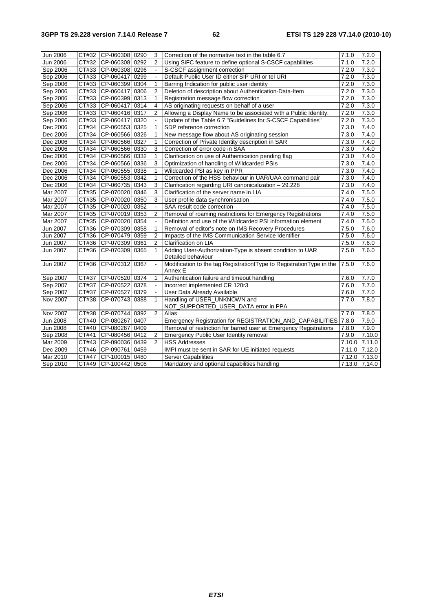| Jun 2006        |       | CT#32 CP-060308 0290     |      | 3              | Correction of the normative text in the table 6.7                    | 7.1.0         | 7.2.0  |
|-----------------|-------|--------------------------|------|----------------|----------------------------------------------------------------------|---------------|--------|
| <b>Jun 2006</b> |       | CT#32 CP-060308 0292     |      | 2              | Using SiFC feature to define optional S-CSCF capabilities            | 7.1.0         | 7.2.0  |
| Sep 2006        |       | CT#33   CP-060308   0296 |      | $\mathbf{r}$   | S-CSCF assignment correction                                         | 7.2.0         | 7.3.0  |
| Sep 2006        |       | CT#33   CP-060417   0299 |      | $\blacksquare$ | Default Public User ID either SIP URI or tel URI                     | 7.2.0         | 7.3.0  |
| Sep 2006        |       | CT#33 CP-060399 0304     |      | 1              | Barring Indication for public user identity                          | 7.2.0         | 7.3.0  |
| Sep 2006        |       | CT#33   CP-060417   0306 |      | $\overline{2}$ | Deletion of description about Authentication-Data-Item               | 7.2.0         | 7.3.0  |
| Sep 2006        | CT#33 | CP-060399 0313           |      | 1              | Registration message flow correction                                 | 7.2.0         | 7.3.0  |
| Sep 2006        | CT#33 | CP-060417                | 0314 | 4              | AS originating requests on behalf of a user                          | 7.2.0         | 7.3.0  |
| Sep 2006        | CT#33 | CP-060416 0317           |      | 2              | Allowing a Display Name to be associated with a Public Identity.     | 7.2.0         | 7.3.0  |
| Sep 2006        | CT#33 | CP-060417                | 0320 |                | Update of the Table 6.7 "Guidelines for S-CSCF Capabilities"         | 7.2.0         | 7.3.0  |
| Dec 2006        | CT#34 | CP-060553 0325           |      | 1              | SDP reference correction                                             | 7.3.0         | 7.4.0  |
| Dec 2006        | CT#34 | CP-060566 0326           |      | 1              | New message flow about AS originating session                        | 7.3.0         | 7.4.0  |
| Dec 2006        | CT#34 | CP-060566 0327           |      | $\mathbf{1}$   | Correction of Private Identity description in SAR                    | 7.3.0         | 7.4.0  |
| Dec 2006        | CT#34 | CP-060566 0330           |      | 3              | Correction of error code in SAA                                      | 7.3.0         | 7.4.0  |
| Dec 2006        | CT#34 | CP-060566 0332           |      | 1              | Clarification on use of Authentication pending flag                  | 7.3.0         | 7.4.0  |
| Dec 2006        |       | CT#34 CP-060566 0336     |      | 3              | Optimization of handling of Wildcarded PSIs                          | 7.3.0         | 7.4.0  |
| Dec 2006        | CT#34 | $ CP - 060555 0338$      |      | $\mathbf{1}$   | Wildcarded PSI as key in PPR                                         | 7.3.0         | 7.4.0  |
| Dec 2006        |       | CT#34   CP-060553   0342 |      | 1              | Correction of the HSS behaviour in UAR/UAA command pair              | 7.3.0         | 7.4.0  |
| Dec 2006        | CT#34 | CP-060735 0343           |      | 3              | Clarification regarding URI canonicalization - 29.228                | 7.3.0         | 7.4.0  |
| Mar 2007        |       | CT#35   CP-070020   0346 |      | 3              | Clarification of the server name in LIA                              | 7.4.0         | 7.5.0  |
| Mar 2007        |       | CT#35   CP-070020   0350 |      | 3              | User profile data synchronisation                                    | 7.4.0         | 7.5.0  |
| Mar 2007        |       | CT#35 CP-070020 0352     |      |                | SAA result code correction                                           | 7.4.0         | 7.5.0  |
| Mar 2007        |       | CT#35 CP-070019 0353     |      | $\overline{2}$ | Removal of roaming restrictions for Emergency Registrations          | 7.4.0         | 7.5.0  |
| Mar 2007        |       | CT#35   CP-070020   0354 |      |                | Definition and use of the Wildcarded PSI information element         | 7.4.0         | 7.5.0  |
| Jun 2007        |       | CT#36   CP-070309   0358 |      | 1              | Removal of editor's note on IMS Recovery Procedures                  | 7.5.0         | 7.6.0  |
| Jun 2007        |       | CT#36 CP-070479 0359     |      | $\overline{2}$ | Impacts of the IMS Communication Service Identifier                  | 7.5.0         | 7.6.0  |
| Jun 2007        |       | CT#36   CP-070309   0361 |      | $\overline{2}$ | Clarification on LIA                                                 | 7.5.0         | 7.6.0  |
| Jun 2007        | CT#36 | CP-070309                | 0365 | 1              | Adding User-Authorization-Type is absent condition to UAR            | 7.5.0         | 7.6.0  |
|                 |       |                          |      |                | Detailed behaviour                                                   |               |        |
| Jun 2007        | CT#36 | CP-070312 0367           |      | $\blacksquare$ | Modification to the tag RegistrationtType to RegistrationType in the | 7.5.0         | 7.6.0  |
|                 |       |                          |      |                | Annex E                                                              |               |        |
| Sep 2007        | CT#37 | CP-070520 0374           |      | $\mathbf{1}$   | Authentication failure and timeout handling                          | 7.6.0         | 7.7.0  |
| Sep 2007        | CT#37 | CP-070522 0378           |      | $\blacksquare$ | Incorrect implemented CR 120r3                                       | 7.6.0         | 7.7.0  |
| Sep 2007        | CT#37 | CP-070527 0379           |      | $\blacksquare$ | User Data Already Available                                          | 7.6.0         | 7.7.0  |
| Nov 2007        | CT#38 | CP-070743 0388           |      | 1              | Handling of USER_UNKNOWN and                                         | 7.7.0         | 7.8.0  |
|                 |       |                          |      |                | NOT_SUPPORTED_USER_DATA error in PPA                                 |               |        |
| Nov 2007        | CT#38 | CP-070744 0392           |      | $\overline{2}$ | Alias                                                                | 7.7.0         | 7.8.0  |
| Jun 2008        |       | CT#40   CP-080267   0407 |      |                | Emergency Registration for REGISTRATION_AND_CAPABILITIES 7.8.0       |               | 7.9.0  |
| <b>Jun 2008</b> |       | CT#40 CP-080267 0409     |      |                | Removal of restriction for barred user at Emergency Registrations    | 7.8.0         | 7.9.0  |
| Sep 2008        | CT#41 | CP-080456 0412           |      | 2              | Emergency Public User Identity removal                               | 7.9.0         | 7.10.0 |
| Mar 2009        | CT#43 | CP-090036 0439           |      | $\overline{2}$ | <b>HSS Addresses</b>                                                 | 7.10.0 7.11.0 |        |
| Dec 2009        | CT#46 | CP-090761                | 0459 |                | IMPI must be sent in SAR for UE initiated requests                   | 7.11.0 7.12.0 |        |
| Mar 2010        | CT#47 | $ CP-100015 0480$        |      |                | <b>Server Capabilities</b>                                           | 7.12.0 7.13.0 |        |
| Sep 2010        |       | CT#49 CP-100442 0508     |      |                | Mandatory and optional capabilities handling                         | 7.13.0 7.14.0 |        |